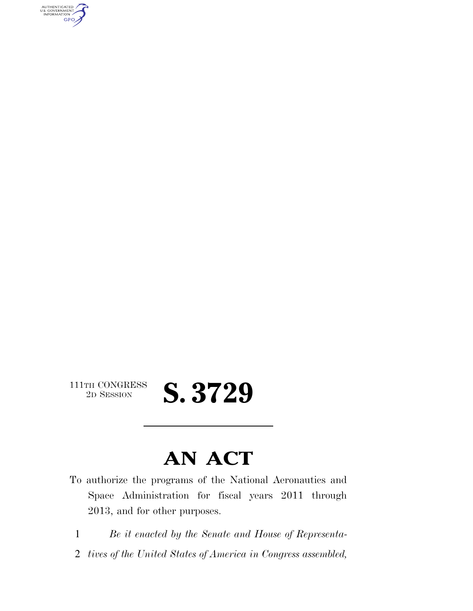AUTHENTICATED<br>U.S. GOVERNMENT<br>INFORMATION **GPO** 

 $\begin{array}{c} \textbf{111TH CONGRESS} \\ \textbf{2D} \textbf{Session} \end{array}$ 

# 2D SESSION **S. 3729**

# **AN ACT**

- To authorize the programs of the National Aeronautics and Space Administration for fiscal years 2011 through 2013, and for other purposes.
	- 1 *Be it enacted by the Senate and House of Representa-*
	- 2 *tives of the United States of America in Congress assembled,*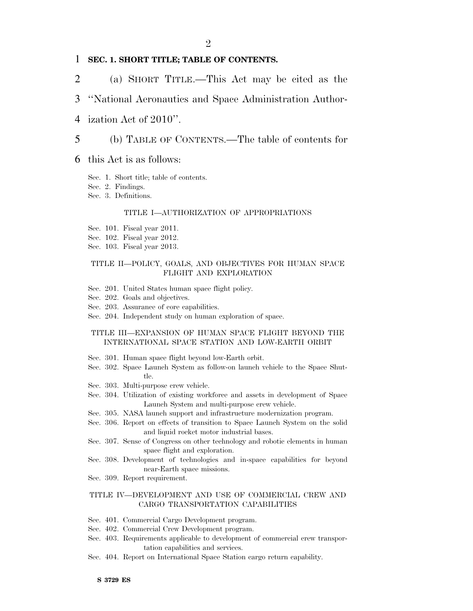## 1 **SEC. 1. SHORT TITLE; TABLE OF CONTENTS.**

2 (a) SHORT TITLE.—This Act may be cited as the

## 3 ''National Aeronautics and Space Administration Author-

4 ization Act of 2010''.

## 5 (b) TABLE OF CONTENTS.—The table of contents for

## 6 this Act is as follows:

- Sec. 1. Short title; table of contents.
- Sec. 2. Findings.
- Sec. 3. Definitions.

## TITLE I—AUTHORIZATION OF APPROPRIATIONS

- Sec. 101. Fiscal year 2011.
- Sec. 102. Fiscal year 2012.
- Sec. 103. Fiscal year 2013.

## TITLE II—POLICY, GOALS, AND OBJECTIVES FOR HUMAN SPACE FLIGHT AND EXPLORATION

- Sec. 201. United States human space flight policy.
- Sec. 202. Goals and objectives.
- Sec. 203. Assurance of core capabilities.
- Sec. 204. Independent study on human exploration of space.

## TITLE III—EXPANSION OF HUMAN SPACE FLIGHT BEYOND THE INTERNATIONAL SPACE STATION AND LOW-EARTH ORBIT

- Sec. 301. Human space flight beyond low-Earth orbit.
- Sec. 302. Space Launch System as follow-on launch vehicle to the Space Shuttle.
- Sec. 303. Multi-purpose crew vehicle.
- Sec. 304. Utilization of existing workforce and assets in development of Space Launch System and multi-purpose crew vehicle.
- Sec. 305. NASA launch support and infrastructure modernization program.
- Sec. 306. Report on effects of transition to Space Launch System on the solid and liquid rocket motor industrial bases.
- Sec. 307. Sense of Congress on other technology and robotic elements in human space flight and exploration.
- Sec. 308. Development of technologies and in-space capabilities for beyond near-Earth space missions.
- Sec. 309. Report requirement.

## TITLE IV—DEVELOPMENT AND USE OF COMMERCIAL CREW AND CARGO TRANSPORTATION CAPABILITIES

- Sec. 401. Commercial Cargo Development program.
- Sec. 402. Commercial Crew Development program.
- Sec. 403. Requirements applicable to development of commercial crew transportation capabilities and services.
- Sec. 404. Report on International Space Station cargo return capability.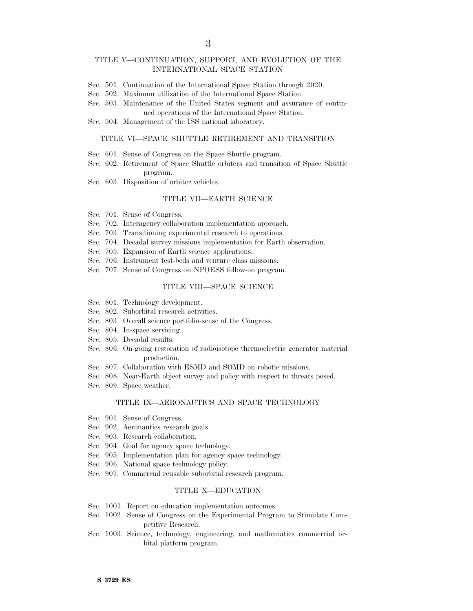## TITLE V—CONTINUATION, SUPPORT, AND EVOLUTION OF THE INTERNATIONAL SPACE STATION

- Sec. 501. Continuation of the International Space Station through 2020.
- Sec. 502. Maximum utilization of the International Space Station.
- Sec. 503. Maintenance of the United States segment and assurance of continued operations of the International Space Station.
- Sec. 504. Management of the ISS national laboratory.

## TITLE VI—SPACE SHUTTLE RETIREMENT AND TRANSITION

- Sec. 601. Sense of Congress on the Space Shuttle program.
- Sec. 602. Retirement of Space Shuttle orbiters and transition of Space Shuttle program.
- Sec. 603. Disposition of orbiter vehicles.

## TITLE VII—EARTH SCIENCE

- Sec. 701. Sense of Congress.
- Sec. 702. Interagency collaboration implementation approach.
- Sec. 703. Transitioning experimental research to operations.
- Sec. 704. Decadal survey missions implementation for Earth observation.
- Sec. 705. Expansion of Earth science applications.
- Sec. 706. Instrument test-beds and venture class missions.
- Sec. 707. Sense of Congress on NPOESS follow-on program.

### TITLE VIII—SPACE SCIENCE

- Sec. 801. Technology development.
- Sec. 802. Suborbital research activities.
- Sec. 803. Overall science portfolio-sense of the Congress.
- Sec. 804. In-space servicing.
- Sec. 805. Decadal results.
- Sec. 806. On-going restoration of radioisotope thermoelectric generator material production.
- Sec. 807. Collaboration with ESMD and SOMD on robotic missions.
- Sec. 808. Near-Earth object survey and policy with respect to threats posed.
- Sec. 809. Space weather.

## TITLE IX—AERONAUTICS AND SPACE TECHNOLOGY

- Sec. 901. Sense of Congress.
- Sec. 902. Aeronautics research goals.
- Sec. 903. Research collaboration.
- Sec. 904. Goal for agency space technology.
- Sec. 905. Implementation plan for agency space technology.
- Sec. 906. National space technology policy.
- Sec. 907. Commercial reusable suborbital research program.

### TITLE X—EDUCATION

- Sec. 1001. Report on education implementation outcomes.
- Sec. 1002. Sense of Congress on the Experimental Program to Stimulate Competitive Research.
- Sec. 1003. Science, technology, engineering, and mathematics commercial orbital platform program.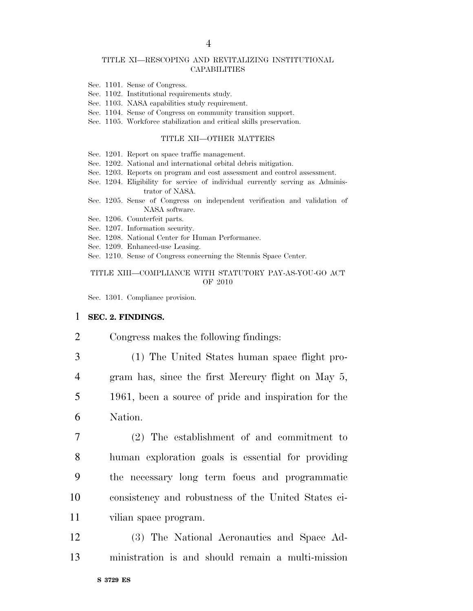## TITLE XI—RESCOPING AND REVITALIZING INSTITUTIONAL **CAPABILITIES**

- Sec. 1101. Sense of Congress.
- Sec. 1102. Institutional requirements study.
- Sec. 1103. NASA capabilities study requirement.
- Sec. 1104. Sense of Congress on community transition support.
- Sec. 1105. Workforce stabilization and critical skills preservation.

## TITLE XII—OTHER MATTERS

Sec. 1201. Report on space traffic management.

- Sec. 1202. National and international orbital debris mitigation.
- Sec. 1203. Reports on program and cost assessment and control assessment.
- Sec. 1204. Eligibility for service of individual currently serving as Administrator of NASA.
- Sec. 1205. Sense of Congress on independent verification and validation of NASA software.
- Sec. 1206. Counterfeit parts.
- Sec. 1207. Information security.
- Sec. 1208. National Center for Human Performance.
- Sec. 1209. Enhanced-use Leasing.
- Sec. 1210. Sense of Congress concerning the Stennis Space Center.

## TITLE XIII—COMPLIANCE WITH STATUTORY PAY-AS-YOU-GO ACT OF 2010

Sec. 1301. Compliance provision.

## 1 **SEC. 2. FINDINGS.**

- 2 Congress makes the following findings:
- 

- 3 (1) The United States human space flight pro-4 gram has, since the first Mercury flight on May 5, 5 1961, been a source of pride and inspiration for the 6 Nation.
- 7 (2) The establishment of and commitment to 8 human exploration goals is essential for providing 9 the necessary long term focus and programmatic 10 consistency and robustness of the United States ci-11 vilian space program.
- 12 (3) The National Aeronautics and Space Ad-13 ministration is and should remain a multi-mission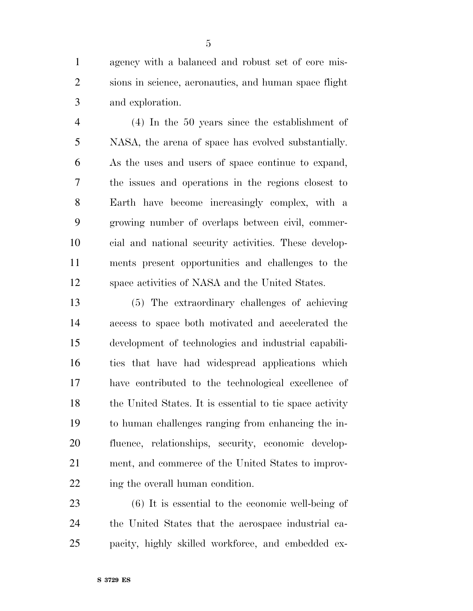agency with a balanced and robust set of core mis- sions in science, aeronautics, and human space flight and exploration.

 (4) In the 50 years since the establishment of NASA, the arena of space has evolved substantially. As the uses and users of space continue to expand, the issues and operations in the regions closest to Earth have become increasingly complex, with a growing number of overlaps between civil, commer- cial and national security activities. These develop- ments present opportunities and challenges to the space activities of NASA and the United States.

 (5) The extraordinary challenges of achieving access to space both motivated and accelerated the development of technologies and industrial capabili- ties that have had widespread applications which have contributed to the technological excellence of 18 the United States. It is essential to tie space activity to human challenges ranging from enhancing the in- fluence, relationships, security, economic develop- ment, and commerce of the United States to improv-22 ing the overall human condition.

 (6) It is essential to the economic well-being of the United States that the aerospace industrial ca-pacity, highly skilled workforce, and embedded ex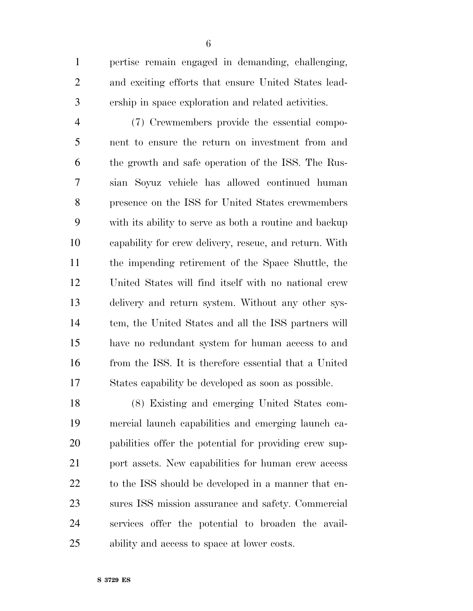pertise remain engaged in demanding, challenging, and exciting efforts that ensure United States lead-ership in space exploration and related activities.

 (7) Crewmembers provide the essential compo- nent to ensure the return on investment from and the growth and safe operation of the ISS. The Rus- sian Soyuz vehicle has allowed continued human presence on the ISS for United States crewmembers with its ability to serve as both a routine and backup capability for crew delivery, rescue, and return. With the impending retirement of the Space Shuttle, the United States will find itself with no national crew delivery and return system. Without any other sys- tem, the United States and all the ISS partners will have no redundant system for human access to and from the ISS. It is therefore essential that a United States capability be developed as soon as possible.

 (8) Existing and emerging United States com- mercial launch capabilities and emerging launch ca- pabilities offer the potential for providing crew sup-21 port assets. New capabilities for human crew access to the ISS should be developed in a manner that en- sures ISS mission assurance and safety. Commercial services offer the potential to broaden the avail-ability and access to space at lower costs.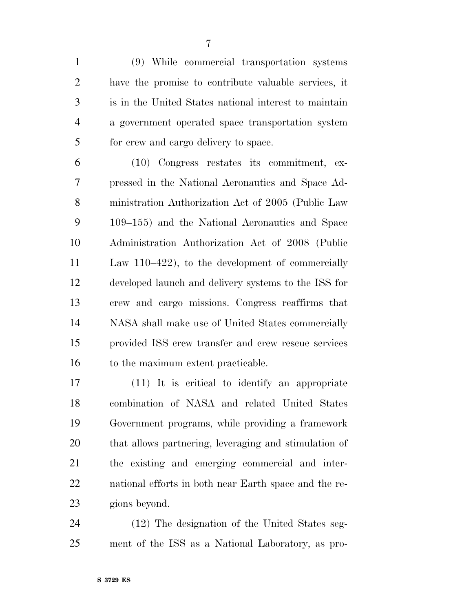(9) While commercial transportation systems have the promise to contribute valuable services, it is in the United States national interest to maintain a government operated space transportation system for crew and cargo delivery to space.

 (10) Congress restates its commitment, ex- pressed in the National Aeronautics and Space Ad- ministration Authorization Act of 2005 (Public Law 109–155) and the National Aeronautics and Space Administration Authorization Act of 2008 (Public Law 110–422), to the development of commercially developed launch and delivery systems to the ISS for crew and cargo missions. Congress reaffirms that NASA shall make use of United States commercially provided ISS crew transfer and crew rescue services 16 to the maximum extent practicable.

 (11) It is critical to identify an appropriate combination of NASA and related United States Government programs, while providing a framework that allows partnering, leveraging and stimulation of the existing and emerging commercial and inter- national efforts in both near Earth space and the re-gions beyond.

 (12) The designation of the United States seg-ment of the ISS as a National Laboratory, as pro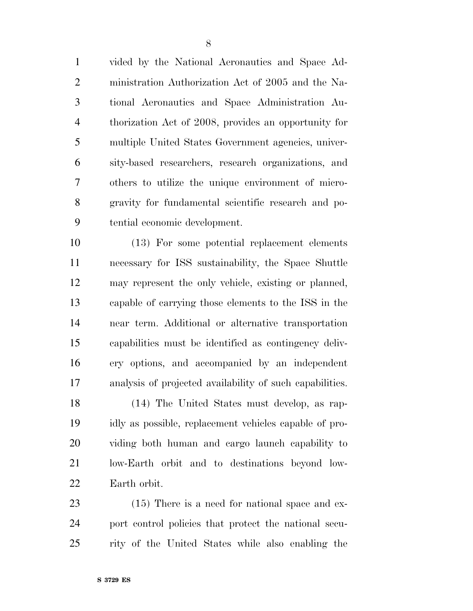vided by the National Aeronautics and Space Ad- ministration Authorization Act of 2005 and the Na- tional Aeronautics and Space Administration Au- thorization Act of 2008, provides an opportunity for multiple United States Government agencies, univer- sity-based researchers, research organizations, and others to utilize the unique environment of micro- gravity for fundamental scientific research and po-tential economic development.

 (13) For some potential replacement elements necessary for ISS sustainability, the Space Shuttle may represent the only vehicle, existing or planned, capable of carrying those elements to the ISS in the near term. Additional or alternative transportation capabilities must be identified as contingency deliv- ery options, and accompanied by an independent analysis of projected availability of such capabilities.

 (14) The United States must develop, as rap- idly as possible, replacement vehicles capable of pro- viding both human and cargo launch capability to low-Earth orbit and to destinations beyond low-Earth orbit.

23 (15) There is a need for national space and ex- port control policies that protect the national secu-rity of the United States while also enabling the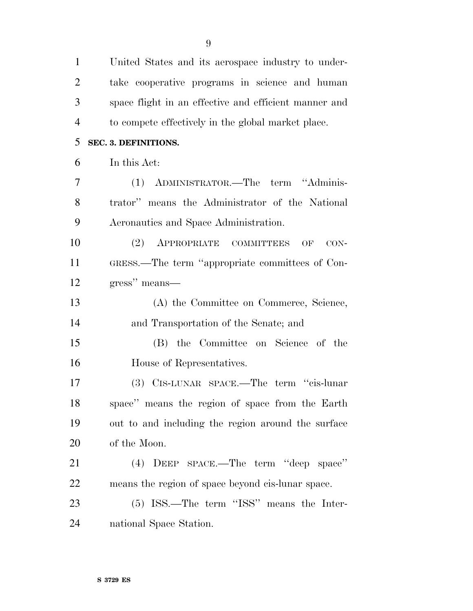| $\mathbf{1}$   | United States and its aerospace industry to under-    |
|----------------|-------------------------------------------------------|
| $\overline{2}$ | take cooperative programs in science and human        |
| 3              | space flight in an effective and efficient manner and |
| $\overline{4}$ | to compete effectively in the global market place.    |
| 5              | <b>SEC. 3. DEFINITIONS.</b>                           |
| 6              | In this Act:                                          |
| 7              | (1) ADMINISTRATOR.—The term "Adminis-                 |
| 8              | trator" means the Administrator of the National       |
| 9              | Aeronautics and Space Administration.                 |
| 10             | (2) APPROPRIATE COMMITTEES<br>OF<br>$CON-$            |
| 11             | GRESS.—The term "appropriate committees of Con-       |
| 12             | gress" means-                                         |
| 13             | (A) the Committee on Commerce, Science,               |
| 14             | and Transportation of the Senate; and                 |
| 15             | (B) the Committee on Science of the                   |
| 16             | House of Representatives.                             |
| 17             | (3) CIS-LUNAR SPACE.—The term "cis-lunar              |
| 18             | space" means the region of space from the Earth       |
| 19             | out to and including the region around the surface    |
| 20             | of the Moon.                                          |
| 21             | DEEP SPACE.—The term "deep space"<br>(4)              |
| 22             | means the region of space beyond cis-lunar space.     |
| 23             | (5) ISS.—The term "ISS" means the Inter-              |
| 24             | national Space Station.                               |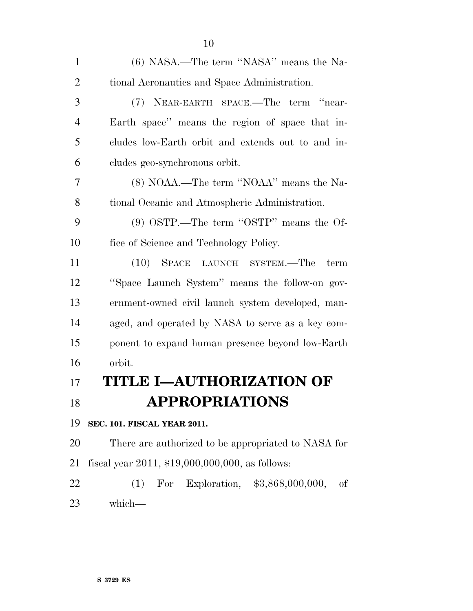| $\mathbf{1}$   | (6) NASA.—The term "NASA" means the Na-              |
|----------------|------------------------------------------------------|
| $\overline{2}$ | tional Aeronautics and Space Administration.         |
| 3              | (7) NEAR-EARTH SPACE.—The term "near-                |
| $\overline{4}$ | Earth space" means the region of space that in-      |
| 5              | cludes low-Earth orbit and extends out to and in-    |
| 6              | cludes geo-synchronous orbit.                        |
| 7              | (8) NOAA.—The term "NOAA" means the Na-              |
| 8              | tional Oceanic and Atmospheric Administration.       |
| 9              | $(9)$ OSTP.—The term "OSTP" means the Of-            |
| 10             | fice of Science and Technology Policy.               |
| 11             | (10) SPACE LAUNCH SYSTEM.—The<br>term                |
| 12             | "Space Launch System" means the follow-on gov-       |
| 13             | ernment-owned civil launch system developed, man-    |
| 14             | aged, and operated by NASA to serve as a key com-    |
| 15             | ponent to expand human presence beyond low-Earth     |
| 16             | orbit.                                               |
| 17             | TITLE I-AUTHORIZATION OF                             |
| 18             | <b>APPROPRIATIONS</b>                                |
| 19             | SEC. 101. FISCAL YEAR 2011.                          |
| 20             | There are authorized to be appropriated to NASA for  |
| 21             | fiscal year $2011$ , $$19,000,000,000$ , as follows: |
| 22             | (1) For Exploration, $$3,868,000,000,$<br>of         |
| 23             | which-                                               |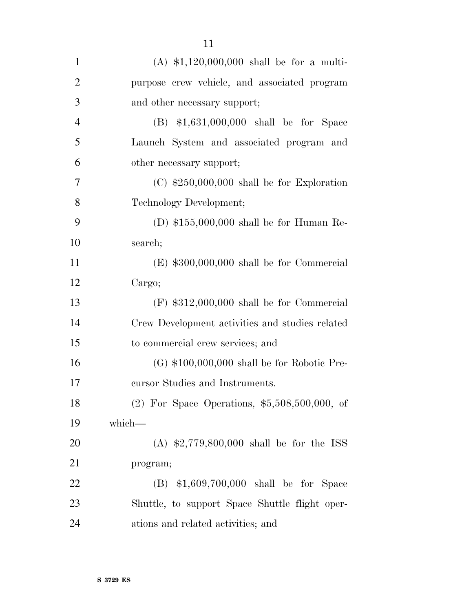| $\mathbf{1}$   | (A) $$1,120,000,000$ shall be for a multi-      |
|----------------|-------------------------------------------------|
| $\overline{2}$ | purpose crew vehicle, and associated program    |
| 3              | and other necessary support;                    |
| $\overline{4}$ | $(B)$ \$1,631,000,000 shall be for Space        |
| 5              | Launch System and associated program and        |
| 6              | other necessary support;                        |
| 7              | $(C)$ \$250,000,000 shall be for Exploration    |
| 8              | Technology Development;                         |
| 9              | (D) $$155,000,000$ shall be for Human Re-       |
| 10             | search;                                         |
| 11             | $(E)$ \$300,000,000 shall be for Commercial     |
| 12             | Cargo;                                          |
| 13             | $(F)$ \$312,000,000 shall be for Commercial     |
| 14             | Crew Development activities and studies related |
| 15             | to commercial crew services; and                |
| 16             | $(G)$ \$100,000,000 shall be for Robotic Pre-   |
| 17             | cursor Studies and Instruments.                 |
| 18             | (2) For Space Operations, $$5,508,500,000$ , of |
| 19             | which-                                          |
| 20             | (A) $$2,779,800,000$ shall be for the ISS       |
| 21             | program;                                        |
| 22             | $(B)$ \$1,609,700,000 shall be for Space        |
| 23             | Shuttle, to support Space Shuttle flight oper-  |
| 24             | ations and related activities; and              |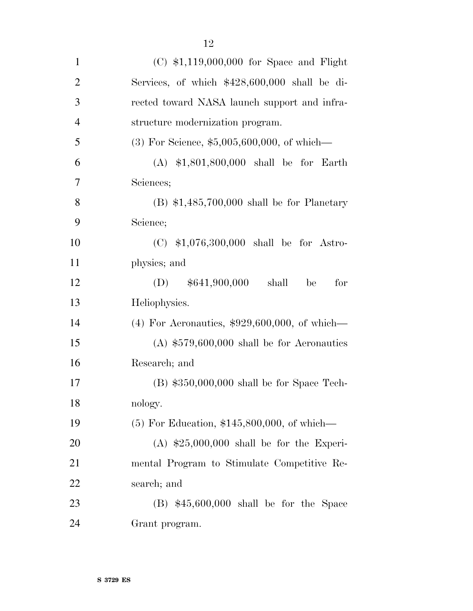| $\mathbf{1}$   | $(C)$ \$1,119,000,000 for Space and Flight      |
|----------------|-------------------------------------------------|
| $\overline{2}$ | Services, of which $$428,600,000$ shall be di-  |
| 3              | rected toward NASA launch support and infra-    |
| $\overline{4}$ | structure modernization program.                |
| 5              | $(3)$ For Science, \$5,005,600,000, of which—   |
| 6              | $(A)$ \$1,801,800,000 shall be for Earth        |
| $\tau$         | Sciences;                                       |
| 8              | $(B)$ \$1,485,700,000 shall be for Planetary    |
| 9              | Science;                                        |
| 10             | $(C)$ \$1,076,300,000 shall be for Astro-       |
| 11             | physics; and                                    |
| 12             | $(D)$ \$641,900,000<br>for<br>shall<br>be       |
| 13             | Heliophysics.                                   |
| 14             | $(4)$ For Aeronautics, \$929,600,000, of which— |
| 15             | $(A)$ \$579,600,000 shall be for Aeronautics    |
| 16             | Research; and                                   |
| 17             | $(B)$ \$350,000,000 shall be for Space Tech-    |
| 18             | nology.                                         |
| 19             | $(5)$ For Education, \$145,800,000, of which—   |
| 20             | $(A)$ \$25,000,000 shall be for the Experi-     |
| 21             | mental Program to Stimulate Competitive Re-     |
| 22             | search; and                                     |
| 23             | $(B)$ \$45,600,000 shall be for the Space       |
| 24             | Grant program.                                  |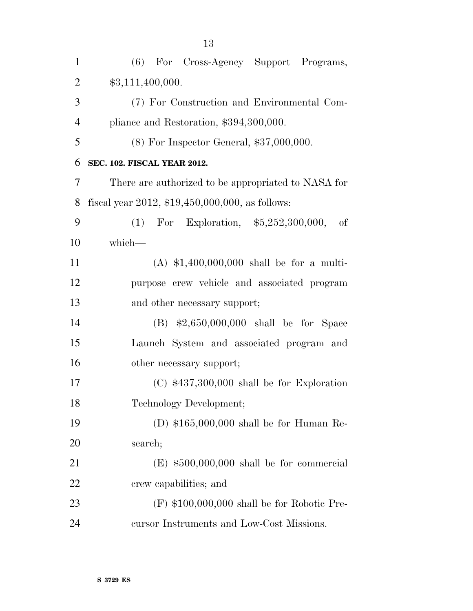| $\mathbf{1}$   | (6) For Cross-Agency Support Programs,              |
|----------------|-----------------------------------------------------|
| $\overline{2}$ | \$3,111,400,000.                                    |
| 3              | (7) For Construction and Environmental Com-         |
| 4              | pliance and Restoration, \$394,300,000.             |
| 5              | $(8)$ For Inspector General, \$37,000,000.          |
| 6              | <b>SEC. 102. FISCAL YEAR 2012.</b>                  |
| 7              | There are authorized to be appropriated to NASA for |
| 8              | fiscal year 2012, $$19,450,000,000$ , as follows:   |
| 9              | (1) For Exploration, $$5,252,300,000$ ,<br>of       |
| 10             | which-                                              |
| 11             | (A) $$1,400,000,000$ shall be for a multi-          |
| 12             | purpose crew vehicle and associated program         |
| 13             | and other necessary support;                        |
| 14             | $(B)$ \$2,650,000,000 shall be for Space            |
| 15             | Launch System and associated program and            |
| 16             | other necessary support;                            |
| 17             | $(C)$ \$437,300,000 shall be for Exploration        |
| 18             | Technology Development;                             |
| 19             | (D) $$165,000,000$ shall be for Human Re-           |
| 20             | search;                                             |
| 21             | $(E)$ \$500,000,000 shall be for commercial         |
| 22             | crew capabilities; and                              |
| 23             | $(F)$ \$100,000,000 shall be for Robotic Pre-       |
| 24             | cursor Instruments and Low-Cost Missions.           |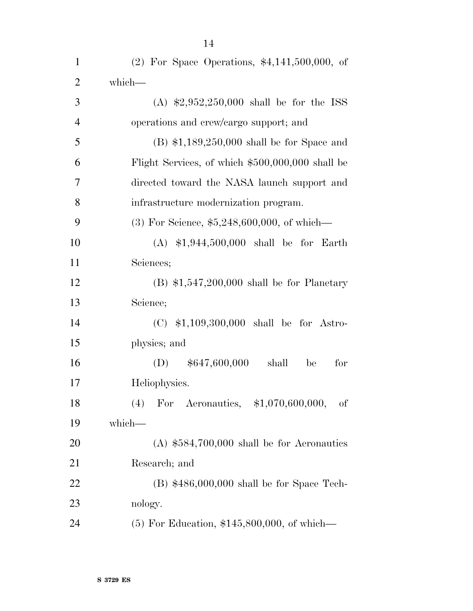| $\mathbf{1}$   | (2) For Space Operations, $$4,141,500,000$ , of  |
|----------------|--------------------------------------------------|
| $\overline{2}$ | which-                                           |
| 3              | (A) $\text{$}2,952,250,000$ shall be for the ISS |
| $\overline{4}$ | operations and crew/cargo support; and           |
| 5              | $(B)$ \$1,189,250,000 shall be for Space and     |
| 6              | Flight Services, of which \$500,000,000 shall be |
| $\overline{7}$ | directed toward the NASA launch support and      |
| 8              | infrastructure modernization program.            |
| 9              | $(3)$ For Science, \$5,248,600,000, of which—    |
| 10             | $(A)$ \$1,944,500,000 shall be for Earth         |
| 11             | Sciences;                                        |
| 12             | $(B)$ \$1,547,200,000 shall be for Planetary     |
| 13             | Science;                                         |
| 14             | $(C)$ \$1,109,300,000 shall be for Astro-        |
| 15             | physics; and                                     |
| 16             | $(D)$ \$647,600,000<br>for<br>shall<br>be        |
| 17             | Heliophysics.                                    |
| 18             | (4)<br>For Aeronautics, \$1,070,600,000,<br>οf   |
| 19             | which-                                           |
| 20             | $(A)$ \$584,700,000 shall be for Aeronautics     |
| 21             | Research; and                                    |
| 22             | $(B)$ \$486,000,000 shall be for Space Tech-     |
| 23             | nology.                                          |
| 24             | $(5)$ For Education, \$145,800,000, of which—    |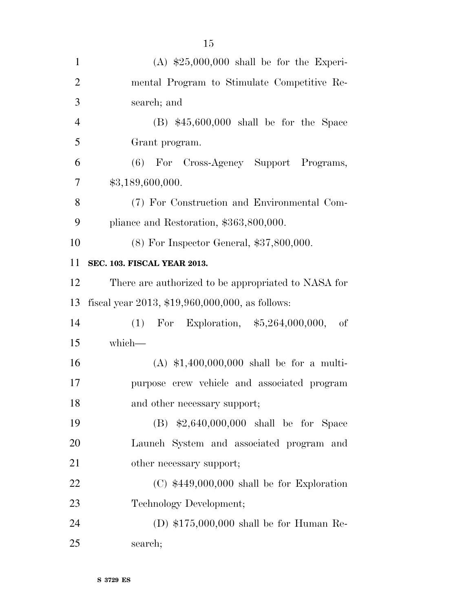| $\mathbf{1}$   | $(A)$ \$25,000,000 shall be for the Experi-         |
|----------------|-----------------------------------------------------|
| $\overline{2}$ | mental Program to Stimulate Competitive Re-         |
| 3              | search; and                                         |
| $\overline{4}$ | $(B)$ \$45,600,000 shall be for the Space           |
| 5              | Grant program.                                      |
| 6              | (6) For Cross-Agency Support Programs,              |
| $\tau$         | \$3,189,600,000.                                    |
| 8              | (7) For Construction and Environmental Com-         |
| 9              | pliance and Restoration, \$363,800,000.             |
| 10             | $(8)$ For Inspector General, \$37,800,000.          |
| 11             | SEC. 103. FISCAL YEAR 2013.                         |
| 12             | There are authorized to be appropriated to NASA for |
| 13             | fiscal year 2013, $$19,960,000,000$ , as follows:   |
| 14             | For Exploration, $$5,264,000,000,$<br>(1)<br>of     |
| 15             | which-                                              |
| 16             | (A) $$1,400,000,000$ shall be for a multi-          |
| 17             | purpose crew vehicle and associated program         |
| 18             | and other necessary support;                        |
| 19             | $(B)$ \$2,640,000,000 shall be for Space            |
| 20             | Launch System and associated program and            |
| 21             | other necessary support;                            |
| 22             | $(C)$ \$449,000,000 shall be for Exploration        |
| 23             | Technology Development;                             |
| 24             | (D) $$175,000,000$ shall be for Human Re-           |
| 25             | search;                                             |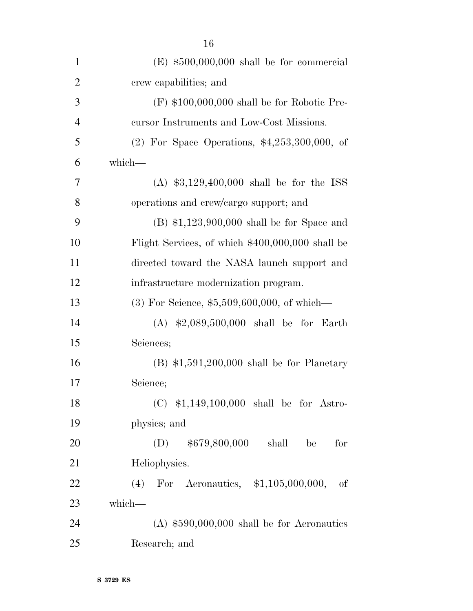| $\mathbf{1}$   | $(E)$ \$500,000,000 shall be for commercial      |
|----------------|--------------------------------------------------|
| $\overline{2}$ | crew capabilities; and                           |
| 3              | $(F)$ \$100,000,000 shall be for Robotic Pre-    |
| $\overline{4}$ | cursor Instruments and Low-Cost Missions.        |
| 5              | (2) For Space Operations, $*4,253,300,000$ , of  |
| 6              | which-                                           |
| 7              | (A) $$3,129,400,000$ shall be for the ISS        |
| 8              | operations and crew/cargo support; and           |
| 9              | $(B)$ \$1,123,900,000 shall be for Space and     |
| 10             | Flight Services, of which \$400,000,000 shall be |
| 11             | directed toward the NASA launch support and      |
| 12             | infrastructure modernization program.            |
| 13             | $(3)$ For Science, \$5,509,600,000, of which—    |
| 14             | $(A)$ \$2,089,500,000 shall be for Earth         |
| 15             | Sciences;                                        |
| 16             | $(B)$ \$1,591,200,000 shall be for Planetary     |
| 17             | Science;                                         |
| 18             | $(C)$ \$1,149,100,000 shall be for Astro-        |
| 19             | physics; and                                     |
| 20             | $(D)$ \$679,800,000<br>shall<br>for<br>be        |
| 21             | Heliophysics.                                    |
| 22             | (4) For Aeronautics, $$1,105,000,000,$<br>οf     |
| 23             | which-                                           |
| 24             | $(A)$ \$590,000,000 shall be for Aeronautics     |
| 25             | Research; and                                    |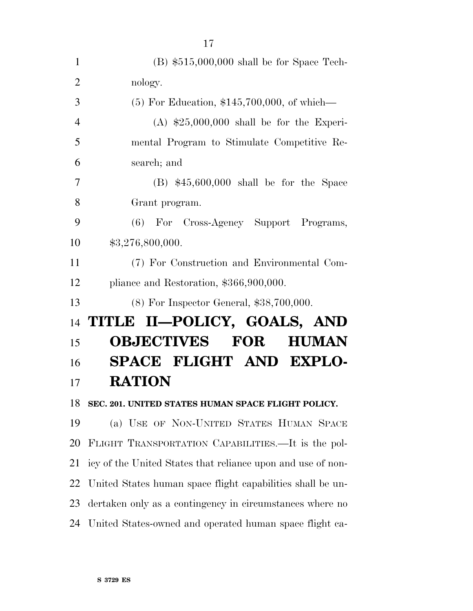| $\mathbf{1}$   | $(B)$ \$515,000,000 shall be for Space Tech-                |
|----------------|-------------------------------------------------------------|
| $\overline{2}$ | nology.                                                     |
| 3              | $(5)$ For Education, \$145,700,000, of which—               |
| $\overline{4}$ | $(A)$ \$25,000,000 shall be for the Experi-                 |
| 5              | mental Program to Stimulate Competitive Re-                 |
| 6              | search; and                                                 |
| 7              | $(B)$ \$45,600,000 shall be for the Space                   |
| 8              | Grant program.                                              |
| 9              | (6) For Cross-Agency Support Programs,                      |
| 10             | \$3,276,800,000.                                            |
| 11             | (7) For Construction and Environmental Com-                 |
| 12             | pliance and Restoration, \$366,900,000.                     |
| 13             | $(8)$ For Inspector General, \$38,700,000.                  |
| 14             | TITLE II-POLICY, GOALS, AND                                 |
| 15             | <b>OBJECTIVES</b><br><b>FOR</b><br><b>HUMAN</b>             |
| 16             | SPACE FLIGHT AND EXPLO-                                     |
| 17             | <b>RATION</b>                                               |
| 18             | SEC. 201. UNITED STATES HUMAN SPACE FLIGHT POLICY.          |
| 19             | (a) USE OF NON-UNITED STATES HUMAN SPACE                    |
| 20             | FLIGHT TRANSPORTATION CAPABILITIES.—It is the pol-          |
| 21             | icy of the United States that reliance upon and use of non- |
| 22             | United States human space flight capabilities shall be un-  |
| 23             | dertaken only as a contingency in circumstances where no    |
|                |                                                             |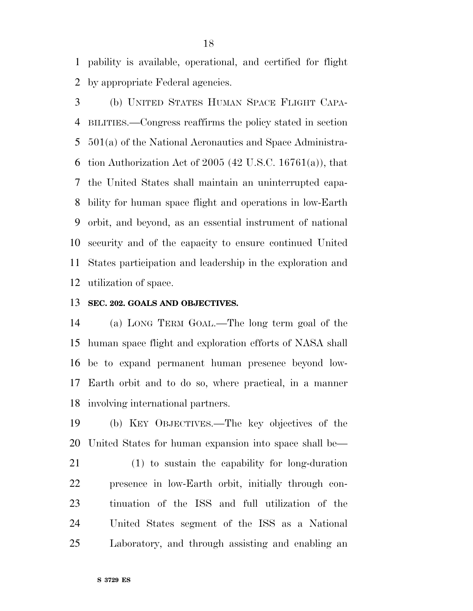pability is available, operational, and certified for flight by appropriate Federal agencies.

 (b) UNITED STATES HUMAN SPACE FLIGHT CAPA- BILITIES.—Congress reaffirms the policy stated in section 501(a) of the National Aeronautics and Space Administra-6 tion Authorization Act of (42 U.S.C. 16761(a)), that the United States shall maintain an uninterrupted capa- bility for human space flight and operations in low-Earth orbit, and beyond, as an essential instrument of national security and of the capacity to ensure continued United States participation and leadership in the exploration and utilization of space.

## **SEC. 202. GOALS AND OBJECTIVES.**

 (a) LONG TERM GOAL.—The long term goal of the human space flight and exploration efforts of NASA shall be to expand permanent human presence beyond low- Earth orbit and to do so, where practical, in a manner involving international partners.

 (b) KEY OBJECTIVES.—The key objectives of the United States for human expansion into space shall be—

 (1) to sustain the capability for long-duration presence in low-Earth orbit, initially through con- tinuation of the ISS and full utilization of the United States segment of the ISS as a National Laboratory, and through assisting and enabling an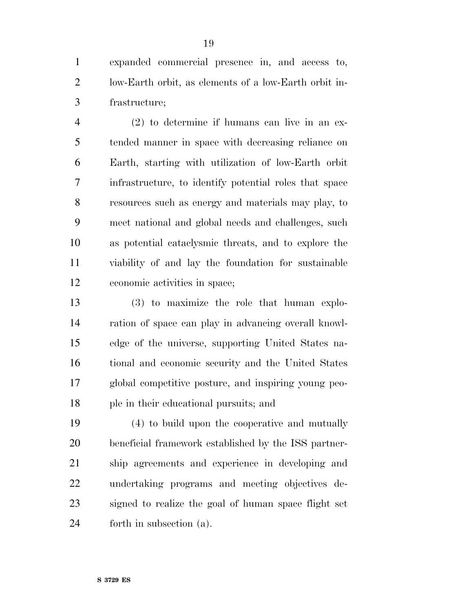expanded commercial presence in, and access to, low-Earth orbit, as elements of a low-Earth orbit in-frastructure;

 (2) to determine if humans can live in an ex- tended manner in space with decreasing reliance on Earth, starting with utilization of low-Earth orbit infrastructure, to identify potential roles that space resources such as energy and materials may play, to meet national and global needs and challenges, such as potential cataclysmic threats, and to explore the viability of and lay the foundation for sustainable economic activities in space;

 (3) to maximize the role that human explo- ration of space can play in advancing overall knowl- edge of the universe, supporting United States na- tional and economic security and the United States global competitive posture, and inspiring young peo-ple in their educational pursuits; and

 (4) to build upon the cooperative and mutually beneficial framework established by the ISS partner- ship agreements and experience in developing and undertaking programs and meeting objectives de- signed to realize the goal of human space flight set forth in subsection (a).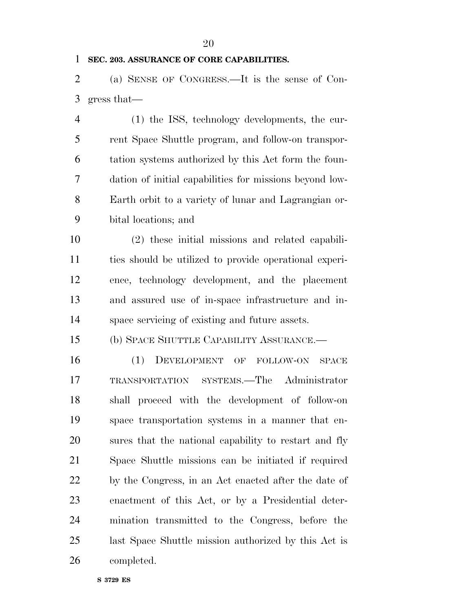## **SEC. 203. ASSURANCE OF CORE CAPABILITIES.**

 (a) SENSE OF CONGRESS.—It is the sense of Con-gress that—

 (1) the ISS, technology developments, the cur- rent Space Shuttle program, and follow-on transpor- tation systems authorized by this Act form the foun- dation of initial capabilities for missions beyond low- Earth orbit to a variety of lunar and Lagrangian or-bital locations; and

 (2) these initial missions and related capabili- ties should be utilized to provide operational experi- ence, technology development, and the placement and assured use of in-space infrastructure and in-space servicing of existing and future assets.

(b) SPACE SHUTTLE CAPABILITY ASSURANCE.—

 (1) DEVELOPMENT OF FOLLOW-ON SPACE TRANSPORTATION SYSTEMS.—The Administrator shall proceed with the development of follow-on space transportation systems in a manner that en- sures that the national capability to restart and fly Space Shuttle missions can be initiated if required by the Congress, in an Act enacted after the date of enactment of this Act, or by a Presidential deter- mination transmitted to the Congress, before the last Space Shuttle mission authorized by this Act is completed.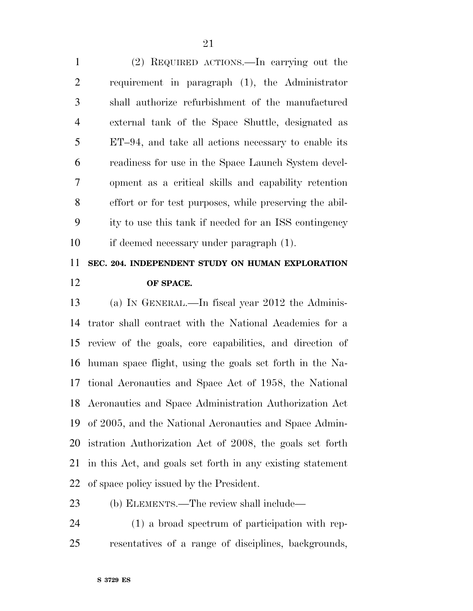(2) REQUIRED ACTIONS.—In carrying out the requirement in paragraph (1), the Administrator shall authorize refurbishment of the manufactured external tank of the Space Shuttle, designated as ET–94, and take all actions necessary to enable its readiness for use in the Space Launch System devel- opment as a critical skills and capability retention effort or for test purposes, while preserving the abil- ity to use this tank if needed for an ISS contingency if deemed necessary under paragraph (1).

## **SEC. 204. INDEPENDENT STUDY ON HUMAN EXPLORATION OF SPACE.**

 (a) IN GENERAL.—In fiscal year 2012 the Adminis- trator shall contract with the National Academies for a review of the goals, core capabilities, and direction of human space flight, using the goals set forth in the Na- tional Aeronautics and Space Act of 1958, the National Aeronautics and Space Administration Authorization Act of 2005, and the National Aeronautics and Space Admin- istration Authorization Act of 2008, the goals set forth in this Act, and goals set forth in any existing statement of space policy issued by the President.

## (b) ELEMENTS.—The review shall include—

 (1) a broad spectrum of participation with rep-resentatives of a range of disciplines, backgrounds,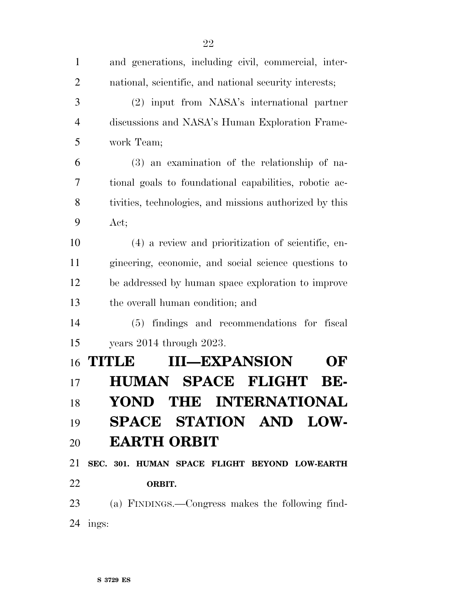| $\mathbf{1}$   | and generations, including civil, commercial, inter-    |
|----------------|---------------------------------------------------------|
| $\overline{2}$ | national, scientific, and national security interests;  |
| 3              | (2) input from NASA's international partner             |
| $\overline{4}$ | discussions and NASA's Human Exploration Frame-         |
| 5              | work Team;                                              |
| 6              | (3) an examination of the relationship of na-           |
| 7              | tional goals to foundational capabilities, robotic ac-  |
| 8              | tivities, technologies, and missions authorized by this |
| 9              | Act;                                                    |
| 10             | (4) a review and prioritization of scientific, en-      |
| 11             | gineering, economic, and social science questions to    |
| 12             | be addressed by human space exploration to improve      |
| 13             | the overall human condition; and                        |
| 14             | (5) findings and recommendations for<br>fiscal          |
| 15             | years $2014$ through $2023$ .                           |
| 16             | <b>III—EXPANSION</b><br>TITLE<br>OF                     |
| 17             | <b>HUMAN SPACE FLIGHT</b><br>BE-                        |
| 18             | YOND THE INTERNATIONAL                                  |
| 19             | SPACE STATION AND LOW-                                  |
| 20             | <b>EARTH ORBIT</b>                                      |
| 21             | SEC. 301. HUMAN SPACE FLIGHT BEYOND LOW-EARTH           |
| 22             | ORBIT.                                                  |
|                | 23 (a) FINDINGS.—Congress makes the following find-     |
|                | 24 ings:                                                |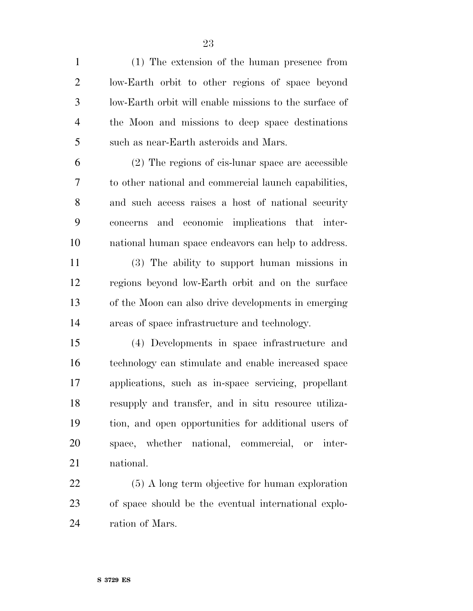(1) The extension of the human presence from low-Earth orbit to other regions of space beyond low-Earth orbit will enable missions to the surface of the Moon and missions to deep space destinations such as near-Earth asteroids and Mars.

 (2) The regions of cis-lunar space are accessible to other national and commercial launch capabilities, and such access raises a host of national security concerns and economic implications that inter-national human space endeavors can help to address.

 (3) The ability to support human missions in regions beyond low-Earth orbit and on the surface of the Moon can also drive developments in emerging areas of space infrastructure and technology.

 (4) Developments in space infrastructure and technology can stimulate and enable increased space applications, such as in-space servicing, propellant resupply and transfer, and in situ resource utiliza- tion, and open opportunities for additional users of space, whether national, commercial, or inter-national.

 (5) A long term objective for human exploration of space should be the eventual international explo-ration of Mars.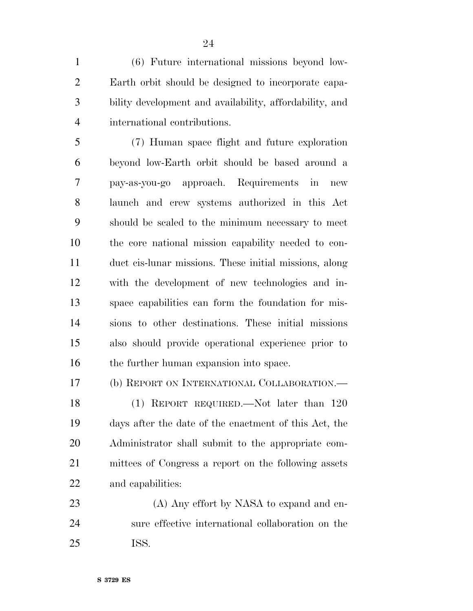(6) Future international missions beyond low- Earth orbit should be designed to incorporate capa- bility development and availability, affordability, and international contributions.

 (7) Human space flight and future exploration beyond low-Earth orbit should be based around a pay-as-you-go approach. Requirements in new launch and crew systems authorized in this Act should be scaled to the minimum necessary to meet the core national mission capability needed to con- duct cis-lunar missions. These initial missions, along with the development of new technologies and in- space capabilities can form the foundation for mis- sions to other destinations. These initial missions also should provide operational experience prior to 16 the further human expansion into space.

(b) REPORT ON INTERNATIONAL COLLABORATION.—

 (1) REPORT REQUIRED.—Not later than 120 days after the date of the enactment of this Act, the Administrator shall submit to the appropriate com- mittees of Congress a report on the following assets and capabilities:

23 (A) Any effort by NASA to expand and en- sure effective international collaboration on the ISS.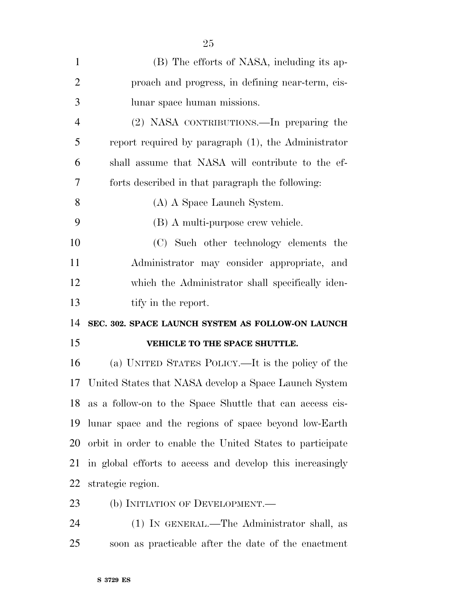| $\mathbf{1}$   | (B) The efforts of NASA, including its ap-                |
|----------------|-----------------------------------------------------------|
| $\overline{2}$ | proach and progress, in defining near-term, cis-          |
| 3              | lunar space human missions.                               |
| $\overline{4}$ | (2) NASA CONTRIBUTIONS.—In preparing the                  |
| 5              | report required by paragraph $(1)$ , the Administrator    |
| 6              | shall assume that NASA will contribute to the ef-         |
| 7              | forts described in that paragraph the following:          |
| 8              | (A) A Space Launch System.                                |
| 9              | (B) A multi-purpose crew vehicle.                         |
| 10             | (C) Such other technology elements the                    |
| 11             | Administrator may consider appropriate, and               |
| 12             | which the Administrator shall specifically iden-          |
| 13             | tify in the report.                                       |
| 14             | SEC. 302. SPACE LAUNCH SYSTEM AS FOLLOW-ON LAUNCH         |
| 15             | VEHICLE TO THE SPACE SHUTTLE.                             |
| 16             | (a) UNITED STATES POLICY.—It is the policy of the         |
| 17             | United States that NASA develop a Space Launch System     |
| 18             | as a follow-on to the Space Shuttle that can access cis-  |
| 19             | lunar space and the regions of space beyond low-Earth     |
| 20             | orbit in order to enable the United States to participate |
| 21             | in global efforts to access and develop this increasingly |
| 22             | strategic region.                                         |
| 23             | (b) INITIATION OF DEVELOPMENT.—                           |

 (1) IN GENERAL.—The Administrator shall, as soon as practicable after the date of the enactment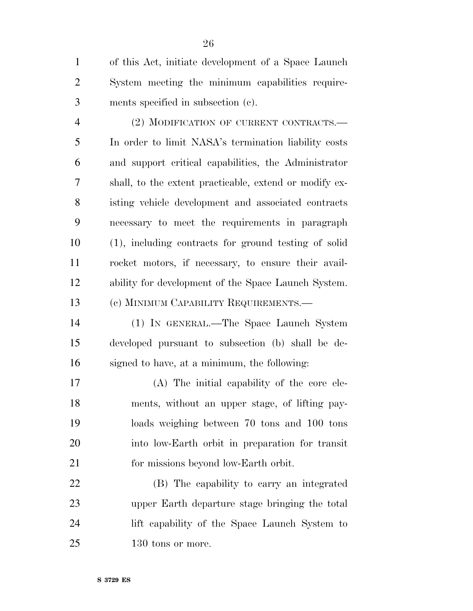of this Act, initiate development of a Space Launch System meeting the minimum capabilities require-ments specified in subsection (c).

 (2) MODIFICATION OF CURRENT CONTRACTS.— In order to limit NASA's termination liability costs and support critical capabilities, the Administrator shall, to the extent practicable, extend or modify ex- isting vehicle development and associated contracts necessary to meet the requirements in paragraph (1), including contracts for ground testing of solid rocket motors, if necessary, to ensure their avail- ability for development of the Space Launch System. (c) MINIMUM CAPABILITY REQUIREMENTS.—

 (1) IN GENERAL.—The Space Launch System developed pursuant to subsection (b) shall be de-signed to have, at a minimum, the following:

 (A) The initial capability of the core ele- ments, without an upper stage, of lifting pay- loads weighing between 70 tons and 100 tons into low-Earth orbit in preparation for transit for missions beyond low-Earth orbit.

 (B) The capability to carry an integrated upper Earth departure stage bringing the total lift capability of the Space Launch System to 130 tons or more.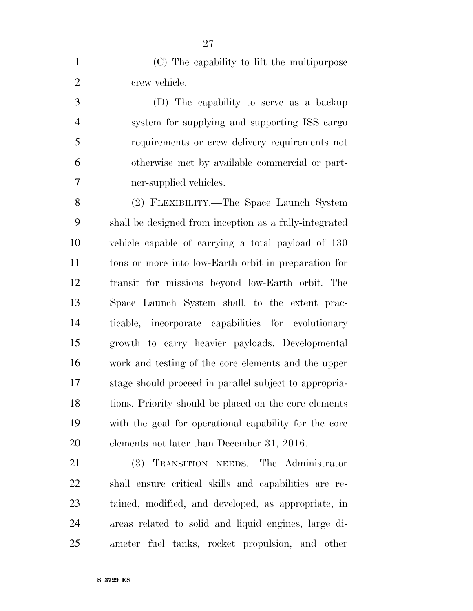(C) The capability to lift the multipurpose crew vehicle.

 (D) The capability to serve as a backup system for supplying and supporting ISS cargo requirements or crew delivery requirements not otherwise met by available commercial or part-ner-supplied vehicles.

 (2) FLEXIBILITY.—The Space Launch System shall be designed from inception as a fully-integrated vehicle capable of carrying a total payload of 130 tons or more into low-Earth orbit in preparation for transit for missions beyond low-Earth orbit. The Space Launch System shall, to the extent prac- ticable, incorporate capabilities for evolutionary growth to carry heavier payloads. Developmental work and testing of the core elements and the upper stage should proceed in parallel subject to appropria- tions. Priority should be placed on the core elements with the goal for operational capability for the core elements not later than December 31, 2016.

 (3) TRANSITION NEEDS.—The Administrator shall ensure critical skills and capabilities are re- tained, modified, and developed, as appropriate, in areas related to solid and liquid engines, large di-ameter fuel tanks, rocket propulsion, and other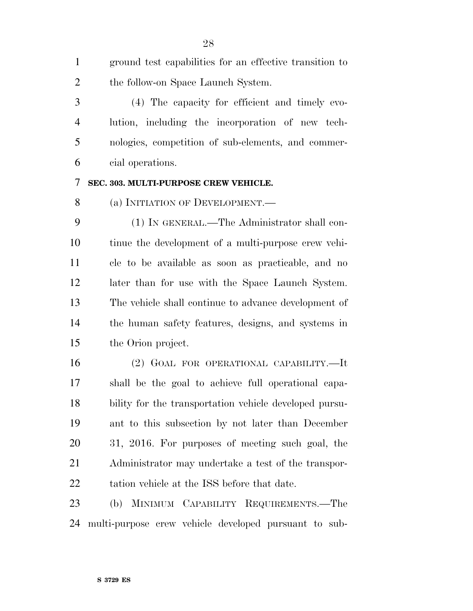ground test capabilities for an effective transition to the follow-on Space Launch System.

 (4) The capacity for efficient and timely evo- lution, including the incorporation of new tech- nologies, competition of sub-elements, and commer-cial operations.

## **SEC. 303. MULTI-PURPOSE CREW VEHICLE.**

8 (a) INITIATION OF DEVELOPMENT.—

 (1) IN GENERAL.—The Administrator shall con- tinue the development of a multi-purpose crew vehi- cle to be available as soon as practicable, and no later than for use with the Space Launch System. The vehicle shall continue to advance development of the human safety features, designs, and systems in the Orion project.

 (2) GOAL FOR OPERATIONAL CAPABILITY.—It shall be the goal to achieve full operational capa- bility for the transportation vehicle developed pursu- ant to this subsection by not later than December 31, 2016. For purposes of meeting such goal, the Administrator may undertake a test of the transpor-tation vehicle at the ISS before that date.

 (b) MINIMUM CAPABILITY REQUIREMENTS.—The multi-purpose crew vehicle developed pursuant to sub-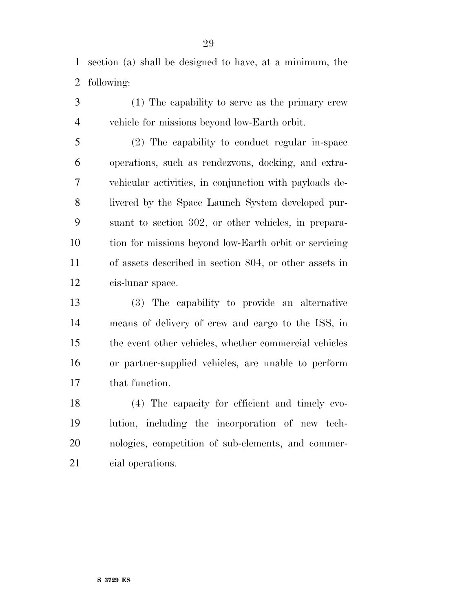section (a) shall be designed to have, at a minimum, the following:

 (1) The capability to serve as the primary crew vehicle for missions beyond low-Earth orbit.

 (2) The capability to conduct regular in-space operations, such as rendezvous, docking, and extra- vehicular activities, in conjunction with payloads de- livered by the Space Launch System developed pur- suant to section 302, or other vehicles, in prepara- tion for missions beyond low-Earth orbit or servicing of assets described in section 804, or other assets in cis-lunar space.

 (3) The capability to provide an alternative means of delivery of crew and cargo to the ISS, in the event other vehicles, whether commercial vehicles or partner-supplied vehicles, are unable to perform that function.

 (4) The capacity for efficient and timely evo- lution, including the incorporation of new tech- nologies, competition of sub-elements, and commer-cial operations.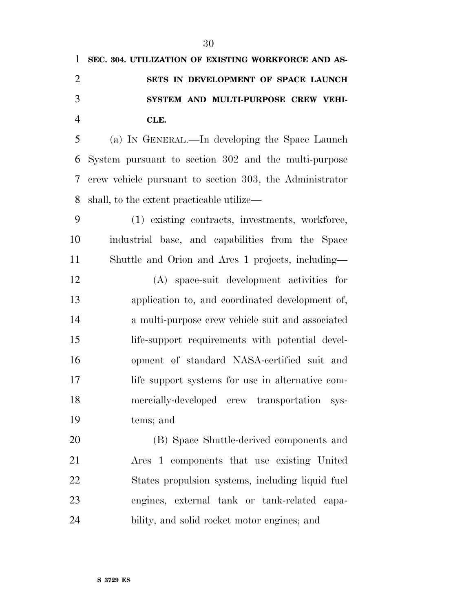| $\mathbf{1}$   | SEC. 304. UTILIZATION OF EXISTING WORKFORCE AND AS-     |
|----------------|---------------------------------------------------------|
| $\overline{2}$ | SETS IN DEVELOPMENT OF SPACE LAUNCH                     |
| 3              | SYSTEM AND MULTI-PURPOSE CREW VEHI-                     |
| $\overline{4}$ | CLE.                                                    |
| 5              | (a) IN GENERAL.—In developing the Space Launch          |
| 6              | System pursuant to section 302 and the multi-purpose    |
| 7              | crew vehicle pursuant to section 303, the Administrator |
| 8              | shall, to the extent practicable utilize—               |
| 9              | (1) existing contracts, investments, workforce,         |
| 10             | industrial base, and capabilities from the Space        |
| 11             | Shuttle and Orion and Ares 1 projects, including—       |
| 12             | (A) space-suit development activities for               |
| 13             | application to, and coordinated development of,         |
| 14             | a multi-purpose crew vehicle suit and associated        |
| 15             | life-support requirements with potential devel-         |
| 16             | opment of standard NASA-certified suit and              |
| 17             | life support systems for use in alternative com-        |
| 18             | mercially-developed crew transportation<br>sys-         |
| 19             | tems; and                                               |
| 20             | (B) Space Shuttle-derived components and                |
| 21             | Area 1 components that use existing United              |
| 22             | States propulsion systems, including liquid fuel        |
| 23             | engines, external tank or tank-related capa-            |
| 24             | bility, and solid rocket motor engines; and             |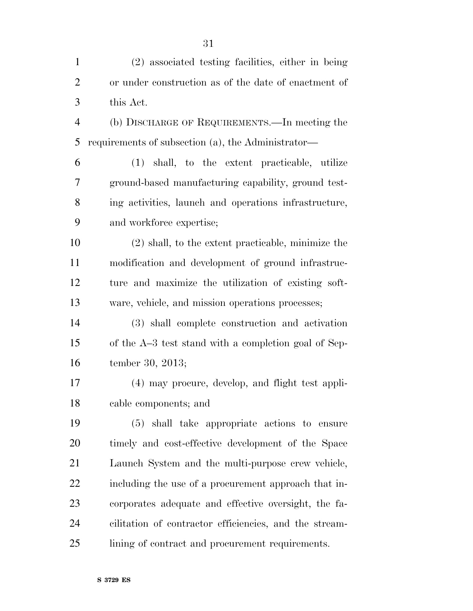| $\mathbf{1}$   | (2) associated testing facilities, either in being     |
|----------------|--------------------------------------------------------|
| $\overline{2}$ | or under construction as of the date of enactment of   |
| 3              | this Act.                                              |
| $\overline{4}$ | (b) DISCHARGE OF REQUIREMENTS.—In meeting the          |
| 5              | requirements of subsection (a), the Administrator—     |
| 6              | (1) shall, to the extent practicable, utilize          |
| 7              | ground-based manufacturing capability, ground test-    |
| 8              | ing activities, launch and operations infrastructure,  |
| 9              | and workforce expertise;                               |
| 10             | $(2)$ shall, to the extent practicable, minimize the   |
| 11             | modification and development of ground infrastruc-     |
| 12             | ture and maximize the utilization of existing soft-    |
| 13             | ware, vehicle, and mission operations processes;       |
| 14             | (3) shall complete construction and activation         |
| 15             | of the A-3 test stand with a completion goal of Sep-   |
| 16             | tember 30, 2013;                                       |
| 17             | (4) may procure, develop, and flight test appli-       |
| 18             | cable components; and                                  |
| 19             | (5) shall take appropriate actions to ensure           |
| 20             | timely and cost-effective development of the Space     |
| 21             | Launch System and the multi-purpose crew vehicle,      |
| 22             | including the use of a procurement approach that in-   |
| 23             | corporates adequate and effective oversight, the fa-   |
| 24             | cilitation of contractor efficiencies, and the stream- |
| 25             | lining of contract and procurement requirements.       |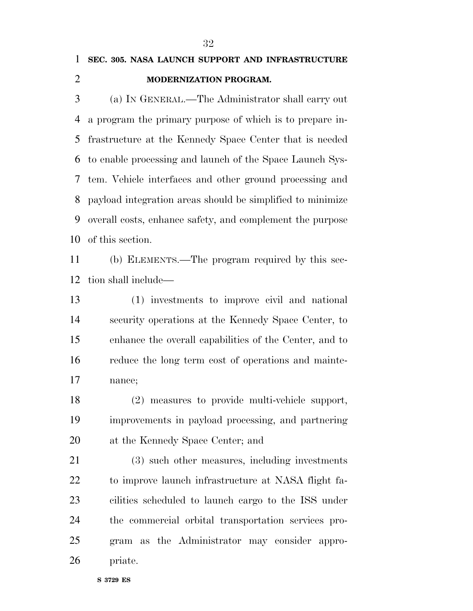## **SEC. 305. NASA LAUNCH SUPPORT AND INFRASTRUCTURE MODERNIZATION PROGRAM.**

 (a) IN GENERAL.—The Administrator shall carry out a program the primary purpose of which is to prepare in- frastructure at the Kennedy Space Center that is needed to enable processing and launch of the Space Launch Sys- tem. Vehicle interfaces and other ground processing and payload integration areas should be simplified to minimize overall costs, enhance safety, and complement the purpose of this section.

 (b) ELEMENTS.—The program required by this sec-tion shall include—

 (1) investments to improve civil and national security operations at the Kennedy Space Center, to enhance the overall capabilities of the Center, and to reduce the long term cost of operations and mainte-nance;

 (2) measures to provide multi-vehicle support, improvements in payload processing, and partnering at the Kennedy Space Center; and

 (3) such other measures, including investments to improve launch infrastructure at NASA flight fa- cilities scheduled to launch cargo to the ISS under the commercial orbital transportation services pro- gram as the Administrator may consider appro-priate.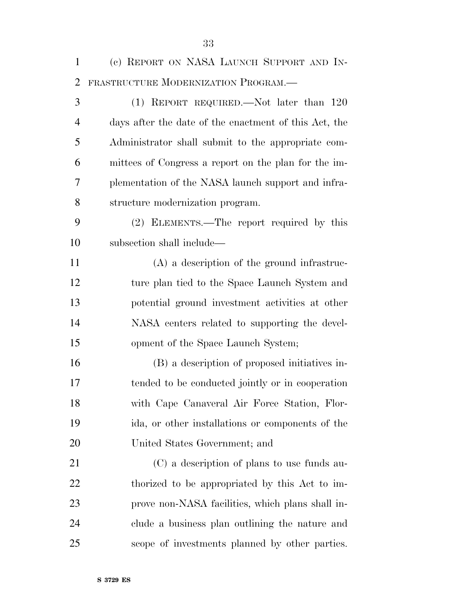| $\mathbf{1}$   | (c) REPORT ON NASA LAUNCH SUPPORT AND IN-             |
|----------------|-------------------------------------------------------|
| $\overline{2}$ | FRASTRUCTURE MODERNIZATION PROGRAM.-                  |
| 3              | (1) REPORT REQUIRED.—Not later than 120               |
| $\overline{4}$ | days after the date of the enactment of this Act, the |
| 5              | Administrator shall submit to the appropriate com-    |
| 6              | mittees of Congress a report on the plan for the im-  |
| 7              | plementation of the NASA launch support and infra-    |
| 8              | structure modernization program.                      |
| 9              | (2) ELEMENTS.—The report required by this             |
| 10             | subsection shall include—                             |
| 11             | $(A)$ a description of the ground infrastruc-         |
| 12             | ture plan tied to the Space Launch System and         |
| 13             | potential ground investment activities at other       |
| 14             | NASA centers related to supporting the devel-         |
| 15             | opment of the Space Launch System;                    |
| 16             | (B) a description of proposed initiatives in-         |
| 17             | tended to be conducted jointly or in cooperation      |
| 18             | with Cape Canaveral Air Force Station, Flor-          |
| 19             | ida, or other installations or components of the      |
| 20             | United States Government; and                         |
| 21             | (C) a description of plans to use funds au-           |
| 22             | thorized to be appropriated by this Act to im-        |
| 23             | prove non-NASA facilities, which plans shall in-      |
| 24             | clude a business plan outlining the nature and        |

scope of investments planned by other parties.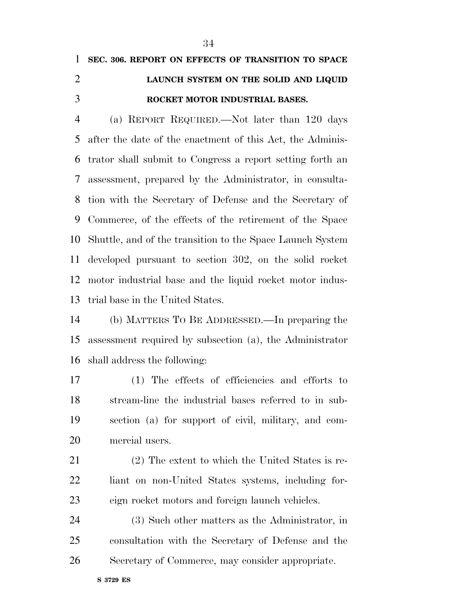# **SEC. 306. REPORT ON EFFECTS OF TRANSITION TO SPACE LAUNCH SYSTEM ON THE SOLID AND LIQUID ROCKET MOTOR INDUSTRIAL BASES.**

 (a) REPORT REQUIRED.—Not later than 120 days after the date of the enactment of this Act, the Adminis- trator shall submit to Congress a report setting forth an assessment, prepared by the Administrator, in consulta- tion with the Secretary of Defense and the Secretary of Commerce, of the effects of the retirement of the Space Shuttle, and of the transition to the Space Launch System developed pursuant to section 302, on the solid rocket motor industrial base and the liquid rocket motor indus-trial base in the United States.

 (b) MATTERS TO BE ADDRESSED.—In preparing the assessment required by subsection (a), the Administrator shall address the following:

 (1) The effects of efficiencies and efforts to stream-line the industrial bases referred to in sub- section (a) for support of civil, military, and com-mercial users.

 (2) The extent to which the United States is re- liant on non-United States systems, including for-eign rocket motors and foreign launch vehicles.

 (3) Such other matters as the Administrator, in consultation with the Secretary of Defense and the Secretary of Commerce, may consider appropriate.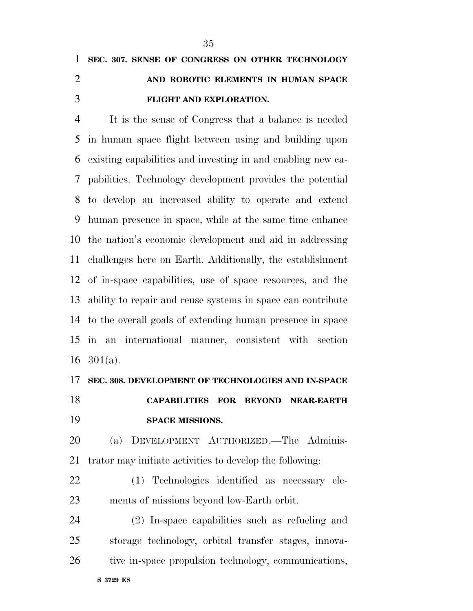**FLIGHT AND EXPLORATION.** 

# It is the sense of Congress that a balance is needed in human space flight between using and building upon existing capabilities and investing in and enabling new ca- pabilities. Technology development provides the potential to develop an increased ability to operate and extend human presence in space, while at the same time enhance the nation's economic development and aid in addressing challenges here on Earth. Additionally, the establishment of in-space capabilities, use of space resources, and the ability to repair and reuse systems in space can contribute to the overall goals of extending human presence in space in an international manner, consistent with section 16  $301(a)$ .

 **SEC. 308. DEVELOPMENT OF TECHNOLOGIES AND IN-SPACE CAPABILITIES FOR BEYOND NEAR-EARTH SPACE MISSIONS.** 

 (a) DEVELOPMENT AUTHORIZED.—The Adminis-trator may initiate activities to develop the following:

 (1) Technologies identified as necessary ele-ments of missions beyond low-Earth orbit.

 (2) In-space capabilities such as refueling and storage technology, orbital transfer stages, innova-tive in-space propulsion technology, communications,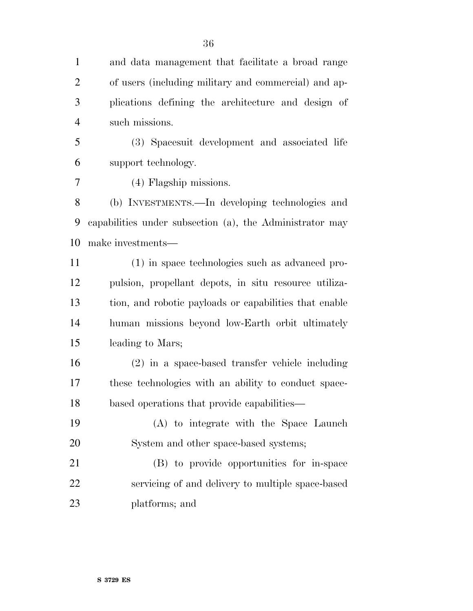and data management that facilitate a broad range of users (including military and commercial) and ap- plications defining the architecture and design of such missions.

 (3) Spacesuit development and associated life support technology.

(4) Flagship missions.

 (b) INVESTMENTS.—In developing technologies and capabilities under subsection (a), the Administrator may make investments—

 (1) in space technologies such as advanced pro- pulsion, propellant depots, in situ resource utiliza- tion, and robotic payloads or capabilities that enable human missions beyond low-Earth orbit ultimately leading to Mars;

 (2) in a space-based transfer vehicle including these technologies with an ability to conduct space-based operations that provide capabilities—

 (A) to integrate with the Space Launch System and other space-based systems;

 (B) to provide opportunities for in-space servicing of and delivery to multiple space-based platforms; and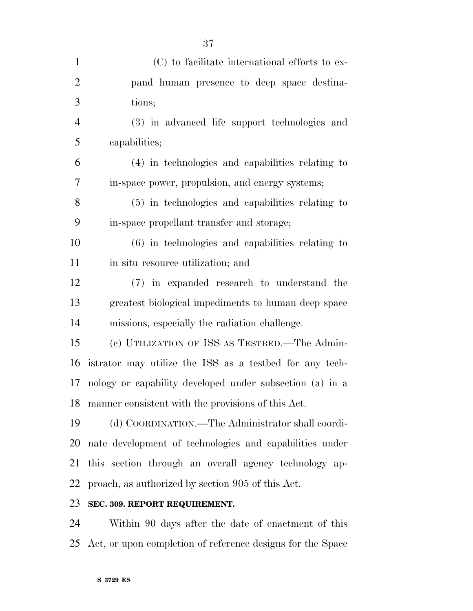| $\mathbf{1}$   | (C) to facilitate international efforts to ex-           |
|----------------|----------------------------------------------------------|
| $\overline{2}$ | pand human presence to deep space destina-               |
| 3              | tions;                                                   |
| $\overline{4}$ | (3) in advanced life support technologies and            |
| 5              | capabilities;                                            |
| 6              | (4) in technologies and capabilities relating to         |
| 7              | in-space power, propulsion, and energy systems;          |
| 8              | (5) in technologies and capabilities relating to         |
| 9              | in-space propellant transfer and storage;                |
| 10             | $(6)$ in technologies and capabilities relating to       |
| 11             | in situ resource utilization; and                        |
| 12             | (7) in expanded research to understand the               |
| 13             | greatest biological impediments to human deep space      |
| 14             | missions, especially the radiation challenge.            |
| 15             | (c) UTILIZATION OF ISS AS TESTBED.—The Admin-            |
| 16             | istrator may utilize the ISS as a testbed for any tech-  |
| 17             | nology or capability developed under subsection (a) in a |
| 18             | manner consistent with the provisions of this Act.       |
| 19             | (d) COORDINATION.—The Administrator shall coordi-        |
| 20             | nate development of technologies and capabilities under  |
| 21             | this section through an overall agency technology ap-    |
| 22             | proach, as authorized by section 905 of this Act.        |
| 23             | SEC. 309. REPORT REQUIREMENT.                            |

 Within 90 days after the date of enactment of this Act, or upon completion of reference designs for the Space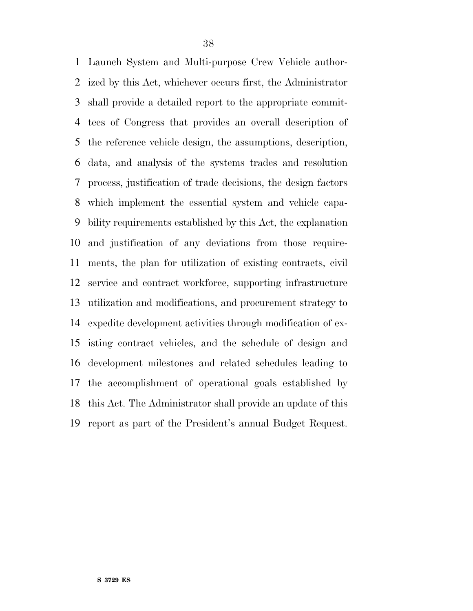Launch System and Multi-purpose Crew Vehicle author- ized by this Act, whichever occurs first, the Administrator shall provide a detailed report to the appropriate commit- tees of Congress that provides an overall description of the reference vehicle design, the assumptions, description, data, and analysis of the systems trades and resolution process, justification of trade decisions, the design factors which implement the essential system and vehicle capa- bility requirements established by this Act, the explanation and justification of any deviations from those require- ments, the plan for utilization of existing contracts, civil service and contract workforce, supporting infrastructure utilization and modifications, and procurement strategy to expedite development activities through modification of ex- isting contract vehicles, and the schedule of design and development milestones and related schedules leading to the accomplishment of operational goals established by this Act. The Administrator shall provide an update of this report as part of the President's annual Budget Request.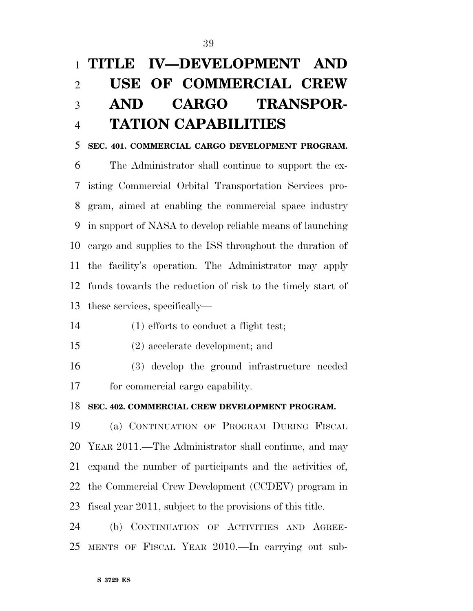# **TITLE IV—DEVELOPMENT AND USE OF COMMERCIAL CREW AND CARGO TRANSPOR-TATION CAPABILITIES**

#### **SEC. 401. COMMERCIAL CARGO DEVELOPMENT PROGRAM.**

 The Administrator shall continue to support the ex- isting Commercial Orbital Transportation Services pro- gram, aimed at enabling the commercial space industry in support of NASA to develop reliable means of launching cargo and supplies to the ISS throughout the duration of the facility's operation. The Administrator may apply funds towards the reduction of risk to the timely start of these services, specifically—

- (1) efforts to conduct a flight test;
- (2) accelerate development; and
- (3) develop the ground infrastructure needed for commercial cargo capability.

#### **SEC. 402. COMMERCIAL CREW DEVELOPMENT PROGRAM.**

 (a) CONTINUATION OF PROGRAM DURING FISCAL YEAR 2011.—The Administrator shall continue, and may expand the number of participants and the activities of, the Commercial Crew Development (CCDEV) program in fiscal year 2011, subject to the provisions of this title.

 (b) CONTINUATION OF ACTIVITIES AND AGREE-MENTS OF FISCAL YEAR 2010.—In carrying out sub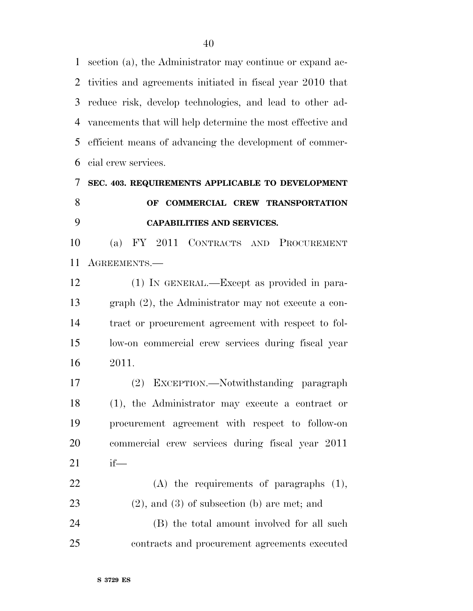section (a), the Administrator may continue or expand ac- tivities and agreements initiated in fiscal year 2010 that reduce risk, develop technologies, and lead to other ad- vancements that will help determine the most effective and efficient means of advancing the development of commer-cial crew services.

## **SEC. 403. REQUIREMENTS APPLICABLE TO DEVELOPMENT OF COMMERCIAL CREW TRANSPORTATION CAPABILITIES AND SERVICES.**

 (a) FY 2011 CONTRACTS AND PROCUREMENT AGREEMENTS.—

 (1) IN GENERAL.—Except as provided in para- graph (2), the Administrator may not execute a con- tract or procurement agreement with respect to fol- low-on commercial crew services during fiscal year 2011.

 (2) EXCEPTION.—Notwithstanding paragraph (1), the Administrator may execute a contract or procurement agreement with respect to follow-on commercial crew services during fiscal year 2011 if—

 (A) the requirements of paragraphs (1), (2), and (3) of subsection (b) are met; and (B) the total amount involved for all such

contracts and procurement agreements executed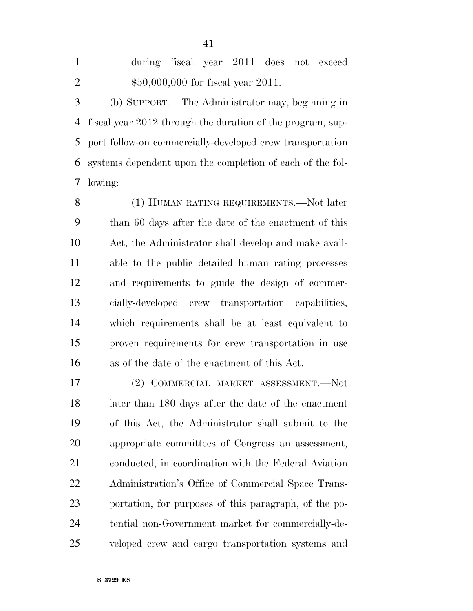| $\mathbf{1}$   | during fiscal year 2011 does not exceed                      |
|----------------|--------------------------------------------------------------|
| $\overline{2}$ | $$50,000,000$ for fiscal year 2011.                          |
| 3              | (b) SUPPORT.—The Administrator may, beginning in             |
|                | 4 fiscal year 2012 through the duration of the program, sup- |
|                | 5 port follow-on commercially-developed crew transportation  |
|                | 6 systems dependent upon the completion of each of the fol-  |

8 (1) HUMAN RATING REQUIREMENTS.—Not later than 60 days after the date of the enactment of this Act, the Administrator shall develop and make avail- able to the public detailed human rating processes and requirements to guide the design of commer- cially-developed crew transportation capabilities, which requirements shall be at least equivalent to proven requirements for crew transportation in use as of the date of the enactment of this Act.

 (2) COMMERCIAL MARKET ASSESSMENT.—Not later than 180 days after the date of the enactment of this Act, the Administrator shall submit to the appropriate committees of Congress an assessment, conducted, in coordination with the Federal Aviation Administration's Office of Commercial Space Trans- portation, for purposes of this paragraph, of the po- tential non-Government market for commercially-de-veloped crew and cargo transportation systems and

**S 3729 ES** 

lowing: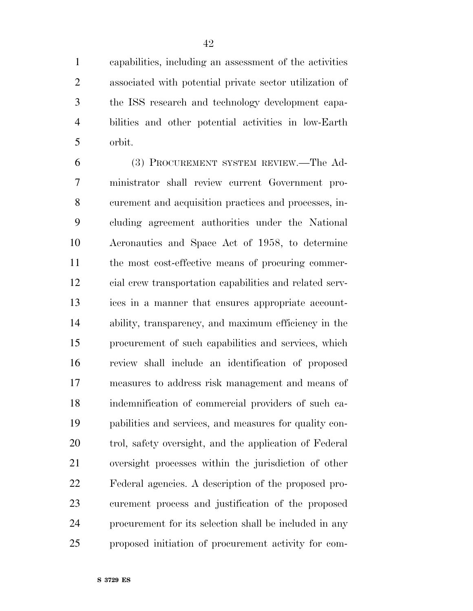capabilities, including an assessment of the activities associated with potential private sector utilization of the ISS research and technology development capa- bilities and other potential activities in low-Earth orbit.

 (3) PROCUREMENT SYSTEM REVIEW.—The Ad- ministrator shall review current Government pro- curement and acquisition practices and processes, in- cluding agreement authorities under the National Aeronautics and Space Act of 1958, to determine the most cost-effective means of procuring commer- cial crew transportation capabilities and related serv- ices in a manner that ensures appropriate account- ability, transparency, and maximum efficiency in the procurement of such capabilities and services, which review shall include an identification of proposed measures to address risk management and means of indemnification of commercial providers of such ca- pabilities and services, and measures for quality con- trol, safety oversight, and the application of Federal oversight processes within the jurisdiction of other Federal agencies. A description of the proposed pro- curement process and justification of the proposed procurement for its selection shall be included in any proposed initiation of procurement activity for com-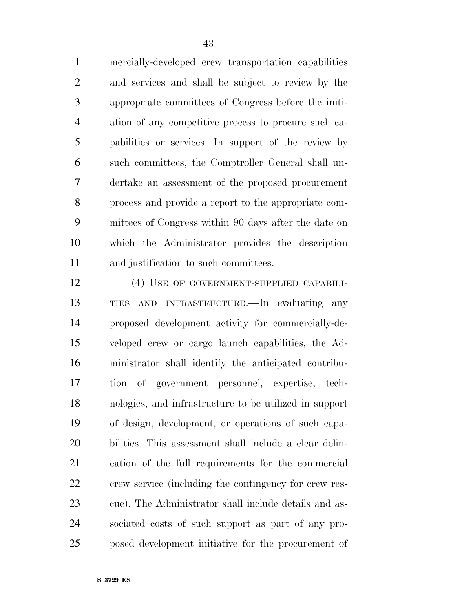mercially-developed crew transportation capabilities and services and shall be subject to review by the appropriate committees of Congress before the initi- ation of any competitive process to procure such ca- pabilities or services. In support of the review by such committees, the Comptroller General shall un- dertake an assessment of the proposed procurement process and provide a report to the appropriate com- mittees of Congress within 90 days after the date on which the Administrator provides the description and justification to such committees.

 (4) USE OF GOVERNMENT-SUPPLIED CAPABILI- TIES AND INFRASTRUCTURE.—In evaluating any proposed development activity for commercially-de- veloped crew or cargo launch capabilities, the Ad- ministrator shall identify the anticipated contribu- tion of government personnel, expertise, tech- nologies, and infrastructure to be utilized in support of design, development, or operations of such capa- bilities. This assessment shall include a clear delin- eation of the full requirements for the commercial crew service (including the contingency for crew res- cue). The Administrator shall include details and as- sociated costs of such support as part of any pro-posed development initiative for the procurement of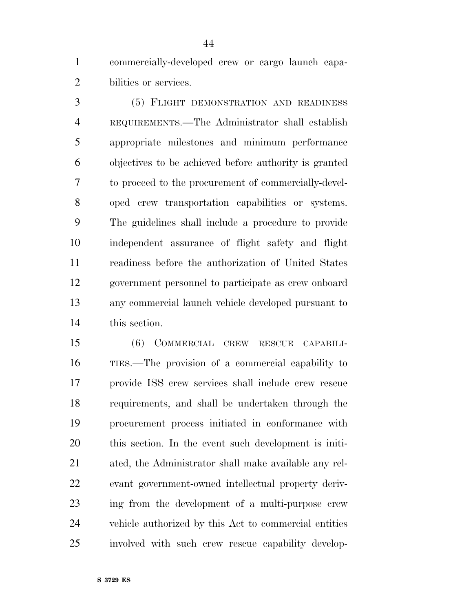commercially-developed crew or cargo launch capa-bilities or services.

 (5) FLIGHT DEMONSTRATION AND READINESS REQUIREMENTS.—The Administrator shall establish appropriate milestones and minimum performance objectives to be achieved before authority is granted to proceed to the procurement of commercially-devel- oped crew transportation capabilities or systems. The guidelines shall include a procedure to provide independent assurance of flight safety and flight readiness before the authorization of United States government personnel to participate as crew onboard any commercial launch vehicle developed pursuant to this section.

 (6) COMMERCIAL CREW RESCUE CAPABILI- TIES.—The provision of a commercial capability to provide ISS crew services shall include crew rescue requirements, and shall be undertaken through the procurement process initiated in conformance with this section. In the event such development is initi- ated, the Administrator shall make available any rel- evant government-owned intellectual property deriv- ing from the development of a multi-purpose crew vehicle authorized by this Act to commercial entities involved with such crew rescue capability develop-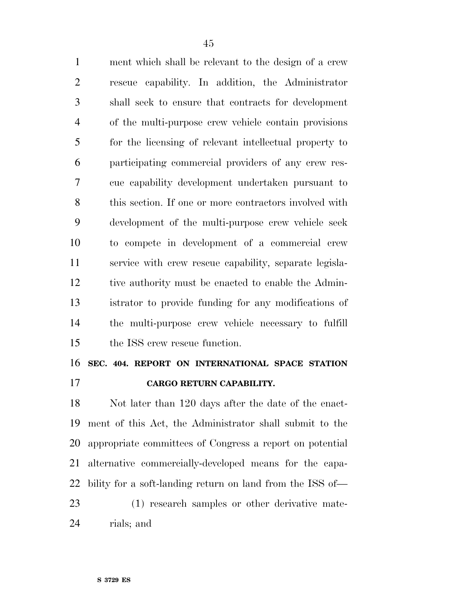ment which shall be relevant to the design of a crew rescue capability. In addition, the Administrator shall seek to ensure that contracts for development of the multi-purpose crew vehicle contain provisions for the licensing of relevant intellectual property to participating commercial providers of any crew res- cue capability development undertaken pursuant to this section. If one or more contractors involved with development of the multi-purpose crew vehicle seek to compete in development of a commercial crew service with crew rescue capability, separate legisla- tive authority must be enacted to enable the Admin- istrator to provide funding for any modifications of the multi-purpose crew vehicle necessary to fulfill the ISS crew rescue function.

### **SEC. 404. REPORT ON INTERNATIONAL SPACE STATION CARGO RETURN CAPABILITY.**

 Not later than 120 days after the date of the enact- ment of this Act, the Administrator shall submit to the appropriate committees of Congress a report on potential alternative commercially-developed means for the capa-bility for a soft-landing return on land from the ISS of—

 (1) research samples or other derivative mate-rials; and

**S 3729 ES**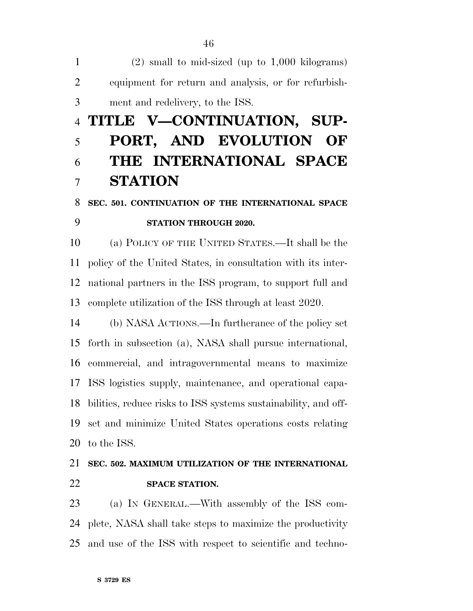(2) small to mid-sized (up to 1,000 kilograms) equipment for return and analysis, or for refurbish-ment and redelivery, to the ISS.

# **TITLE V—CONTINUATION, SUP- PORT, AND EVOLUTION OF THE INTERNATIONAL SPACE STATION**

## **SEC. 501. CONTINUATION OF THE INTERNATIONAL SPACE STATION THROUGH 2020.**

 (a) POLICY OF THE UNITED STATES.—It shall be the policy of the United States, in consultation with its inter- national partners in the ISS program, to support full and complete utilization of the ISS through at least 2020.

 (b) NASA ACTIONS.—In furtherance of the policy set forth in subsection (a), NASA shall pursue international, commercial, and intragovernmental means to maximize ISS logistics supply, maintenance, and operational capa- bilities, reduce risks to ISS systems sustainability, and off- set and minimize United States operations costs relating to the ISS.

 **SEC. 502. MAXIMUM UTILIZATION OF THE INTERNATIONAL SPACE STATION.** 

 (a) IN GENERAL.—With assembly of the ISS com- plete, NASA shall take steps to maximize the productivity and use of the ISS with respect to scientific and techno-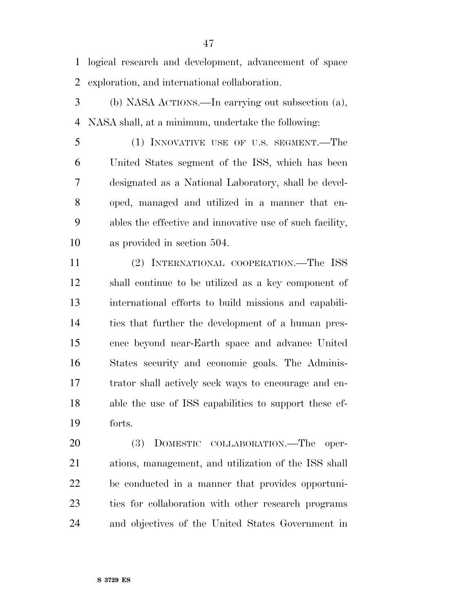logical research and development, advancement of space exploration, and international collaboration.

- (b) NASA ACTIONS.—In carrying out subsection (a), NASA shall, at a minimum, undertake the following:
- (1) INNOVATIVE USE OF U.S. SEGMENT.—The United States segment of the ISS, which has been designated as a National Laboratory, shall be devel- oped, managed and utilized in a manner that en- ables the effective and innovative use of such facility, as provided in section 504.
- (2) INTERNATIONAL COOPERATION.—The ISS shall continue to be utilized as a key component of international efforts to build missions and capabili- ties that further the development of a human pres- ence beyond near-Earth space and advance United States security and economic goals. The Adminis- trator shall actively seek ways to encourage and en- able the use of ISS capabilities to support these ef-forts.
- (3) DOMESTIC COLLABORATION.—The oper- ations, management, and utilization of the ISS shall be conducted in a manner that provides opportuni- ties for collaboration with other research programs and objectives of the United States Government in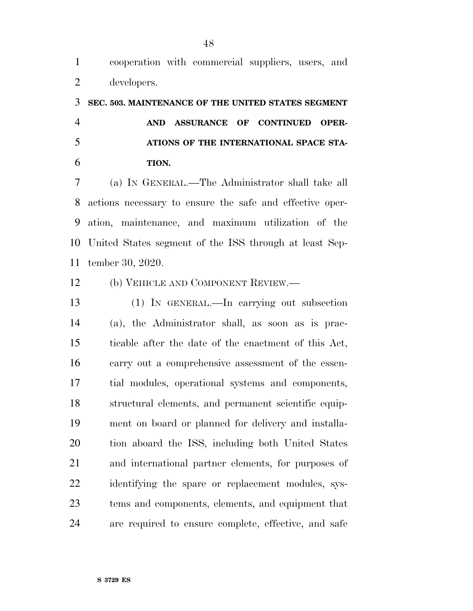## **SEC. 503. MAINTENANCE OF THE UNITED STATES SEGMENT AND ASSURANCE OF CONTINUED OPER- ATIONS OF THE INTERNATIONAL SPACE STA-TION.**

 (a) IN GENERAL.—The Administrator shall take all actions necessary to ensure the safe and effective oper- ation, maintenance, and maximum utilization of the United States segment of the ISS through at least Sep-tember 30, 2020.

(b) VEHICLE AND COMPONENT REVIEW.—

 (1) IN GENERAL.—In carrying out subsection (a), the Administrator shall, as soon as is prac- ticable after the date of the enactment of this Act, carry out a comprehensive assessment of the essen- tial modules, operational systems and components, structural elements, and permanent scientific equip- ment on board or planned for delivery and installa- tion aboard the ISS, including both United States and international partner elements, for purposes of identifying the spare or replacement modules, sys- tems and components, elements, and equipment that are required to ensure complete, effective, and safe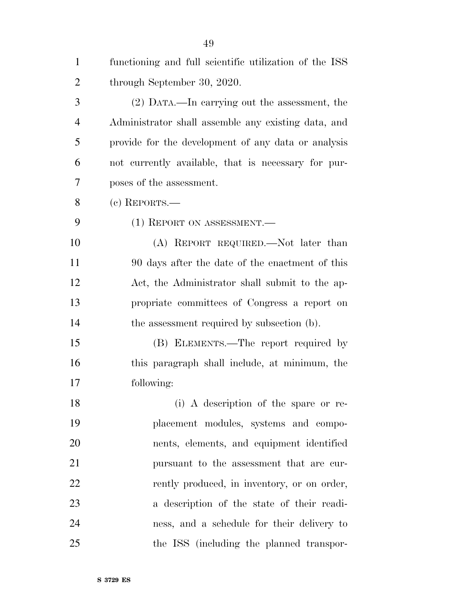| $\mathbf{1}$   | functioning and full scientific utilization of the ISS |
|----------------|--------------------------------------------------------|
| $\overline{2}$ | through September 30, 2020.                            |
| 3              | (2) DATA.—In carrying out the assessment, the          |
| $\overline{4}$ | Administrator shall assemble any existing data, and    |
| 5              | provide for the development of any data or analysis    |
| 6              | not currently available, that is necessary for pur-    |
| 7              | poses of the assessment.                               |
| 8              | $(e)$ REPORTS.—                                        |
| 9              | (1) REPORT ON ASSESSMENT.                              |
| 10             | (A) REPORT REQUIRED.—Not later than                    |
| 11             | 90 days after the date of the enactment of this        |
| 12             | Act, the Administrator shall submit to the ap-         |
| 13             | propriate committees of Congress a report on           |
| 14             | the assessment required by subsection (b).             |
| 15             | (B) ELEMENTS.—The report required by                   |
| 16             | this paragraph shall include, at minimum, the          |
| 17             | following:                                             |
| 18             | (i) A description of the spare or re-                  |
| 19             | placement modules, systems and compo-                  |
| 20             | nents, elements, and equipment identified              |
| 21             | pursuant to the assessment that are cur-               |
| 22             | rently produced, in inventory, or on order,            |
| 23             | a description of the state of their readi-             |
| 24             | ness, and a schedule for their delivery to             |
| 25             | the ISS (including the planned transpor-               |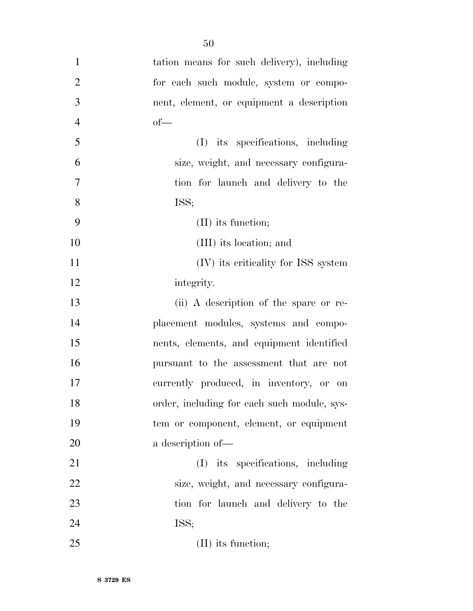| $\mathbf{1}$   | tation means for such delivery), including  |
|----------------|---------------------------------------------|
| $\overline{2}$ | for each such module, system or compo-      |
| 3              | nent, element, or equipment a description   |
| $\overline{4}$ | $of$ —                                      |
| 5              | (I) its specifications, including           |
| 6              | size, weight, and necessary configura-      |
| $\overline{7}$ | tion for launch and delivery to the         |
| 8              | ISS;                                        |
| 9              | $(II)$ its function;                        |
| 10             | (III) its location; and                     |
| 11             | (IV) its criticality for ISS system         |
| 12             | integrity.                                  |
| 13             | (ii) A description of the spare or re-      |
| 14             | placement modules, systems and compo-       |
| 15             | nents, elements, and equipment identified   |
| 16             | pursuant to the assessment that are not     |
| 17             | currently produced, in inventory, or on     |
| 18             | order, including for each such module, sys- |
| 19             | tem or component, element, or equipment     |
| 20             | a description of-                           |
| 21             | (I) its specifications, including           |
| 22             | size, weight, and necessary configura-      |
| 23             | tion for launch and delivery to the         |
| 24             | ISS;                                        |
| 25             | $(II)$ its function;                        |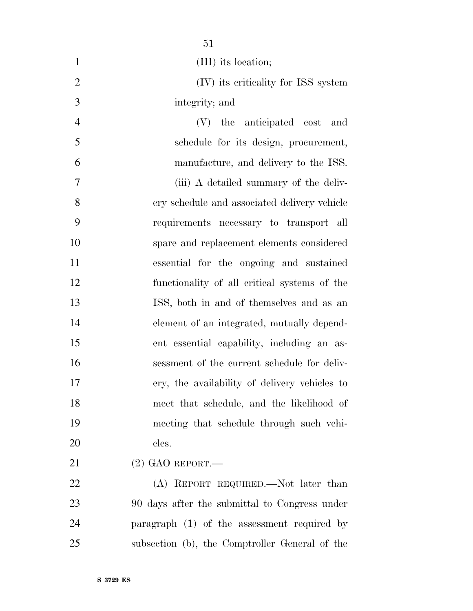| $\mathbf{1}$   | (III) its location;                            |
|----------------|------------------------------------------------|
| $\overline{2}$ | (IV) its criticality for ISS system            |
| 3              | integrity; and                                 |
| $\overline{4}$ | (V) the anticipated cost and                   |
| 5              | schedule for its design, procurement,          |
| 6              | manufacture, and delivery to the ISS.          |
| 7              | (iii) A detailed summary of the deliv-         |
| 8              | ery schedule and associated delivery vehicle   |
| 9              | requirements necessary to transport all        |
| 10             | spare and replacement elements considered      |
| 11             | essential for the ongoing and sustained        |
| 12             | functionality of all critical systems of the   |
| 13             | ISS, both in and of themselves and as an       |
| 14             | element of an integrated, mutually depend-     |
| 15             | ent essential capability, including an as-     |
| 16             | sessment of the current schedule for deliv-    |
| 17             | ery, the availability of delivery vehicles to  |
| 18             | meet that schedule, and the likelihood of      |
| 19             | meeting that schedule through such vehi-       |
| 20             | cles.                                          |
| 21             | $(2)$ GAO REPORT.—                             |
| 22             | (A) REPORT REQUIRED.—Not later than            |
| $2^{\circ}$    | 00 dove often the experitted to Congress under |

 90 days after the submittal to Congress under paragraph (1) of the assessment required by subsection (b), the Comptroller General of the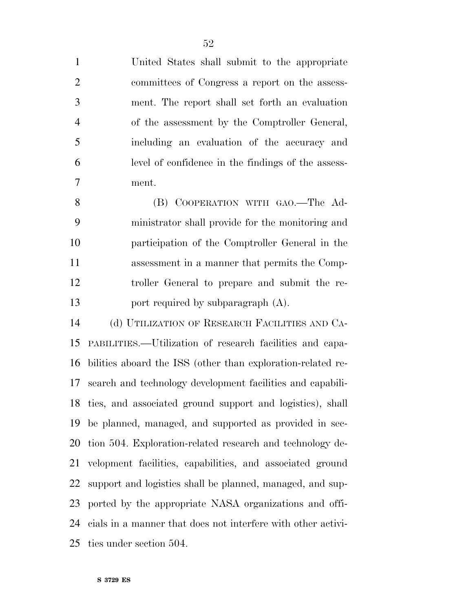| $\mathbf{1}$   | United States shall submit to the appropriate                |
|----------------|--------------------------------------------------------------|
| $\overline{2}$ | committees of Congress a report on the assess-               |
| 3              | ment. The report shall set forth an evaluation               |
| $\overline{4}$ | of the assessment by the Comptroller General,                |
| 5              | including an evaluation of the accuracy and                  |
| 6              | level of confidence in the findings of the assess-           |
| 7              | ment.                                                        |
| 8              | (B) COOPERATION WITH GAO.—The Ad-                            |
| 9              | ministrator shall provide for the monitoring and             |
| 10             | participation of the Comptroller General in the              |
| 11             | assessment in a manner that permits the Comp-                |
| 12             | troller General to prepare and submit the re-                |
| 13             | port required by subparagraph (A).                           |
| 14             | (d) UTILIZATION OF RESEARCH FACILITIES AND CA-               |
| 15             | PABILITIES.—Utilization of research facilities and capa-     |
| 16             | bilities aboard the ISS (other than exploration-related re-  |
| 17             | search and technology development facilities and capabili-   |
|                | 18 ties, and associated ground support and logistics), shall |
| 19             | be planned, managed, and supported as provided in sec-       |
| 20             | tion 504. Exploration-related research and technology de-    |
| 21             | velopment facilities, capabilities, and associated ground    |
| 22             | support and logistics shall be planned, managed, and sup-    |
| 23             | ported by the appropriate NASA organizations and offi-       |
| 24             | cials in a manner that does not interfere with other activi- |
| 25             | ties under section 504.                                      |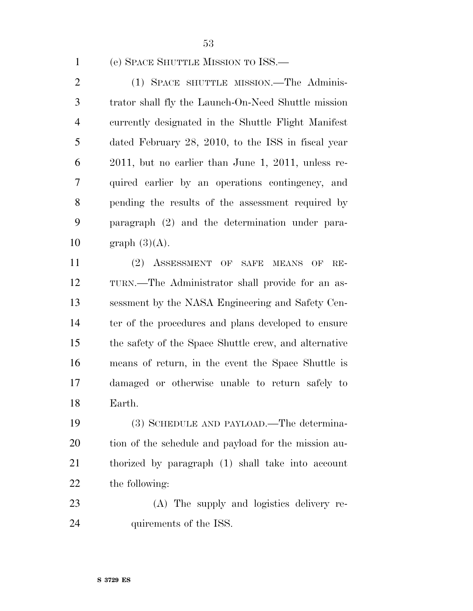(e) SPACE SHUTTLE MISSION TO ISS.—

 (1) SPACE SHUTTLE MISSION.—The Adminis- trator shall fly the Launch-On-Need Shuttle mission currently designated in the Shuttle Flight Manifest dated February 28, 2010, to the ISS in fiscal year 2011, but no earlier than June 1, 2011, unless re- quired earlier by an operations contingency, and pending the results of the assessment required by paragraph (2) and the determination under para-10 graph  $(3)(A)$ .

 (2) ASSESSMENT OF SAFE MEANS OF RE- TURN.—The Administrator shall provide for an as- sessment by the NASA Engineering and Safety Cen-14 ter of the procedures and plans developed to ensure the safety of the Space Shuttle crew, and alternative means of return, in the event the Space Shuttle is damaged or otherwise unable to return safely to Earth.

 (3) SCHEDULE AND PAYLOAD.—The determina- tion of the schedule and payload for the mission au- thorized by paragraph (1) shall take into account the following:

 (A) The supply and logistics delivery re-24 quirements of the ISS.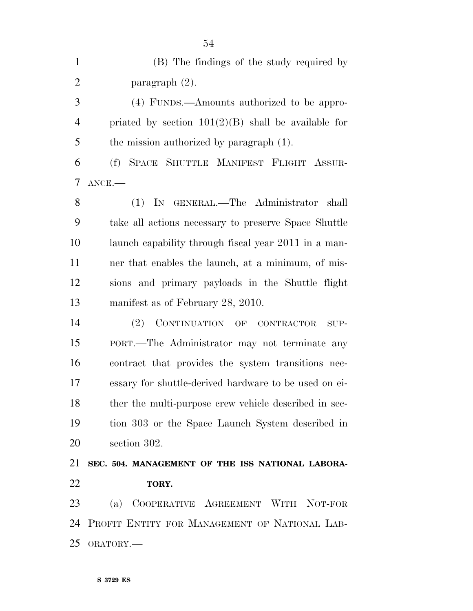| $\mathbf{1}$   | (B) The findings of the study required by             |
|----------------|-------------------------------------------------------|
| $\overline{2}$ | paragraph $(2)$ .                                     |
| 3              | (4) FUNDS.—Amounts authorized to be appro-            |
| $\overline{4}$ | priated by section $101(2)(B)$ shall be available for |
| 5              | the mission authorized by paragraph (1).              |
| 6              | (f) SPACE SHUTTLE MANIFEST FLIGHT ASSUR-              |
| 7              | $ANCE$ .                                              |
| 8              | IN GENERAL.-The Administrator shall<br>(1)            |
| 9              | take all actions necessary to preserve Space Shuttle  |
| 10             | launch capability through fiscal year 2011 in a man-  |
| 11             | ner that enables the launch, at a minimum, of mis-    |
| 12             | sions and primary payloads in the Shuttle flight      |
| 13             | manifest as of February 28, 2010.                     |
| 14             | CONTINUATION OF CONTRACTOR SUP-<br>(2)                |
| 15             | PORT.—The Administrator may not terminate any         |
| 16             | contract that provides the system transitions nec-    |
| 17             | essary for shuttle-derived hardware to be used on ei- |
| 18             | ther the multi-purpose crew vehicle described in sec- |
| 19             | tion 303 or the Space Launch System described in      |
| 20             | section 302.                                          |
| 21             | SEC. 504. MANAGEMENT OF THE ISS NATIONAL LABORA-      |
| 22             | TORY.                                                 |
| 23             | (a) COOPERATIVE AGREEMENT WITH NOT-FOR                |
| 24             | PROFIT ENTITY FOR MANAGEMENT OF NATIONAL LAB-         |
| 25             | ORATORY.                                              |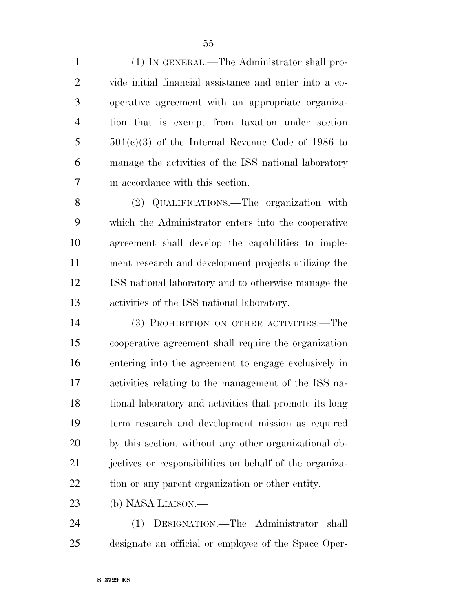(1) IN GENERAL.—The Administrator shall pro- vide initial financial assistance and enter into a co- operative agreement with an appropriate organiza- tion that is exempt from taxation under section 501(c)(3) of the Internal Revenue Code of 1986 to manage the activities of the ISS national laboratory in accordance with this section.

 (2) QUALIFICATIONS.—The organization with which the Administrator enters into the cooperative agreement shall develop the capabilities to imple- ment research and development projects utilizing the ISS national laboratory and to otherwise manage the activities of the ISS national laboratory.

 (3) PROHIBITION ON OTHER ACTIVITIES.—The cooperative agreement shall require the organization entering into the agreement to engage exclusively in activities relating to the management of the ISS na- tional laboratory and activities that promote its long term research and development mission as required by this section, without any other organizational ob- jectives or responsibilities on behalf of the organiza-tion or any parent organization or other entity.

(b) NASA LIAISON.—

 (1) DESIGNATION.—The Administrator shall designate an official or employee of the Space Oper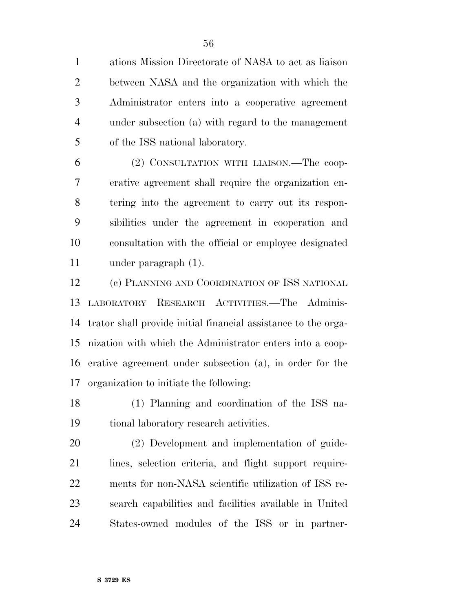ations Mission Directorate of NASA to act as liaison between NASA and the organization with which the Administrator enters into a cooperative agreement under subsection (a) with regard to the management of the ISS national laboratory.

 (2) CONSULTATION WITH LIAISON.—The coop- erative agreement shall require the organization en- tering into the agreement to carry out its respon- sibilities under the agreement in cooperation and consultation with the official or employee designated under paragraph (1).

 (c) PLANNING AND COORDINATION OF ISS NATIONAL LABORATORY RESEARCH ACTIVITIES.—The Adminis- trator shall provide initial financial assistance to the orga- nization with which the Administrator enters into a coop- erative agreement under subsection (a), in order for the organization to initiate the following:

 (1) Planning and coordination of the ISS na-tional laboratory research activities.

 (2) Development and implementation of guide- lines, selection criteria, and flight support require- ments for non-NASA scientific utilization of ISS re- search capabilities and facilities available in United States-owned modules of the ISS or in partner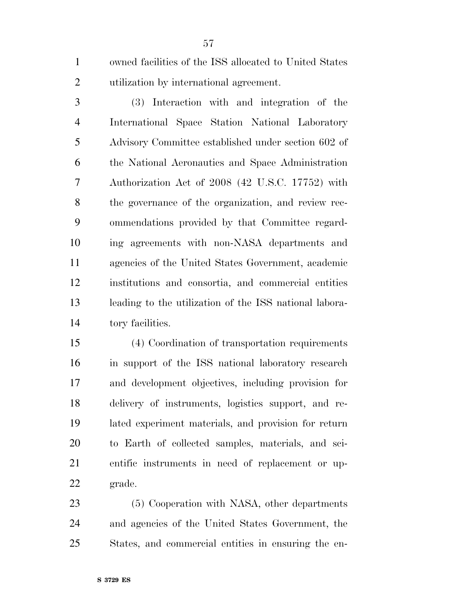owned facilities of the ISS allocated to United States utilization by international agreement.

 (3) Interaction with and integration of the International Space Station National Laboratory Advisory Committee established under section 602 of the National Aeronautics and Space Administration Authorization Act of 2008 (42 U.S.C. 17752) with the governance of the organization, and review rec- ommendations provided by that Committee regard- ing agreements with non-NASA departments and agencies of the United States Government, academic institutions and consortia, and commercial entities leading to the utilization of the ISS national labora-tory facilities.

 (4) Coordination of transportation requirements in support of the ISS national laboratory research and development objectives, including provision for delivery of instruments, logistics support, and re- lated experiment materials, and provision for return to Earth of collected samples, materials, and sci- entific instruments in need of replacement or up-grade.

 (5) Cooperation with NASA, other departments and agencies of the United States Government, the States, and commercial entities in ensuring the en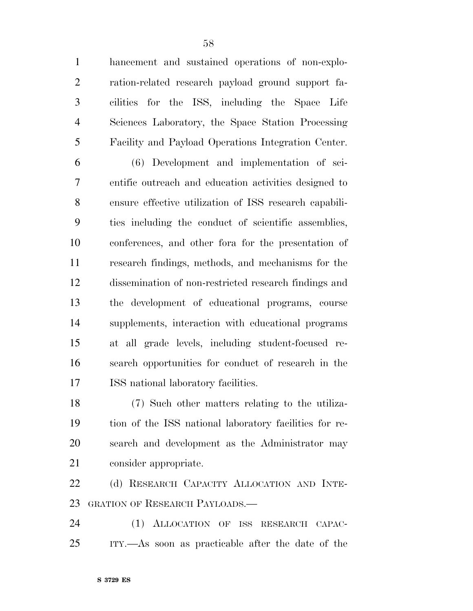hancement and sustained operations of non-explo- ration-related research payload ground support fa- cilities for the ISS, including the Space Life Sciences Laboratory, the Space Station Processing Facility and Payload Operations Integration Center.

 (6) Development and implementation of sci- entific outreach and education activities designed to ensure effective utilization of ISS research capabili- ties including the conduct of scientific assemblies, conferences, and other fora for the presentation of research findings, methods, and mechanisms for the dissemination of non-restricted research findings and the development of educational programs, course supplements, interaction with educational programs at all grade levels, including student-focused re- search opportunities for conduct of research in the ISS national laboratory facilities.

 (7) Such other matters relating to the utiliza- tion of the ISS national laboratory facilities for re- search and development as the Administrator may consider appropriate.

22 (d) RESEARCH CAPACITY ALLOCATION AND INTE-GRATION OF RESEARCH PAYLOADS.—

 (1) ALLOCATION OF ISS RESEARCH CAPAC-ITY.—As soon as practicable after the date of the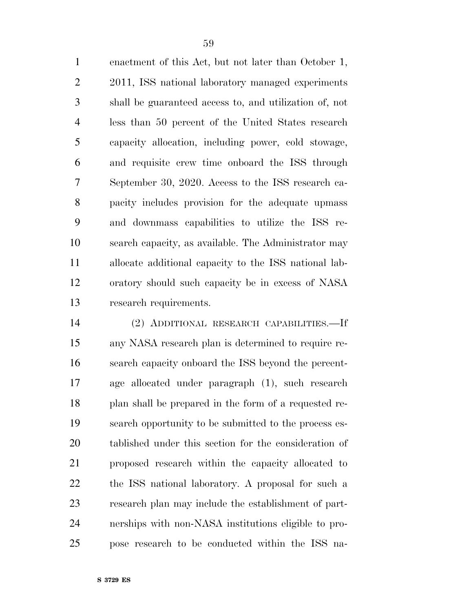enactment of this Act, but not later than October 1, 2011, ISS national laboratory managed experiments shall be guaranteed access to, and utilization of, not less than 50 percent of the United States research capacity allocation, including power, cold stowage, and requisite crew time onboard the ISS through September 30, 2020. Access to the ISS research ca- pacity includes provision for the adequate upmass and downmass capabilities to utilize the ISS re- search capacity, as available. The Administrator may allocate additional capacity to the ISS national lab- oratory should such capacity be in excess of NASA research requirements.

 (2) ADDITIONAL RESEARCH CAPABILITIES.—If any NASA research plan is determined to require re- search capacity onboard the ISS beyond the percent- age allocated under paragraph (1), such research plan shall be prepared in the form of a requested re- search opportunity to be submitted to the process es- tablished under this section for the consideration of proposed research within the capacity allocated to the ISS national laboratory. A proposal for such a research plan may include the establishment of part- nerships with non-NASA institutions eligible to pro-pose research to be conducted within the ISS na-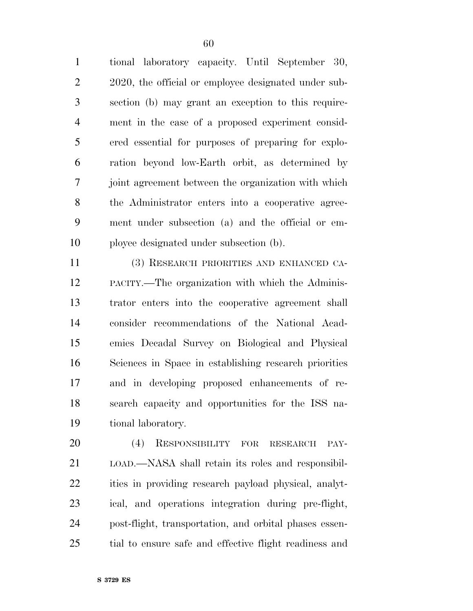tional laboratory capacity. Until September 30, 2020, the official or employee designated under sub- section (b) may grant an exception to this require- ment in the case of a proposed experiment consid- ered essential for purposes of preparing for explo- ration beyond low-Earth orbit, as determined by joint agreement between the organization with which the Administrator enters into a cooperative agree- ment under subsection (a) and the official or em-ployee designated under subsection (b).

 (3) RESEARCH PRIORITIES AND ENHANCED CA- PACITY.—The organization with which the Adminis- trator enters into the cooperative agreement shall consider recommendations of the National Acad- emies Decadal Survey on Biological and Physical Sciences in Space in establishing research priorities and in developing proposed enhancements of re- search capacity and opportunities for the ISS na-tional laboratory.

 (4) RESPONSIBILITY FOR RESEARCH PAY- LOAD.—NASA shall retain its roles and responsibil- ities in providing research payload physical, analyt- ical, and operations integration during pre-flight, post-flight, transportation, and orbital phases essen-tial to ensure safe and effective flight readiness and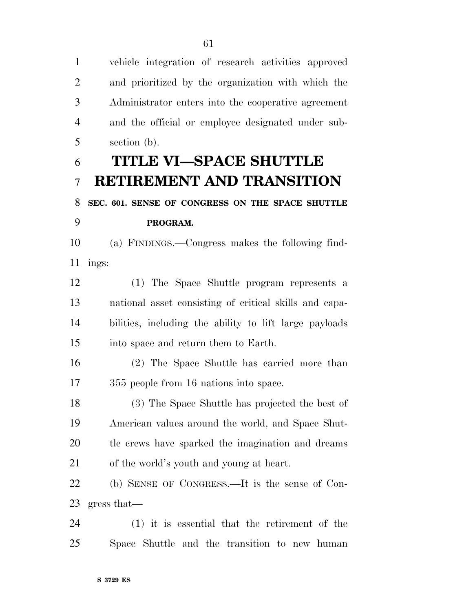vehicle integration of research activities approved and prioritized by the organization with which the Administrator enters into the cooperative agreement and the official or employee designated under sub-section (b).

## **TITLE VI—SPACE SHUTTLE RETIREMENT AND TRANSITION**

## **SEC. 601. SENSE OF CONGRESS ON THE SPACE SHUTTLE PROGRAM.**

 (a) FINDINGS.—Congress makes the following find-ings:

 (1) The Space Shuttle program represents a national asset consisting of critical skills and capa- bilities, including the ability to lift large payloads into space and return them to Earth.

 (2) The Space Shuttle has carried more than 355 people from 16 nations into space.

 (3) The Space Shuttle has projected the best of American values around the world, and Space Shut- tle crews have sparked the imagination and dreams of the world's youth and young at heart.

 (b) SENSE OF CONGRESS.—It is the sense of Con-gress that—

 (1) it is essential that the retirement of the Space Shuttle and the transition to new human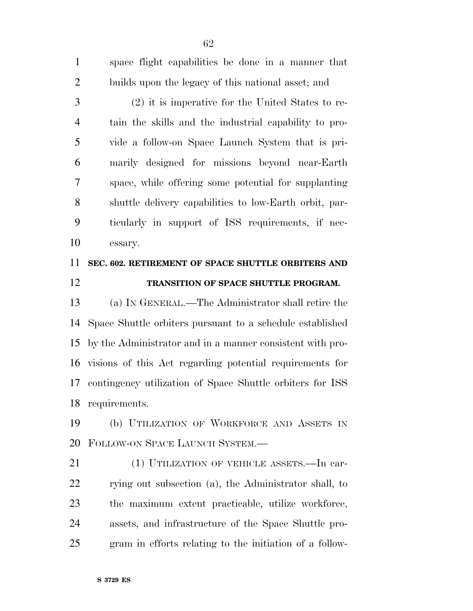space flight capabilities be done in a manner that builds upon the legacy of this national asset; and (2) it is imperative for the United States to re- tain the skills and the industrial capability to pro- vide a follow-on Space Launch System that is pri- marily designed for missions beyond near-Earth space, while offering some potential for supplanting shuttle delivery capabilities to low-Earth orbit, par- ticularly in support of ISS requirements, if nec-essary.

### **SEC. 602. RETIREMENT OF SPACE SHUTTLE ORBITERS AND TRANSITION OF SPACE SHUTTLE PROGRAM.**

 (a) IN GENERAL.—The Administrator shall retire the Space Shuttle orbiters pursuant to a schedule established by the Administrator and in a manner consistent with pro- visions of this Act regarding potential requirements for contingency utilization of Space Shuttle orbiters for ISS requirements.

 (b) UTILIZATION OF WORKFORCE AND ASSETS IN FOLLOW-ON SPACE LAUNCH SYSTEM.—

 (1) UTILIZATION OF VEHICLE ASSETS.—In car- rying out subsection (a), the Administrator shall, to the maximum extent practicable, utilize workforce, assets, and infrastructure of the Space Shuttle pro-gram in efforts relating to the initiation of a follow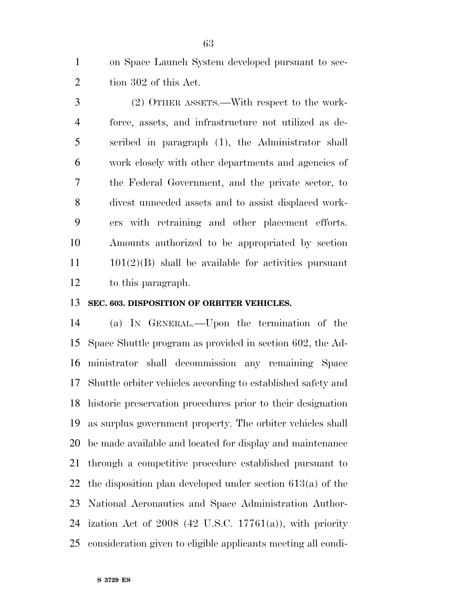on Space Launch System developed pursuant to sec-2 tion 302 of this Act.

 (2) OTHER ASSETS.—With respect to the work- force, assets, and infrastructure not utilized as de- scribed in paragraph (1), the Administrator shall work closely with other departments and agencies of the Federal Government, and the private sector, to divest unneeded assets and to assist displaced work- ers with retraining and other placement efforts. Amounts authorized to be appropriated by section  $11 \qquad 101(2)(B)$  shall be available for activities pursuant to this paragraph.

#### **SEC. 603. DISPOSITION OF ORBITER VEHICLES.**

 (a) IN GENERAL.—Upon the termination of the Space Shuttle program as provided in section 602, the Ad- ministrator shall decommission any remaining Space Shuttle orbiter vehicles according to established safety and historic preservation procedures prior to their designation as surplus government property. The orbiter vehicles shall be made available and located for display and maintenance through a competitive procedure established pursuant to the disposition plan developed under section 613(a) of the National Aeronautics and Space Administration Author- ization Act of 2008 (42 U.S.C. 17761(a)), with priority consideration given to eligible applicants meeting all condi-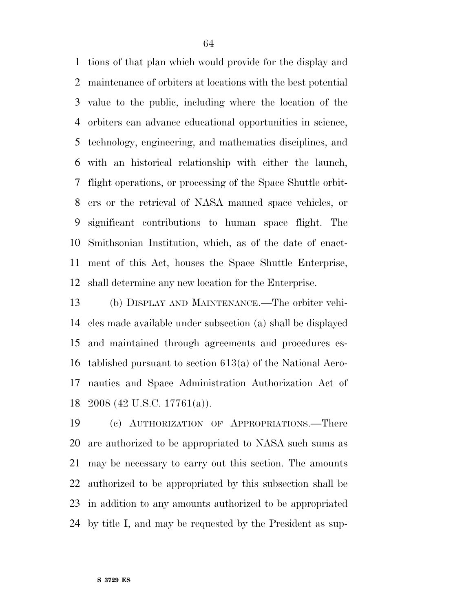tions of that plan which would provide for the display and maintenance of orbiters at locations with the best potential value to the public, including where the location of the orbiters can advance educational opportunities in science, technology, engineering, and mathematics disciplines, and with an historical relationship with either the launch, flight operations, or processing of the Space Shuttle orbit- ers or the retrieval of NASA manned space vehicles, or significant contributions to human space flight. The Smithsonian Institution, which, as of the date of enact- ment of this Act, houses the Space Shuttle Enterprise, shall determine any new location for the Enterprise.

 (b) DISPLAY AND MAINTENANCE.—The orbiter vehi- cles made available under subsection (a) shall be displayed and maintained through agreements and procedures es- tablished pursuant to section 613(a) of the National Aero- nautics and Space Administration Authorization Act of 2008 (42 U.S.C. 17761(a)).

 (c) AUTHORIZATION OF APPROPRIATIONS.—There are authorized to be appropriated to NASA such sums as may be necessary to carry out this section. The amounts authorized to be appropriated by this subsection shall be in addition to any amounts authorized to be appropriated by title I, and may be requested by the President as sup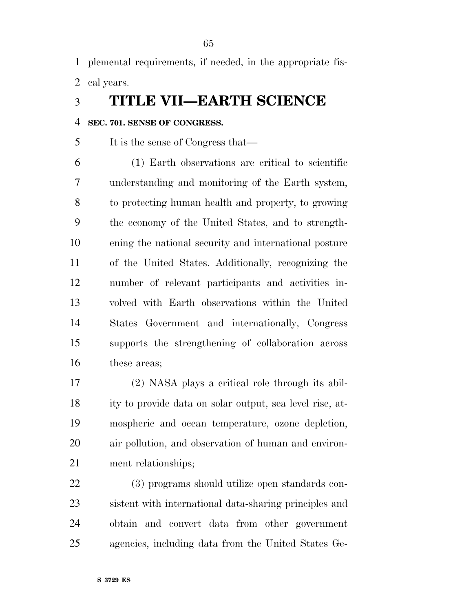plemental requirements, if needed, in the appropriate fis-cal years.

### **TITLE VII—EARTH SCIENCE**

#### **SEC. 701. SENSE OF CONGRESS.**

It is the sense of Congress that—

 (1) Earth observations are critical to scientific understanding and monitoring of the Earth system, to protecting human health and property, to growing the economy of the United States, and to strength- ening the national security and international posture of the United States. Additionally, recognizing the number of relevant participants and activities in- volved with Earth observations within the United States Government and internationally, Congress supports the strengthening of collaboration across these areas;

 (2) NASA plays a critical role through its abil- ity to provide data on solar output, sea level rise, at- mospheric and ocean temperature, ozone depletion, air pollution, and observation of human and environ-ment relationships;

 (3) programs should utilize open standards con- sistent with international data-sharing principles and obtain and convert data from other government agencies, including data from the United States Ge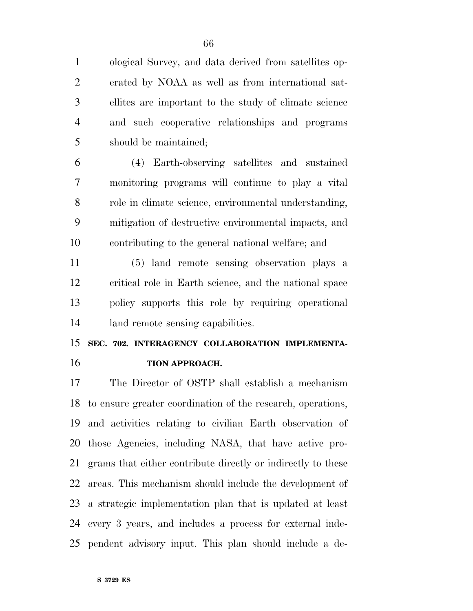ological Survey, and data derived from satellites op- erated by NOAA as well as from international sat- ellites are important to the study of climate science and such cooperative relationships and programs should be maintained;

 (4) Earth-observing satellites and sustained monitoring programs will continue to play a vital role in climate science, environmental understanding, mitigation of destructive environmental impacts, and contributing to the general national welfare; and

 (5) land remote sensing observation plays a critical role in Earth science, and the national space policy supports this role by requiring operational land remote sensing capabilities.

## **SEC. 702. INTERAGENCY COLLABORATION IMPLEMENTA-TION APPROACH.**

 The Director of OSTP shall establish a mechanism to ensure greater coordination of the research, operations, and activities relating to civilian Earth observation of those Agencies, including NASA, that have active pro- grams that either contribute directly or indirectly to these areas. This mechanism should include the development of a strategic implementation plan that is updated at least every 3 years, and includes a process for external inde-pendent advisory input. This plan should include a de-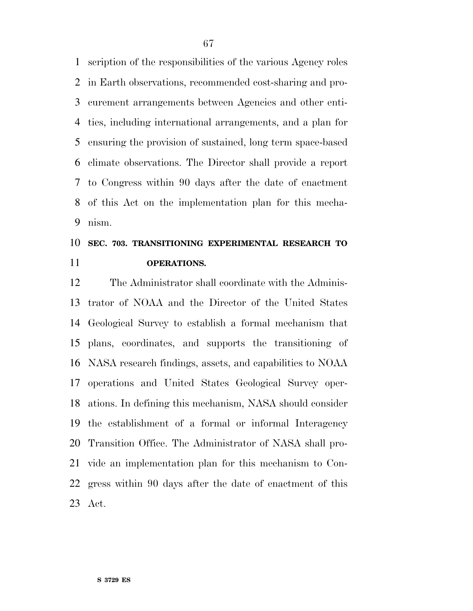scription of the responsibilities of the various Agency roles in Earth observations, recommended cost-sharing and pro- curement arrangements between Agencies and other enti- ties, including international arrangements, and a plan for ensuring the provision of sustained, long term space-based climate observations. The Director shall provide a report to Congress within 90 days after the date of enactment of this Act on the implementation plan for this mecha-nism.

## **SEC. 703. TRANSITIONING EXPERIMENTAL RESEARCH TO OPERATIONS.**

 The Administrator shall coordinate with the Adminis- trator of NOAA and the Director of the United States Geological Survey to establish a formal mechanism that plans, coordinates, and supports the transitioning of NASA research findings, assets, and capabilities to NOAA operations and United States Geological Survey oper- ations. In defining this mechanism, NASA should consider the establishment of a formal or informal Interagency Transition Office. The Administrator of NASA shall pro- vide an implementation plan for this mechanism to Con- gress within 90 days after the date of enactment of this Act.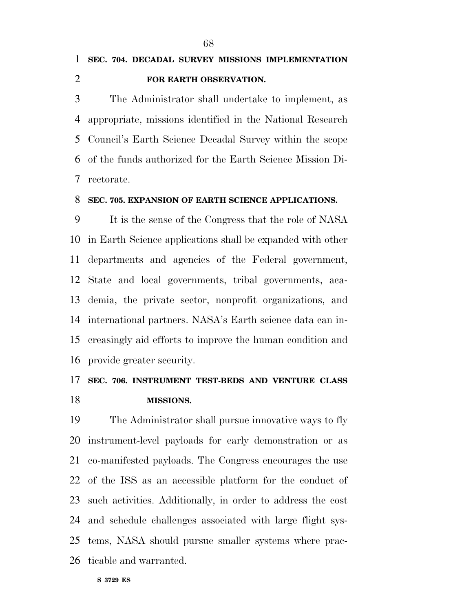## **SEC. 704. DECADAL SURVEY MISSIONS IMPLEMENTATION FOR EARTH OBSERVATION.**

 The Administrator shall undertake to implement, as appropriate, missions identified in the National Research Council's Earth Science Decadal Survey within the scope of the funds authorized for the Earth Science Mission Di-rectorate.

#### **SEC. 705. EXPANSION OF EARTH SCIENCE APPLICATIONS.**

 It is the sense of the Congress that the role of NASA in Earth Science applications shall be expanded with other departments and agencies of the Federal government, State and local governments, tribal governments, aca- demia, the private sector, nonprofit organizations, and international partners. NASA's Earth science data can in- creasingly aid efforts to improve the human condition and provide greater security.

### **SEC. 706. INSTRUMENT TEST-BEDS AND VENTURE CLASS MISSIONS.**

 The Administrator shall pursue innovative ways to fly instrument-level payloads for early demonstration or as co-manifested payloads. The Congress encourages the use of the ISS as an accessible platform for the conduct of such activities. Additionally, in order to address the cost and schedule challenges associated with large flight sys- tems, NASA should pursue smaller systems where prac-ticable and warranted.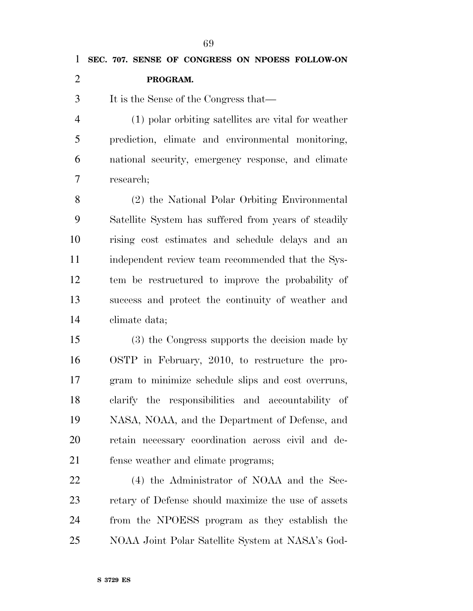**SEC. 707. SENSE OF CONGRESS ON NPOESS FOLLOW-ON PROGRAM.**  It is the Sense of the Congress that— (1) polar orbiting satellites are vital for weather prediction, climate and environmental monitoring, national security, emergency response, and climate research; (2) the National Polar Orbiting Environmental Satellite System has suffered from years of steadily rising cost estimates and schedule delays and an independent review team recommended that the Sys- tem be restructured to improve the probability of success and protect the continuity of weather and climate data; (3) the Congress supports the decision made by OSTP in February, 2010, to restructure the pro- gram to minimize schedule slips and cost overruns, clarify the responsibilities and accountability of NASA, NOAA, and the Department of Defense, and retain necessary coordination across civil and de-fense weather and climate programs;

 (4) the Administrator of NOAA and the Sec- retary of Defense should maximize the use of assets from the NPOESS program as they establish the NOAA Joint Polar Satellite System at NASA's God-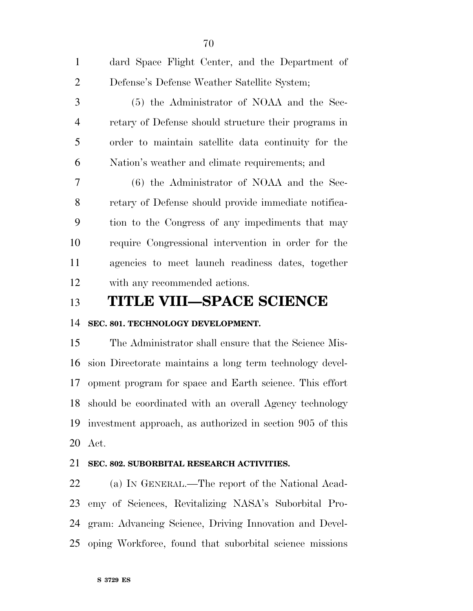| $\mathbf{1}$   | dard Space Flight Center, and the Department of      |
|----------------|------------------------------------------------------|
| 2              | Defense's Defense Weather Satellite System;          |
| 3              | (5) the Administrator of NOAA and the Sec-           |
| $\overline{4}$ | retary of Defense should structure their programs in |
| 5              | order to maintain satellite data continuity for the  |
| 6              | Nation's weather and climate requirements; and       |
| 7              | (6) the Administrator of NOAA and the Sec-           |
| 8              | retary of Defense should provide immediate notifica- |
| 9              | tion to the Congress of any impediments that may     |
| 10             | require Congressional intervention in order for the  |
| 11             | agencies to meet launch readiness dates, together    |
| 12             | with any recommended actions.                        |

### **TITLE VIII—SPACE SCIENCE**

#### **SEC. 801. TECHNOLOGY DEVELOPMENT.**

 The Administrator shall ensure that the Science Mis- sion Directorate maintains a long term technology devel- opment program for space and Earth science. This effort should be coordinated with an overall Agency technology investment approach, as authorized in section 905 of this Act.

#### **SEC. 802. SUBORBITAL RESEARCH ACTIVITIES.**

 (a) IN GENERAL.—The report of the National Acad- emy of Sciences, Revitalizing NASA's Suborbital Pro- gram: Advancing Science, Driving Innovation and Devel-oping Workforce, found that suborbital science missions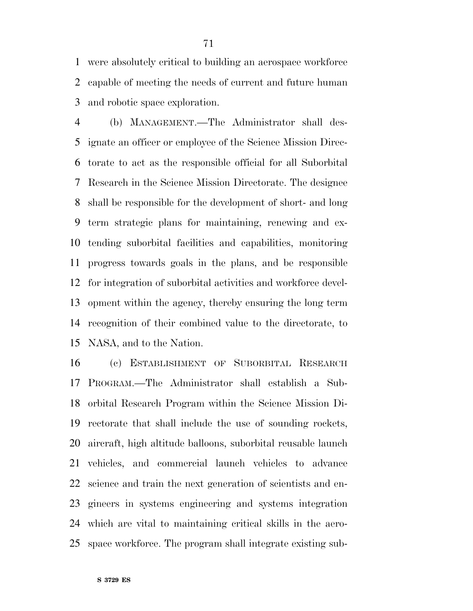were absolutely critical to building an aerospace workforce capable of meeting the needs of current and future human and robotic space exploration.

 (b) MANAGEMENT.—The Administrator shall des- ignate an officer or employee of the Science Mission Direc- torate to act as the responsible official for all Suborbital Research in the Science Mission Directorate. The designee shall be responsible for the development of short- and long term strategic plans for maintaining, renewing and ex- tending suborbital facilities and capabilities, monitoring progress towards goals in the plans, and be responsible for integration of suborbital activities and workforce devel- opment within the agency, thereby ensuring the long term recognition of their combined value to the directorate, to NASA, and to the Nation.

 (c) ESTABLISHMENT OF SUBORBITAL RESEARCH PROGRAM.—The Administrator shall establish a Sub- orbital Research Program within the Science Mission Di- rectorate that shall include the use of sounding rockets, aircraft, high altitude balloons, suborbital reusable launch vehicles, and commercial launch vehicles to advance science and train the next generation of scientists and en- gineers in systems engineering and systems integration which are vital to maintaining critical skills in the aero-space workforce. The program shall integrate existing sub-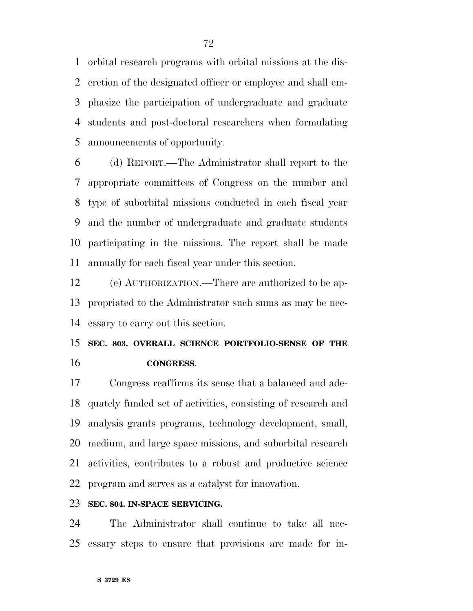orbital research programs with orbital missions at the dis- cretion of the designated officer or employee and shall em- phasize the participation of undergraduate and graduate students and post-doctoral researchers when formulating announcements of opportunity.

 (d) REPORT.—The Administrator shall report to the appropriate committees of Congress on the number and type of suborbital missions conducted in each fiscal year and the number of undergraduate and graduate students participating in the missions. The report shall be made annually for each fiscal year under this section.

 (e) AUTHORIZATION.—There are authorized to be ap- propriated to the Administrator such sums as may be nec-essary to carry out this section.

## **SEC. 803. OVERALL SCIENCE PORTFOLIO-SENSE OF THE CONGRESS.**

 Congress reaffirms its sense that a balanced and ade- quately funded set of activities, consisting of research and analysis grants programs, technology development, small, medium, and large space missions, and suborbital research activities, contributes to a robust and productive science program and serves as a catalyst for innovation.

#### **SEC. 804. IN-SPACE SERVICING.**

 The Administrator shall continue to take all nec-essary steps to ensure that provisions are made for in-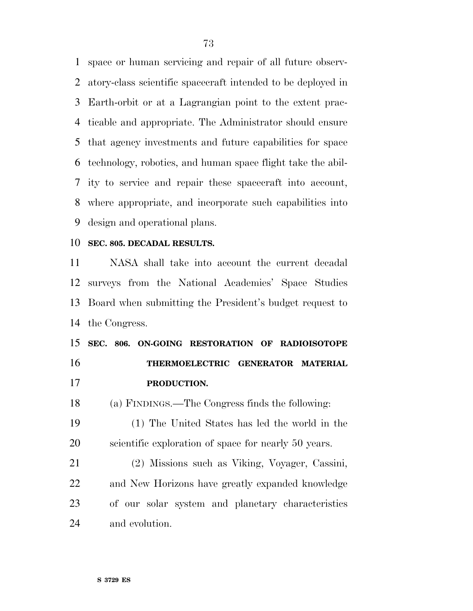space or human servicing and repair of all future observ- atory-class scientific spacecraft intended to be deployed in Earth-orbit or at a Lagrangian point to the extent prac- ticable and appropriate. The Administrator should ensure that agency investments and future capabilities for space technology, robotics, and human space flight take the abil- ity to service and repair these spacecraft into account, where appropriate, and incorporate such capabilities into design and operational plans.

#### **SEC. 805. DECADAL RESULTS.**

 NASA shall take into account the current decadal surveys from the National Academies' Space Studies Board when submitting the President's budget request to the Congress.

### **SEC. 806. ON-GOING RESTORATION OF RADIOISOTOPE THERMOELECTRIC GENERATOR MATERIAL PRODUCTION.**

(a) FINDINGS.—The Congress finds the following:

 (1) The United States has led the world in the scientific exploration of space for nearly 50 years.

 (2) Missions such as Viking, Voyager, Cassini, and New Horizons have greatly expanded knowledge of our solar system and planetary characteristics and evolution.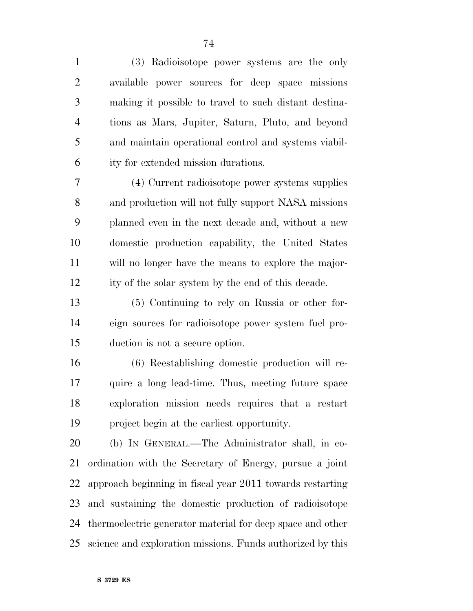(3) Radioisotope power systems are the only available power sources for deep space missions making it possible to travel to such distant destina- tions as Mars, Jupiter, Saturn, Pluto, and beyond and maintain operational control and systems viabil-ity for extended mission durations.

 (4) Current radioisotope power systems supplies and production will not fully support NASA missions planned even in the next decade and, without a new domestic production capability, the United States will no longer have the means to explore the major-ity of the solar system by the end of this decade.

 (5) Continuing to rely on Russia or other for- eign sources for radioisotope power system fuel pro-duction is not a secure option.

 (6) Reestablishing domestic production will re- quire a long lead-time. Thus, meeting future space exploration mission needs requires that a restart project begin at the earliest opportunity.

 (b) IN GENERAL.—The Administrator shall, in co- ordination with the Secretary of Energy, pursue a joint approach beginning in fiscal year 2011 towards restarting and sustaining the domestic production of radioisotope thermoelectric generator material for deep space and other science and exploration missions. Funds authorized by this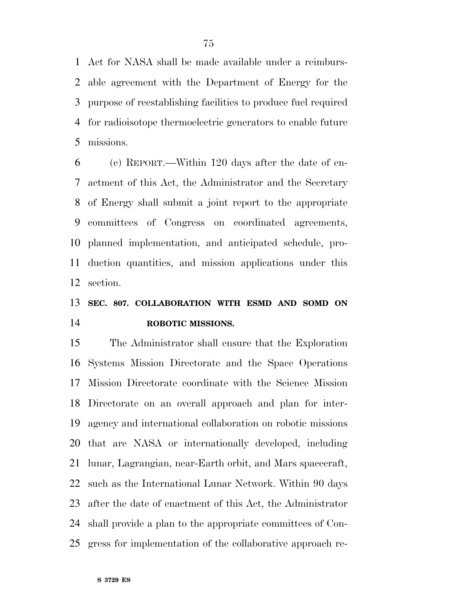Act for NASA shall be made available under a reimburs- able agreement with the Department of Energy for the purpose of reestablishing facilities to produce fuel required for radioisotope thermoelectric generators to enable future missions.

 (c) REPORT.—Within 120 days after the date of en- actment of this Act, the Administrator and the Secretary of Energy shall submit a joint report to the appropriate committees of Congress on coordinated agreements, planned implementation, and anticipated schedule, pro- duction quantities, and mission applications under this section.

### **SEC. 807. COLLABORATION WITH ESMD AND SOMD ON ROBOTIC MISSIONS.**

 The Administrator shall ensure that the Exploration Systems Mission Directorate and the Space Operations Mission Directorate coordinate with the Science Mission Directorate on an overall approach and plan for inter- agency and international collaboration on robotic missions that are NASA or internationally developed, including lunar, Lagrangian, near-Earth orbit, and Mars spacecraft, such as the International Lunar Network. Within 90 days after the date of enactment of this Act, the Administrator shall provide a plan to the appropriate committees of Con-gress for implementation of the collaborative approach re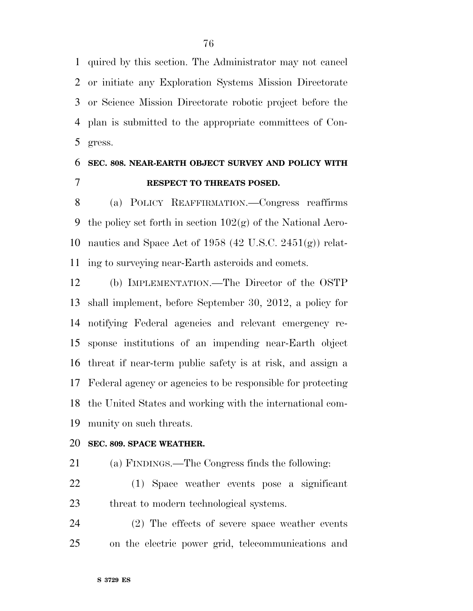quired by this section. The Administrator may not cancel or initiate any Exploration Systems Mission Directorate or Science Mission Directorate robotic project before the plan is submitted to the appropriate committees of Con-gress.

### **SEC. 808. NEAR-EARTH OBJECT SURVEY AND POLICY WITH RESPECT TO THREATS POSED.**

 (a) POLICY REAFFIRMATION.—Congress reaffirms 9 the policy set forth in section  $102(g)$  of the National Aero- nautics and Space Act of 1958 (42 U.S.C. 2451(g)) relat-ing to surveying near-Earth asteroids and comets.

 (b) IMPLEMENTATION.—The Director of the OSTP shall implement, before September 30, 2012, a policy for notifying Federal agencies and relevant emergency re- sponse institutions of an impending near-Earth object threat if near-term public safety is at risk, and assign a Federal agency or agencies to be responsible for protecting the United States and working with the international com-munity on such threats.

### **SEC. 809. SPACE WEATHER.**

(a) FINDINGS.—The Congress finds the following:

 (1) Space weather events pose a significant threat to modern technological systems.

 (2) The effects of severe space weather events on the electric power grid, telecommunications and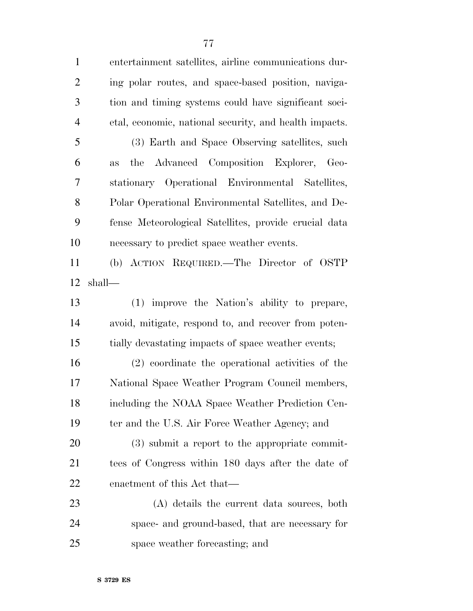| $\mathbf{1}$   | entertainment satellites, airline communications dur-  |
|----------------|--------------------------------------------------------|
| $\overline{2}$ | ing polar routes, and space-based position, naviga-    |
| $\mathfrak{Z}$ | tion and timing systems could have significant soci-   |
| $\overline{4}$ | etal, economic, national security, and health impacts. |
| 5              | (3) Earth and Space Observing satellites, such         |
| 6              | Advanced Composition Explorer, Geo-<br>the<br>as       |
| $\overline{7}$ | stationary Operational Environmental Satellites,       |
| 8              | Polar Operational Environmental Satellites, and De-    |
| 9              | fense Meteorological Satellites, provide crucial data  |
| 10             | necessary to predict space weather events.             |
| 11             | (b) ACTION REQUIRED.—The Director of OSTP              |
| 12             | shall—                                                 |
| 13             | (1) improve the Nation's ability to prepare,           |
| 14             | avoid, mitigate, respond to, and recover from poten-   |
| 15             | tially devastating impacts of space weather events;    |
| 16             | (2) coordinate the operational activities of the       |
| 17             | National Space Weather Program Council members,        |
| 18             | including the NOAA Space Weather Prediction Cen-       |
| 19             | ter and the U.S. Air Force Weather Agency; and         |
| 20             | $(3)$ submit a report to the appropriate commit-       |
| 21             | tees of Congress within 180 days after the date of     |
| 22             | enactment of this Act that—                            |
| 23             | (A) details the current data sources, both             |
| 24             | space- and ground-based, that are necessary for        |
| 25             | space weather forecasting; and                         |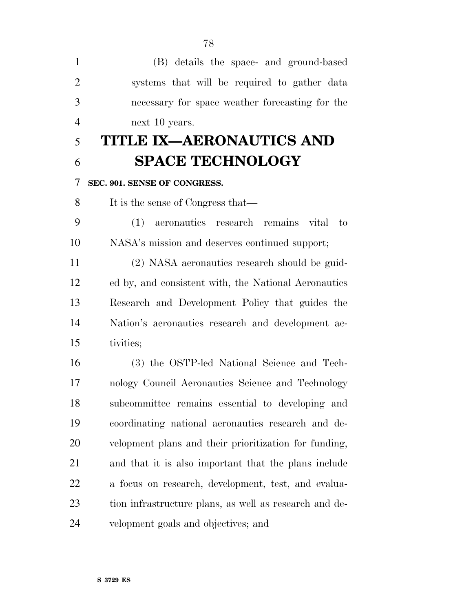| $\mathbf{1}$   | (B) details the space- and ground-based                |
|----------------|--------------------------------------------------------|
|                |                                                        |
| $\overline{2}$ | systems that will be required to gather data           |
| 3              | necessary for space weather forecasting for the        |
| $\overline{4}$ | next 10 years.                                         |
| 5              | TITLE IX—AERONAUTICS AND                               |
| 6              | <b>SPACE TECHNOLOGY</b>                                |
| 7              | SEC. 901. SENSE OF CONGRESS.                           |
| 8              | It is the sense of Congress that—                      |
| 9              | aeronautics research remains vital to<br>(1)           |
| 10             | NASA's mission and deserves continued support;         |
| 11             | (2) NASA aeronautics research should be guid-          |
| 12             | ed by, and consistent with, the National Aeronautics   |
| 13             | Research and Development Policy that guides the        |
| 14             | Nation's aeronautics research and development ac-      |
| 15             | tivities;                                              |
| 16             | (3) the OSTP-led National Science and Tech-            |
| 17             | nology Council Aeronautics Science and Technology      |
| 18             | subcommittee remains essential to developing and       |
| 19             | coordinating national aeronautics research and de-     |
| 20             | velopment plans and their prioritization for funding,  |
| 21             | and that it is also important that the plans include   |
| 22             | a focus on research, development, test, and evalua-    |
| 23             | tion infrastructure plans, as well as research and de- |
| 24             | velopment goals and objectives; and                    |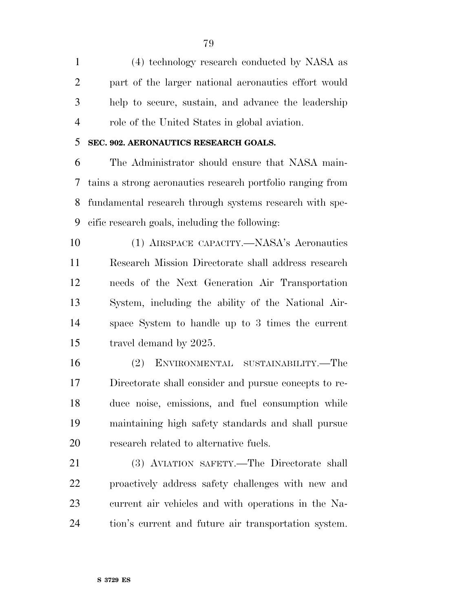(4) technology research conducted by NASA as part of the larger national aeronautics effort would help to secure, sustain, and advance the leadership role of the United States in global aviation.

### **SEC. 902. AERONAUTICS RESEARCH GOALS.**

 The Administrator should ensure that NASA main- tains a strong aeronautics research portfolio ranging from fundamental research through systems research with spe-cific research goals, including the following:

 (1) AIRSPACE CAPACITY.—NASA's Aeronautics Research Mission Directorate shall address research needs of the Next Generation Air Transportation System, including the ability of the National Air- space System to handle up to 3 times the current travel demand by 2025.

 (2) ENVIRONMENTAL SUSTAINABILITY.—The Directorate shall consider and pursue concepts to re- duce noise, emissions, and fuel consumption while maintaining high safety standards and shall pursue research related to alternative fuels.

 (3) AVIATION SAFETY.—The Directorate shall proactively address safety challenges with new and current air vehicles and with operations in the Na-tion's current and future air transportation system.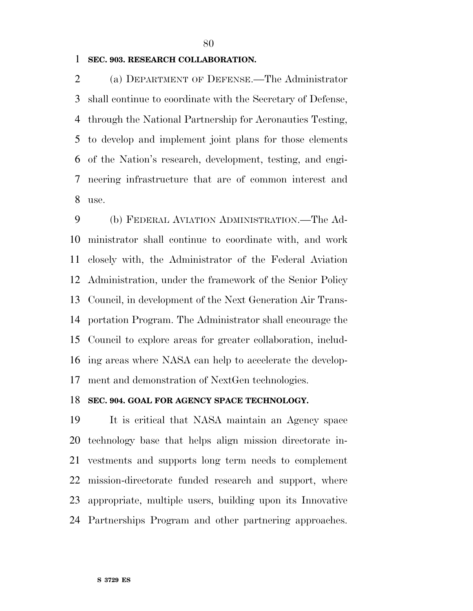### **SEC. 903. RESEARCH COLLABORATION.**

 (a) DEPARTMENT OF DEFENSE.—The Administrator shall continue to coordinate with the Secretary of Defense, through the National Partnership for Aeronautics Testing, to develop and implement joint plans for those elements of the Nation's research, development, testing, and engi- neering infrastructure that are of common interest and use.

 (b) FEDERAL AVIATION ADMINISTRATION.—The Ad- ministrator shall continue to coordinate with, and work closely with, the Administrator of the Federal Aviation Administration, under the framework of the Senior Policy Council, in development of the Next Generation Air Trans- portation Program. The Administrator shall encourage the Council to explore areas for greater collaboration, includ- ing areas where NASA can help to accelerate the develop-ment and demonstration of NextGen technologies.

#### **SEC. 904. GOAL FOR AGENCY SPACE TECHNOLOGY.**

 It is critical that NASA maintain an Agency space technology base that helps align mission directorate in- vestments and supports long term needs to complement mission-directorate funded research and support, where appropriate, multiple users, building upon its Innovative Partnerships Program and other partnering approaches.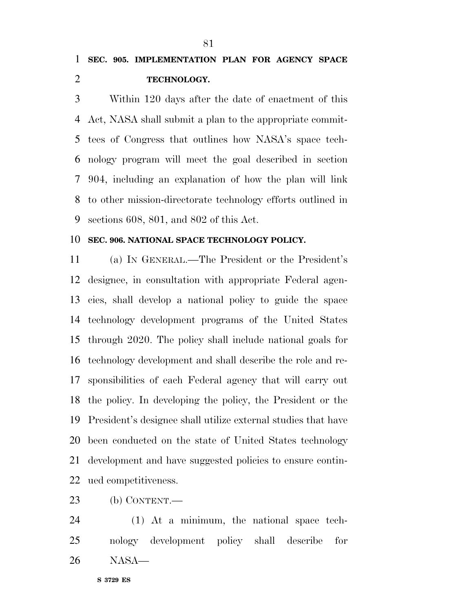Within 120 days after the date of enactment of this Act, NASA shall submit a plan to the appropriate commit- tees of Congress that outlines how NASA's space tech- nology program will meet the goal described in section 904, including an explanation of how the plan will link to other mission-directorate technology efforts outlined in sections 608, 801, and 802 of this Act.

#### **SEC. 906. NATIONAL SPACE TECHNOLOGY POLICY.**

 (a) IN GENERAL.—The President or the President's designee, in consultation with appropriate Federal agen- cies, shall develop a national policy to guide the space technology development programs of the United States through 2020. The policy shall include national goals for technology development and shall describe the role and re- sponsibilities of each Federal agency that will carry out the policy. In developing the policy, the President or the President's designee shall utilize external studies that have been conducted on the state of United States technology development and have suggested policies to ensure contin-ued competitiveness.

(b) CONTENT.—

 (1) At a minimum, the national space tech- nology development policy shall describe for NASA—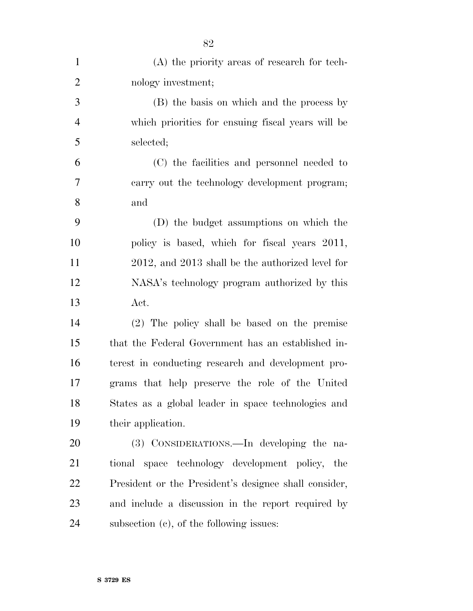| $\mathbf{1}$   | (A) the priority areas of research for tech-          |
|----------------|-------------------------------------------------------|
| $\overline{2}$ | nology investment;                                    |
| 3              | (B) the basis on which and the process by             |
| $\overline{4}$ | which priorities for ensuing fiscal years will be     |
| 5              | selected;                                             |
| 6              | (C) the facilities and personnel needed to            |
| 7              | carry out the technology development program;         |
| 8              | and                                                   |
| 9              | (D) the budget assumptions on which the               |
| 10             | policy is based, which for fiscal years 2011,         |
| 11             | 2012, and 2013 shall be the authorized level for      |
| 12             | NASA's technology program authorized by this          |
| 13             | Act.                                                  |
| 14             | (2) The policy shall be based on the premise          |
| 15             | that the Federal Government has an established in-    |
| 16             | terest in conducting research and development pro-    |
| 17             | grams that help preserve the role of the United       |
| 18             | States as a global leader in space technologies and   |
| 19             | their application.                                    |
| 20             | (3) CONSIDERATIONS.—In developing the na-             |
| 21             | tional space technology development policy,<br>the    |
| 22             | President or the President's designee shall consider, |
| 23             | and include a discussion in the report required by    |
| 24             | subsection $(c)$ , of the following issues:           |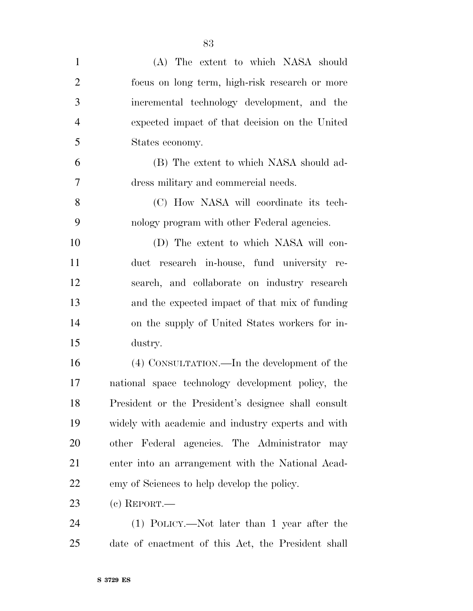| $\mathbf{1}$   | (A) The extent to which NASA should                 |
|----------------|-----------------------------------------------------|
| $\overline{2}$ | focus on long term, high-risk research or more      |
| 3              | incremental technology development, and the         |
| $\overline{4}$ | expected impact of that decision on the United      |
| 5              | States economy.                                     |
| 6              | (B) The extent to which NASA should ad-             |
| $\overline{7}$ | dress military and commercial needs.                |
| 8              | (C) How NASA will coordinate its tech-              |
| 9              | nology program with other Federal agencies.         |
| 10             | (D) The extent to which NASA will con-              |
| 11             | duct research in-house, fund university re-         |
| 12             | search, and collaborate on industry research        |
| 13             | and the expected impact of that mix of funding      |
| 14             | on the supply of United States workers for in-      |
| 15             | dustry.                                             |
| 16             | (4) CONSULTATION.—In the development of the         |
| 17             | national space technology development policy, the   |
| 18             | President or the President's designee shall consult |
| 19             | widely with academic and industry experts and with  |
| 20             | other Federal agencies. The Administrator<br>may    |
| 21             | enter into an arrangement with the National Acad-   |
| 22             | emy of Sciences to help develop the policy.         |
| 23             | $(c)$ REPORT.—                                      |
| 24             | (1) POLICY.—Not later than 1 year after the         |
| 25             | date of enactment of this Act, the President shall  |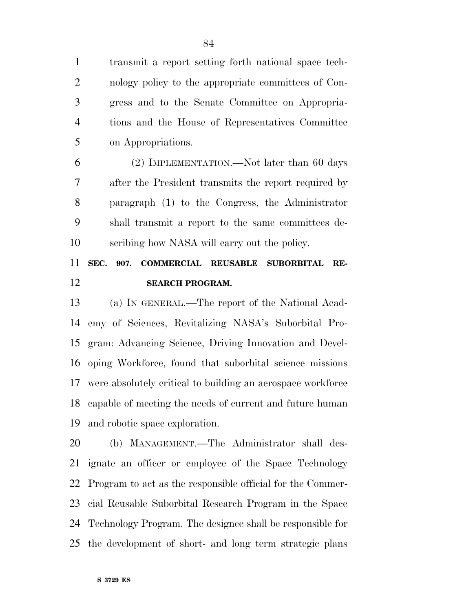transmit a report setting forth national space tech- nology policy to the appropriate committees of Con- gress and to the Senate Committee on Appropria- tions and the House of Representatives Committee on Appropriations.

 (2) IMPLEMENTATION.—Not later than 60 days after the President transmits the report required by paragraph (1) to the Congress, the Administrator shall transmit a report to the same committees de-scribing how NASA will carry out the policy.

### **SEC. 907. COMMERCIAL REUSABLE SUBORBITAL RE-SEARCH PROGRAM.**

 (a) IN GENERAL.—The report of the National Acad- emy of Sciences, Revitalizing NASA's Suborbital Pro- gram: Advancing Science, Driving Innovation and Devel- oping Workforce, found that suborbital science missions were absolutely critical to building an aerospace workforce capable of meeting the needs of current and future human and robotic space exploration.

 (b) MANAGEMENT.—The Administrator shall des- ignate an officer or employee of the Space Technology Program to act as the responsible official for the Commer- cial Reusable Suborbital Research Program in the Space Technology Program. The designee shall be responsible for the development of short- and long term strategic plans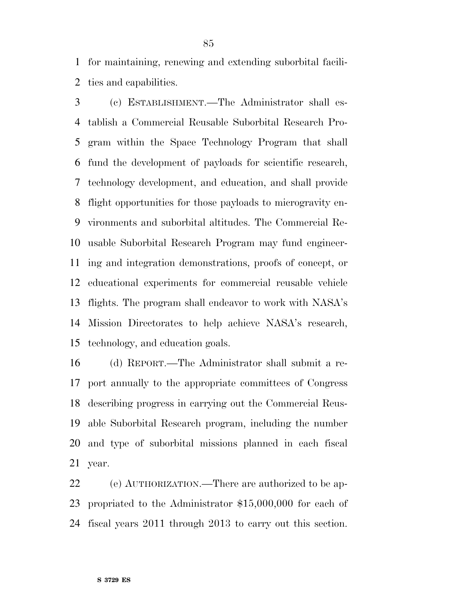for maintaining, renewing and extending suborbital facili-ties and capabilities.

 (c) ESTABLISHMENT.—The Administrator shall es- tablish a Commercial Reusable Suborbital Research Pro- gram within the Space Technology Program that shall fund the development of payloads for scientific research, technology development, and education, and shall provide flight opportunities for those payloads to microgravity en- vironments and suborbital altitudes. The Commercial Re- usable Suborbital Research Program may fund engineer- ing and integration demonstrations, proofs of concept, or educational experiments for commercial reusable vehicle flights. The program shall endeavor to work with NASA's Mission Directorates to help achieve NASA's research, technology, and education goals.

 (d) REPORT.—The Administrator shall submit a re- port annually to the appropriate committees of Congress describing progress in carrying out the Commercial Reus- able Suborbital Research program, including the number and type of suborbital missions planned in each fiscal year.

 (e) AUTHORIZATION.—There are authorized to be ap- propriated to the Administrator \$15,000,000 for each of fiscal years 2011 through 2013 to carry out this section.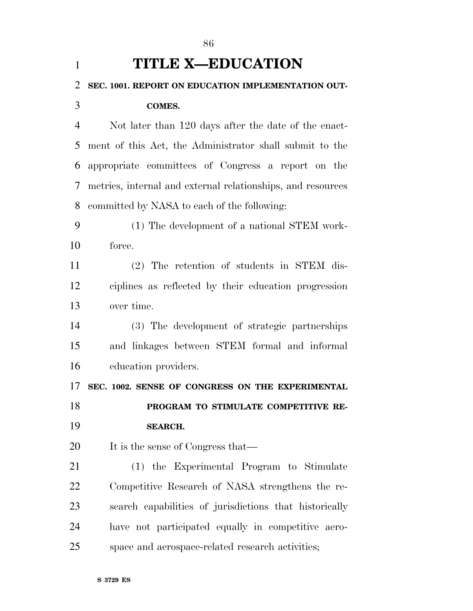| $\mathbf{1}$   | <b>TITLE X-EDUCATION</b>                                    |
|----------------|-------------------------------------------------------------|
| $\overline{2}$ | SEC. 1001. REPORT ON EDUCATION IMPLEMENTATION OUT-          |
| 3              | <b>COMES.</b>                                               |
| $\overline{4}$ | Not later than 120 days after the date of the enact-        |
| 5              | ment of this Act, the Administrator shall submit to the     |
| 6              | appropriate committees of Congress a report on the          |
| 7              | metrics, internal and external relationships, and resources |
| 8              | committed by NASA to each of the following:                 |
| 9              | (1) The development of a national STEM work-                |
| 10             | force.                                                      |
| 11             | (2) The retention of students in STEM dis-                  |
| 12             | ciplines as reflected by their education progression        |
| 13             | over time.                                                  |
| 14             | (3) The development of strategic partnerships               |
| 15             | and linkages between STEM formal and informal               |
| 16             | education providers.                                        |
| 17             | SEC. 1002. SENSE OF CONGRESS ON THE EXPERIMENTAL            |
| 18             | PROGRAM TO STIMULATE COMPETITIVE RE-                        |
| 19             | <b>SEARCH.</b>                                              |
| 20             | It is the sense of Congress that—                           |
| 21             | (1) the Experimental Program to Stimulate                   |
| 22             | Competitive Research of NASA strengthens the re-            |
| 23             | search capabilities of jurisdictions that historically      |
| 24             | have not participated equally in competitive aero-          |
| 25             | space and aerospace-related research activities;            |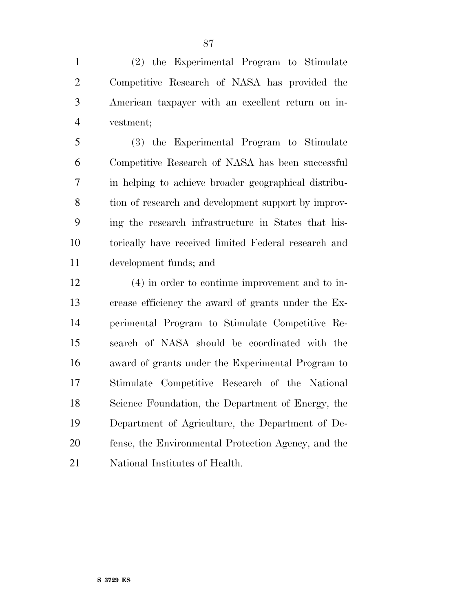(2) the Experimental Program to Stimulate Competitive Research of NASA has provided the American taxpayer with an excellent return on in-vestment;

 (3) the Experimental Program to Stimulate Competitive Research of NASA has been successful in helping to achieve broader geographical distribu- tion of research and development support by improv- ing the research infrastructure in States that his- torically have received limited Federal research and development funds; and

 (4) in order to continue improvement and to in- crease efficiency the award of grants under the Ex- perimental Program to Stimulate Competitive Re- search of NASA should be coordinated with the award of grants under the Experimental Program to Stimulate Competitive Research of the National Science Foundation, the Department of Energy, the Department of Agriculture, the Department of De- fense, the Environmental Protection Agency, and the National Institutes of Health.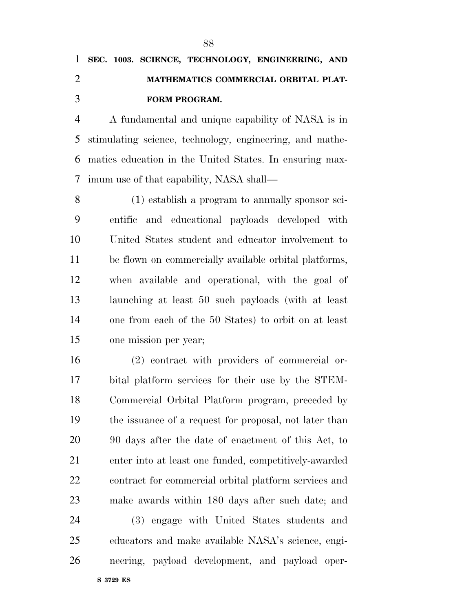A fundamental and unique capability of NASA is in stimulating science, technology, engineering, and mathe- matics education in the United States. In ensuring max-imum use of that capability, NASA shall—

 (1) establish a program to annually sponsor sci- entific and educational payloads developed with United States student and educator involvement to be flown on commercially available orbital platforms, when available and operational, with the goal of launching at least 50 such payloads (with at least one from each of the 50 States) to orbit on at least one mission per year;

 (2) contract with providers of commercial or- bital platform services for their use by the STEM- Commercial Orbital Platform program, preceded by the issuance of a request for proposal, not later than 90 days after the date of enactment of this Act, to enter into at least one funded, competitively-awarded contract for commercial orbital platform services and make awards within 180 days after such date; and (3) engage with United States students and educators and make available NASA's science, engi-neering, payload development, and payload oper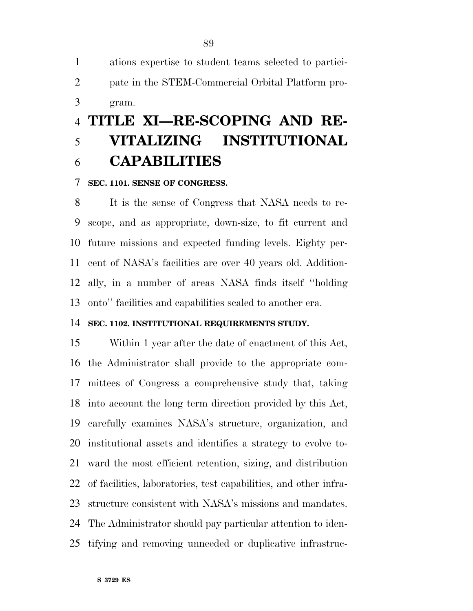ations expertise to student teams selected to partici- pate in the STEM-Commercial Orbital Platform pro-gram.

### **TITLE XI—RE-SCOPING AND RE- VITALIZING INSTITUTIONAL CAPABILITIES**

#### **SEC. 1101. SENSE OF CONGRESS.**

 It is the sense of Congress that NASA needs to re- scope, and as appropriate, down-size, to fit current and future missions and expected funding levels. Eighty per- cent of NASA's facilities are over 40 years old. Addition- ally, in a number of areas NASA finds itself ''holding onto'' facilities and capabilities scaled to another era.

#### **SEC. 1102. INSTITUTIONAL REQUIREMENTS STUDY.**

 Within 1 year after the date of enactment of this Act, the Administrator shall provide to the appropriate com- mittees of Congress a comprehensive study that, taking into account the long term direction provided by this Act, carefully examines NASA's structure, organization, and institutional assets and identifies a strategy to evolve to- ward the most efficient retention, sizing, and distribution of facilities, laboratories, test capabilities, and other infra- structure consistent with NASA's missions and mandates. The Administrator should pay particular attention to iden-tifying and removing unneeded or duplicative infrastruc-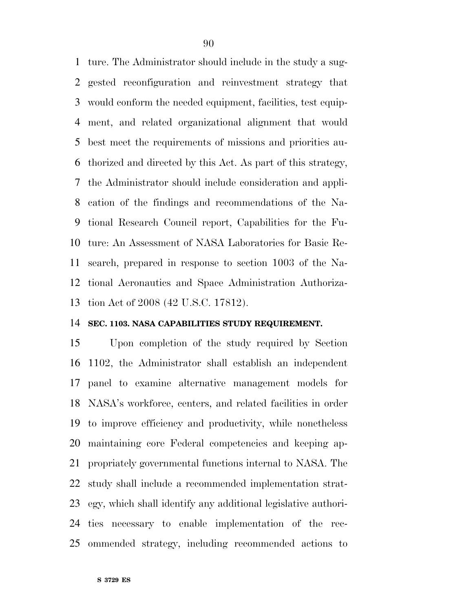ture. The Administrator should include in the study a sug- gested reconfiguration and reinvestment strategy that would conform the needed equipment, facilities, test equip- ment, and related organizational alignment that would best meet the requirements of missions and priorities au- thorized and directed by this Act. As part of this strategy, the Administrator should include consideration and appli- cation of the findings and recommendations of the Na- tional Research Council report, Capabilities for the Fu- ture: An Assessment of NASA Laboratories for Basic Re- search, prepared in response to section 1003 of the Na- tional Aeronautics and Space Administration Authoriza-tion Act of 2008 (42 U.S.C. 17812).

#### **SEC. 1103. NASA CAPABILITIES STUDY REQUIREMENT.**

 Upon completion of the study required by Section 1102, the Administrator shall establish an independent panel to examine alternative management models for NASA's workforce, centers, and related facilities in order to improve efficiency and productivity, while nonetheless maintaining core Federal competencies and keeping ap- propriately governmental functions internal to NASA. The study shall include a recommended implementation strat- egy, which shall identify any additional legislative authori- ties necessary to enable implementation of the rec-ommended strategy, including recommended actions to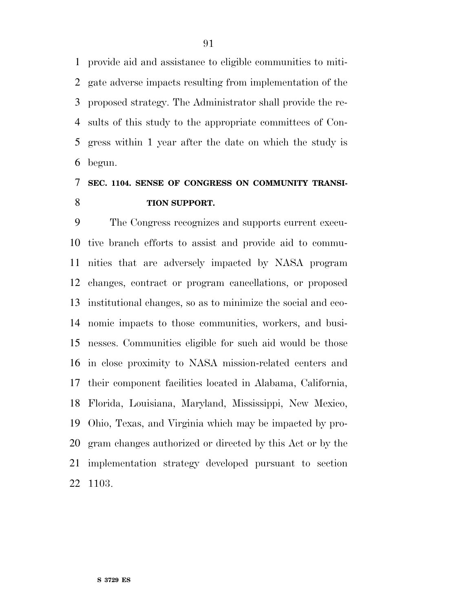provide aid and assistance to eligible communities to miti- gate adverse impacts resulting from implementation of the proposed strategy. The Administrator shall provide the re- sults of this study to the appropriate committees of Con- gress within 1 year after the date on which the study is begun.

### **SEC. 1104. SENSE OF CONGRESS ON COMMUNITY TRANSI-TION SUPPORT.**

 The Congress recognizes and supports current execu- tive branch efforts to assist and provide aid to commu- nities that are adversely impacted by NASA program changes, contract or program cancellations, or proposed institutional changes, so as to minimize the social and eco- nomic impacts to those communities, workers, and busi- nesses. Communities eligible for such aid would be those in close proximity to NASA mission-related centers and their component facilities located in Alabama, California, Florida, Louisiana, Maryland, Mississippi, New Mexico, Ohio, Texas, and Virginia which may be impacted by pro- gram changes authorized or directed by this Act or by the implementation strategy developed pursuant to section 1103.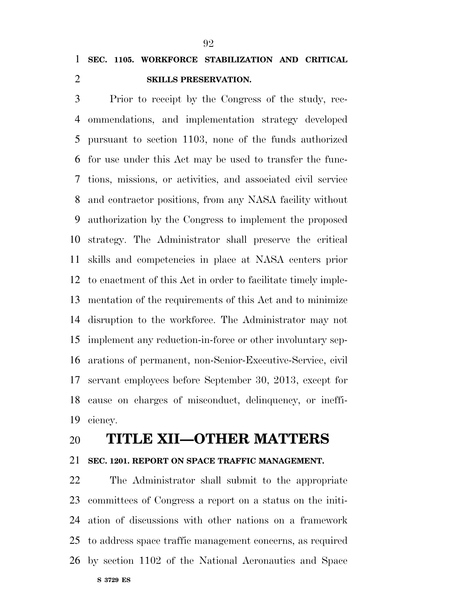### **SEC. 1105. WORKFORCE STABILIZATION AND CRITICAL SKILLS PRESERVATION.**

 Prior to receipt by the Congress of the study, rec- ommendations, and implementation strategy developed pursuant to section 1103, none of the funds authorized for use under this Act may be used to transfer the func- tions, missions, or activities, and associated civil service and contractor positions, from any NASA facility without authorization by the Congress to implement the proposed strategy. The Administrator shall preserve the critical skills and competencies in place at NASA centers prior to enactment of this Act in order to facilitate timely imple- mentation of the requirements of this Act and to minimize disruption to the workforce. The Administrator may not implement any reduction-in-force or other involuntary sep- arations of permanent, non-Senior-Executive-Service, civil servant employees before September 30, 2013, except for cause on charges of misconduct, delinquency, or ineffi-ciency.

### **TITLE XII—OTHER MATTERS**

### **SEC. 1201. REPORT ON SPACE TRAFFIC MANAGEMENT.**

**S 3729 ES**  The Administrator shall submit to the appropriate committees of Congress a report on a status on the initi- ation of discussions with other nations on a framework to address space traffic management concerns, as required by section 1102 of the National Aeronautics and Space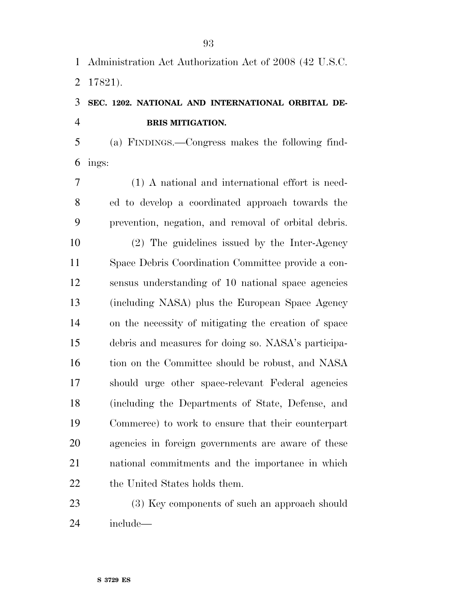Administration Act Authorization Act of 2008 (42 U.S.C.

17821).

### **SEC. 1202. NATIONAL AND INTERNATIONAL ORBITAL DE-BRIS MITIGATION.**

 (a) FINDINGS.—Congress makes the following find-ings:

 (1) A national and international effort is need- ed to develop a coordinated approach towards the prevention, negation, and removal of orbital debris.

 (2) The guidelines issued by the Inter-Agency Space Debris Coordination Committee provide a con- sensus understanding of 10 national space agencies (including NASA) plus the European Space Agency on the necessity of mitigating the creation of space debris and measures for doing so. NASA's participa-16 tion on the Committee should be robust, and NASA should urge other space-relevant Federal agencies (including the Departments of State, Defense, and Commerce) to work to ensure that their counterpart agencies in foreign governments are aware of these national commitments and the importance in which 22 the United States holds them.

23 (3) Key components of such an approach should include—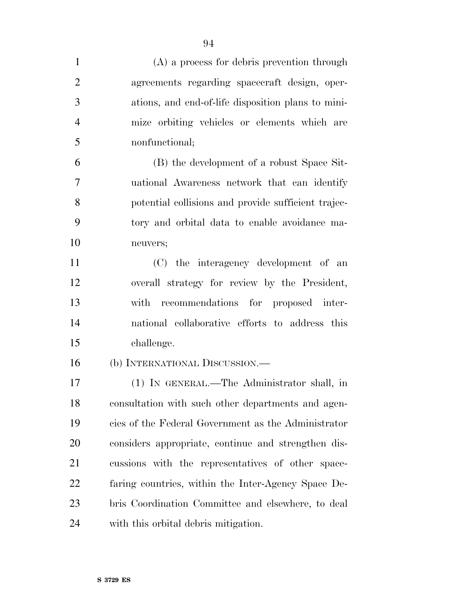| $\mathbf{1}$   | (A) a process for debris prevention through         |
|----------------|-----------------------------------------------------|
| $\overline{2}$ | agreements regarding spacecraft design, oper-       |
| 3              | ations, and end-of-life disposition plans to mini-  |
| $\overline{4}$ | mize orbiting vehicles or elements which are        |
| 5              | nonfunctional;                                      |
| 6              | (B) the development of a robust Space Sit-          |
| 7              | uational Awareness network that can identify        |
| 8              | potential collisions and provide sufficient trajec- |
| 9              | tory and orbital data to enable avoidance ma-       |
| 10             | neuvers;                                            |
| 11             | (C) the interagency development of an               |
| 12             | overall strategy for review by the President,       |
| 13             | recommendations for proposed inter-<br>with         |
| 14             | national collaborative efforts to address this      |
| 15             | challenge.                                          |
| 16             | (b) INTERNATIONAL DISCUSSION.—                      |
| 17             | (1) IN GENERAL.—The Administrator shall, in         |
| 18             | consultation with such other departments and agen-  |
| 19             | cies of the Federal Government as the Administrator |
| 20             | considers appropriate, continue and strengthen dis- |
| 21             | cussions with the representatives of other space-   |
| 22             | faring countries, within the Inter-Agency Space De- |
| 23             | bris Coordination Committee and elsewhere, to deal  |
| 24             | with this orbital debris mitigation.                |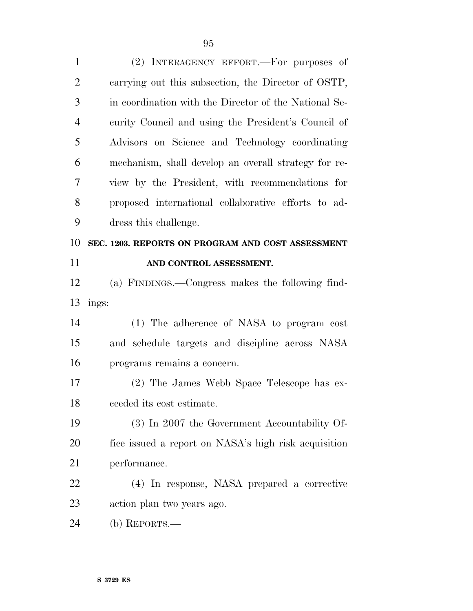(2) INTERAGENCY EFFORT.—For purposes of carrying out this subsection, the Director of OSTP, in coordination with the Director of the National Se- curity Council and using the President's Council of Advisors on Science and Technology coordinating mechanism, shall develop an overall strategy for re- view by the President, with recommendations for proposed international collaborative efforts to ad- dress this challenge. **SEC. 1203. REPORTS ON PROGRAM AND COST ASSESSMENT AND CONTROL ASSESSMENT.**  (a) FINDINGS.—Congress makes the following find- ings: (1) The adherence of NASA to program cost and schedule targets and discipline across NASA programs remains a concern. (2) The James Webb Space Telescope has ex- ceeded its cost estimate. (3) In 2007 the Government Accountability Of- fice issued a report on NASA's high risk acquisition performance. (4) In response, NASA prepared a corrective action plan two years ago. (b) REPORTS.—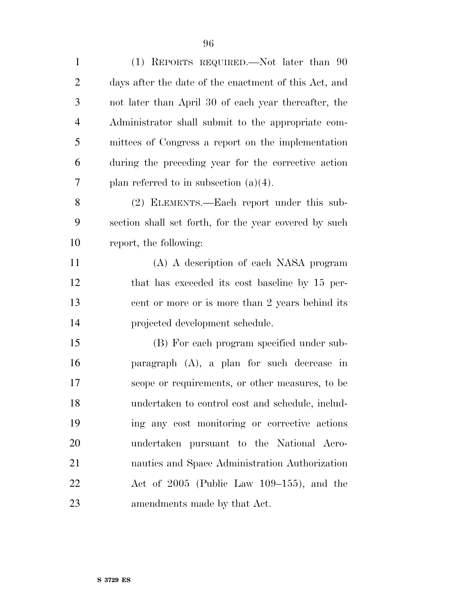(1) REPORTS REQUIRED.—Not later than 90 days after the date of the enactment of this Act, and not later than April 30 of each year thereafter, the

 Administrator shall submit to the appropriate com- mittees of Congress a report on the implementation during the preceding year for the corrective action 7 plan referred to in subsection  $(a)(4)$ .

 (2) ELEMENTS.—Each report under this sub- section shall set forth, for the year covered by such report, the following:

 (A) A description of each NASA program 12 that has exceeded its cost baseline by 15 per-13 cent or more or is more than 2 years behind its projected development schedule.

 (B) For each program specified under sub- paragraph (A), a plan for such decrease in scope or requirements, or other measures, to be undertaken to control cost and schedule, includ- ing any cost monitoring or corrective actions undertaken pursuant to the National Aero- nautics and Space Administration Authorization Act of 2005 (Public Law 109–155), and the amendments made by that Act.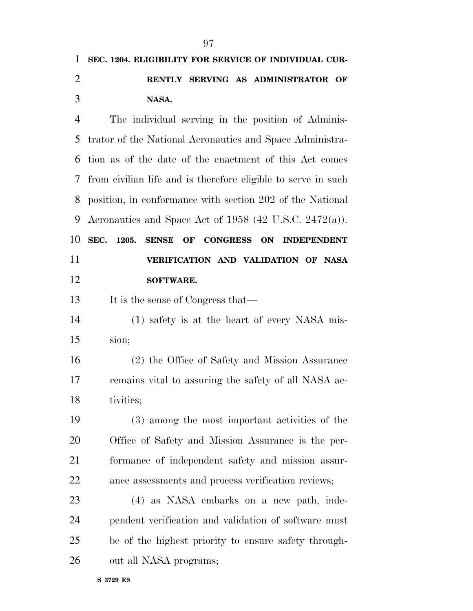| SEC. 1204. ELIGIBILITY FOR SERVICE OF INDIVIDUAL CUR-          |
|----------------------------------------------------------------|
| RENTLY SERVING AS ADMINISTRATOR OF                             |
| NASA.                                                          |
| The individual serving in the position of Adminis-             |
| trator of the National Aeronautics and Space Administra-       |
| tion as of the date of the enactment of this Act comes         |
| from civilian life and is therefore eligible to serve in such  |
| position, in conformance with section 202 of the National      |
| Aeronautics and Space Act of 1958 (42 U.S.C. 2472(a)).         |
| SEC.<br>1205.<br><b>SENSE</b><br>OF<br>CONGRESS ON INDEPENDENT |
| VERIFICATION AND VALIDATION OF NASA                            |
| <b>SOFTWARE.</b>                                               |
| It is the sense of Congress that—                              |
| (1) safety is at the heart of every NASA mis-                  |
| sion;                                                          |
| (2) the Office of Safety and Mission Assurance                 |
| remains vital to assuring the safety of all NASA ac-           |
| tivities;                                                      |
| (3) among the most important activities of the                 |
| Office of Safety and Mission Assurance is the per-             |
| formance of independent safety and mission assur-              |
| ance assessments and process verification reviews;             |
| (4) as NASA embarks on a new path, inde-                       |
| pendent verification and validation of software must           |
| be of the highest priority to ensure safety through-           |
|                                                                |
|                                                                |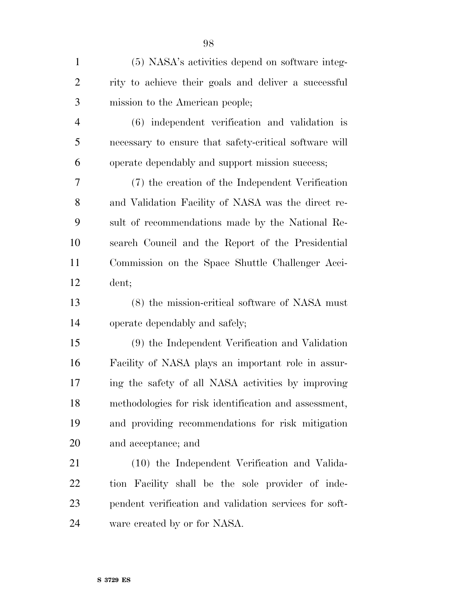| $\mathbf{1}$   | (5) NASA's activities depend on software integ-        |
|----------------|--------------------------------------------------------|
| $\overline{2}$ | rity to achieve their goals and deliver a successful   |
| 3              | mission to the American people;                        |
| $\overline{4}$ | (6) independent verification and validation is         |
| 5              | necessary to ensure that safety-critical software will |
| 6              | operate dependably and support mission success;        |
| 7              | (7) the creation of the Independent Verification       |
| 8              | and Validation Facility of NASA was the direct re-     |
| 9              | sult of recommendations made by the National Re-       |
| 10             | search Council and the Report of the Presidential      |
| 11             | Commission on the Space Shuttle Challenger Acci-       |
| 12             | dent;                                                  |
| 13             | (8) the mission-critical software of NASA must         |
| 14             | operate dependably and safely;                         |
| 15             | (9) the Independent Verification and Validation        |
| 16             | Facility of NASA plays an important role in assur-     |
| 17             | ing the safety of all NASA activities by improving     |
| 18             | methodologies for risk identification and assessment,  |
| 19             | and providing recommendations for risk mitigation      |
| 20             | and acceptance; and                                    |
| 21             | (10) the Independent Verification and Valida-          |
| 22             | tion Facility shall be the sole provider of inde-      |
| 23             | pendent verification and validation services for soft- |

ware created by or for NASA.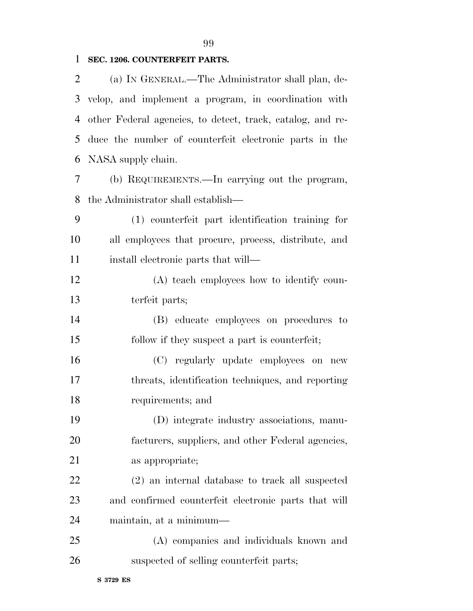### **SEC. 1206. COUNTERFEIT PARTS.**

 (a) IN GENERAL.—The Administrator shall plan, de- velop, and implement a program, in coordination with other Federal agencies, to detect, track, catalog, and re- duce the number of counterfeit electronic parts in the NASA supply chain.

 (b) REQUIREMENTS.—In carrying out the program, the Administrator shall establish—

 (1) counterfeit part identification training for all employees that procure, process, distribute, and 11 install electronic parts that will—

 (A) teach employees how to identify coun-terfeit parts;

 (B) educate employees on procedures to follow if they suspect a part is counterfeit;

 (C) regularly update employees on new threats, identification techniques, and reporting requirements; and

 (D) integrate industry associations, manu- facturers, suppliers, and other Federal agencies, as appropriate;

 (2) an internal database to track all suspected and confirmed counterfeit electronic parts that will maintain, at a minimum—

 (A) companies and individuals known and suspected of selling counterfeit parts;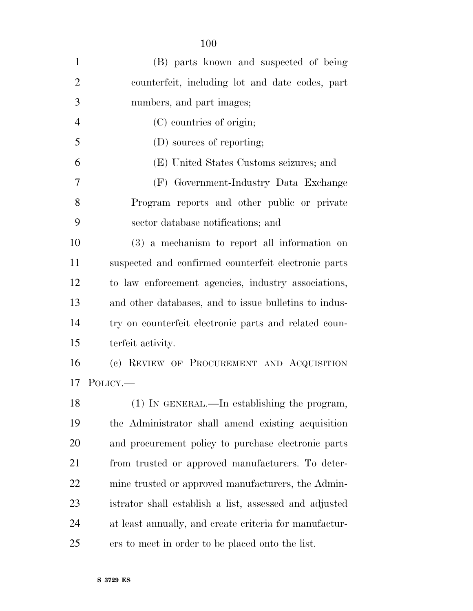| $\mathbf{1}$   | (B) parts known and suspected of being                 |
|----------------|--------------------------------------------------------|
| $\overline{2}$ | counterfeit, including lot and date codes, part        |
| 3              | numbers, and part images;                              |
| $\overline{4}$ | (C) countries of origin;                               |
| 5              | (D) sources of reporting;                              |
| 6              | (E) United States Customs seizures; and                |
| 7              | (F) Government-Industry Data Exchange                  |
| 8              | Program reports and other public or private            |
| 9              | sector database notifications; and                     |
| 10             | $(3)$ a mechanism to report all information on         |
| 11             | suspected and confirmed counterfeit electronic parts   |
| 12             | to law enforcement agencies, industry associations,    |
| 13             | and other databases, and to issue bulletins to indus-  |
| 14             | try on counterfeit electronic parts and related coun-  |
| 15             | terfeit activity.                                      |
| 16             | (c) REVIEW OF PROCUREMENT AND ACQUISITION              |
| 17             | POLICY.—                                               |
| 18             | (1) IN GENERAL.—In establishing the program,           |
| 19             | the Administrator shall amend existing acquisition     |
| 20             | and procurement policy to purchase electronic parts    |
| 21             | from trusted or approved manufacturers. To deter-      |
| 22             | mine trusted or approved manufacturers, the Admin-     |
| 23             | istrator shall establish a list, assessed and adjusted |
| 24             | at least annually, and create criteria for manufactur- |
| 25             | ers to meet in order to be placed onto the list.       |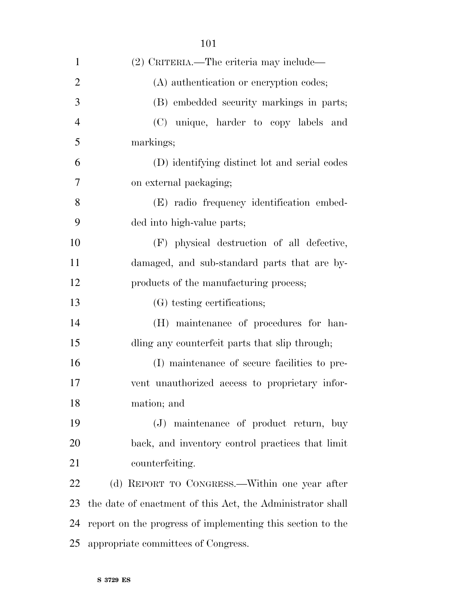| 1              | (2) CRITERIA.—The criteria may include—                    |
|----------------|------------------------------------------------------------|
| $\overline{2}$ | (A) authentication or encryption codes;                    |
| 3              | (B) embedded security markings in parts;                   |
| $\overline{4}$ | (C) unique, harder to copy labels and                      |
| 5              | markings;                                                  |
| 6              | (D) identifying distinct lot and serial codes              |
| 7              | on external packaging;                                     |
| 8              | (E) radio frequency identification embed-                  |
| 9              | ded into high-value parts;                                 |
| 10             | (F) physical destruction of all defective,                 |
| 11             | damaged, and sub-standard parts that are by-               |
| 12             | products of the manufacturing process;                     |
| 13             | (G) testing certifications;                                |
| 14             | (H) maintenance of procedures for han-                     |
| 15             | dling any counterfeit parts that slip through;             |
| 16             | (I) maintenance of secure facilities to pre-               |
| 17             | vent unauthorized access to proprietary infor-             |
| 18             | mation; and                                                |
| 19             | (J) maintenance of product return, buy                     |
| 20             | back, and inventory control practices that limit           |
| 21             | counterfeiting.                                            |
| 22             | (d) REPORT TO CONGRESS.—Within one year after              |
| 23             | the date of enactment of this Act, the Administrator shall |
| 24             | report on the progress of implementing this section to the |
| 25             | appropriate committees of Congress.                        |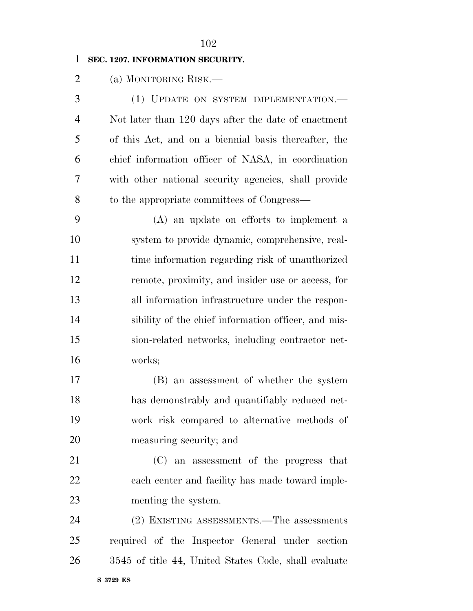### **SEC. 1207. INFORMATION SECURITY.**

(a) MONITORING RISK.—

 (1) UPDATE ON SYSTEM IMPLEMENTATION.— Not later than 120 days after the date of enactment of this Act, and on a biennial basis thereafter, the chief information officer of NASA, in coordination with other national security agencies, shall provide to the appropriate committees of Congress—

 (A) an update on efforts to implement a system to provide dynamic, comprehensive, real- time information regarding risk of unauthorized remote, proximity, and insider use or access, for all information infrastructure under the respon-14 sibility of the chief information officer, and mis- sion-related networks, including contractor net-works;

 (B) an assessment of whether the system has demonstrably and quantifiably reduced net- work risk compared to alternative methods of measuring security; and

 (C) an assessment of the progress that each center and facility has made toward imple-menting the system.

 (2) EXISTING ASSESSMENTS.—The assessments required of the Inspector General under section 3545 of title 44, United States Code, shall evaluate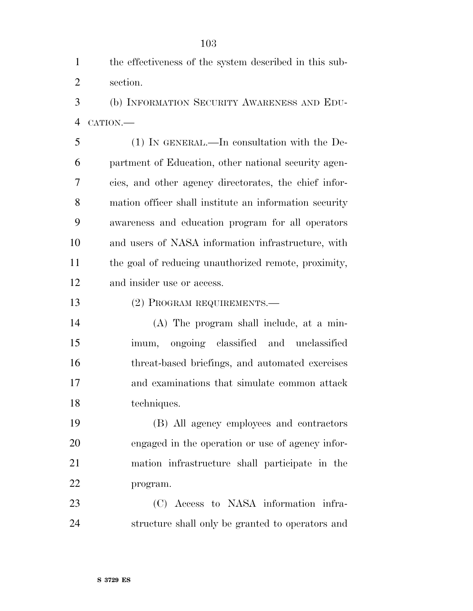the effectiveness of the system described in this sub-section.

 (b) INFORMATION SECURITY AWARENESS AND EDU-CATION.—

 (1) IN GENERAL.—In consultation with the De- partment of Education, other national security agen- cies, and other agency directorates, the chief infor- mation officer shall institute an information security awareness and education program for all operators and users of NASA information infrastructure, with the goal of reducing unauthorized remote, proximity, and insider use or access.

(2) PROGRAM REQUIREMENTS.—

 (A) The program shall include, at a min- imum, ongoing classified and unclassified threat-based briefings, and automated exercises and examinations that simulate common attack techniques.

 (B) All agency employees and contractors engaged in the operation or use of agency infor- mation infrastructure shall participate in the program.

 (C) Access to NASA information infra-structure shall only be granted to operators and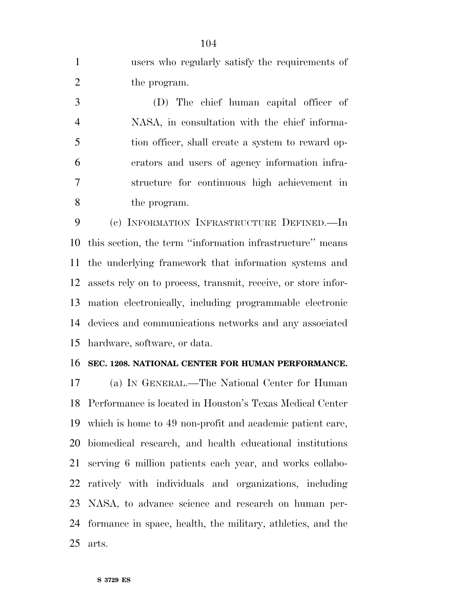users who regularly satisfy the requirements of the program.

 (D) The chief human capital officer of NASA, in consultation with the chief informa- tion officer, shall create a system to reward op- erators and users of agency information infra- structure for continuous high achievement in the program.

 (c) INFORMATION INFRASTRUCTURE DEFINED.—In this section, the term ''information infrastructure'' means the underlying framework that information systems and assets rely on to process, transmit, receive, or store infor- mation electronically, including programmable electronic devices and communications networks and any associated hardware, software, or data.

#### **SEC. 1208. NATIONAL CENTER FOR HUMAN PERFORMANCE.**

 (a) IN GENERAL.—The National Center for Human Performance is located in Houston's Texas Medical Center which is home to 49 non-profit and academic patient care, biomedical research, and health educational institutions serving 6 million patients each year, and works collabo- ratively with individuals and organizations, including NASA, to advance science and research on human per- formance in space, health, the military, athletics, and the arts.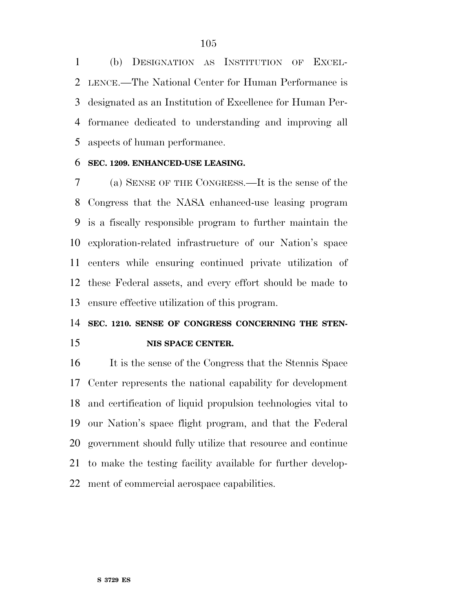(b) DESIGNATION AS INSTITUTION OF EXCEL- LENCE.—The National Center for Human Performance is designated as an Institution of Excellence for Human Per- formance dedicated to understanding and improving all aspects of human performance.

#### **SEC. 1209. ENHANCED-USE LEASING.**

 (a) SENSE OF THE CONGRESS.—It is the sense of the Congress that the NASA enhanced-use leasing program is a fiscally responsible program to further maintain the exploration-related infrastructure of our Nation's space centers while ensuring continued private utilization of these Federal assets, and every effort should be made to ensure effective utilization of this program.

### **SEC. 1210. SENSE OF CONGRESS CONCERNING THE STEN-NIS SPACE CENTER.**

 It is the sense of the Congress that the Stennis Space Center represents the national capability for development and certification of liquid propulsion technologies vital to our Nation's space flight program, and that the Federal government should fully utilize that resource and continue to make the testing facility available for further develop-ment of commercial aerospace capabilities.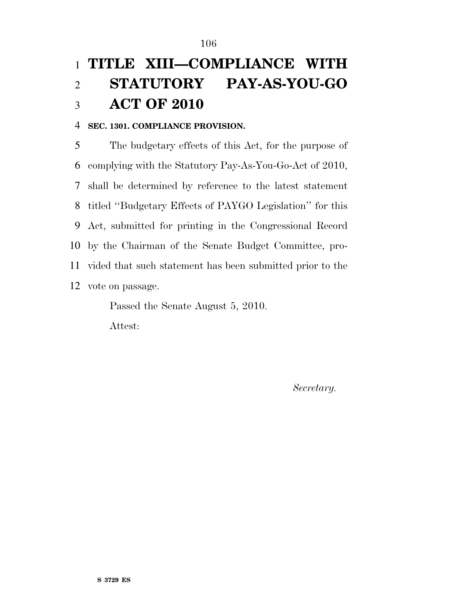## **TITLE XIII—COMPLIANCE WITH STATUTORY PAY-AS-YOU-GO ACT OF 2010**

### **SEC. 1301. COMPLIANCE PROVISION.**

 The budgetary effects of this Act, for the purpose of complying with the Statutory Pay-As-You-Go-Act of 2010, shall be determined by reference to the latest statement titled ''Budgetary Effects of PAYGO Legislation'' for this Act, submitted for printing in the Congressional Record by the Chairman of the Senate Budget Committee, pro- vided that such statement has been submitted prior to the vote on passage.

> Passed the Senate August 5, 2010. Attest:

> > *Secretary.*